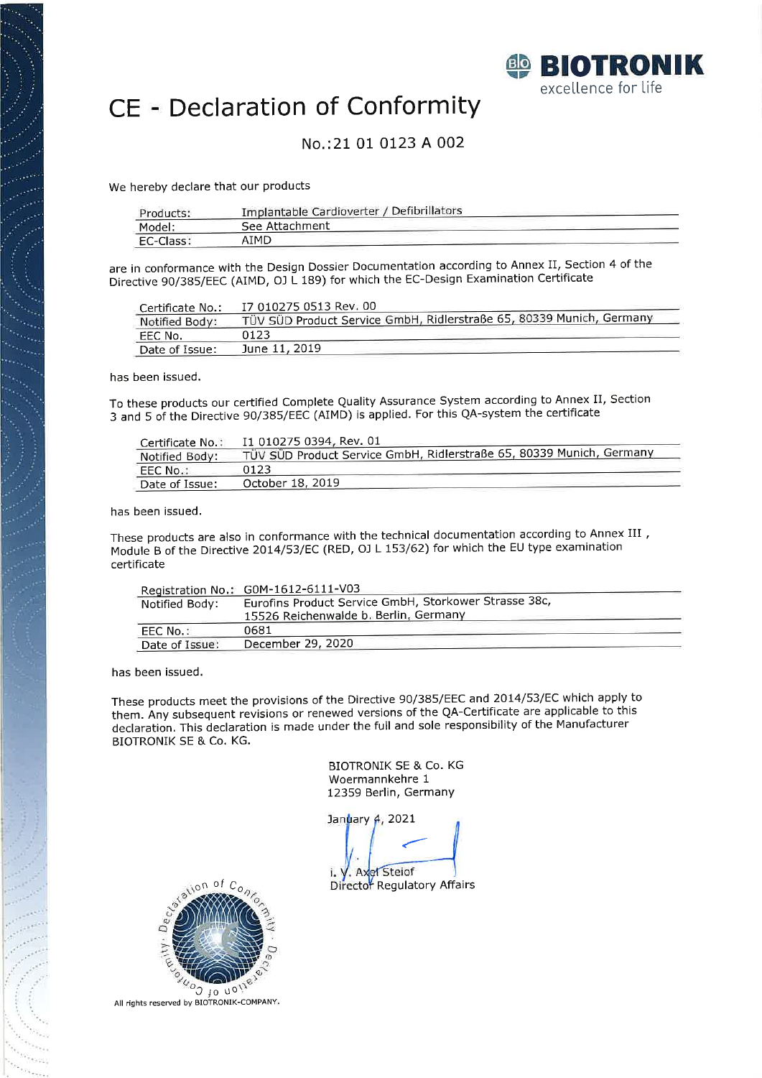

# CE - Declaration of Conformity

#### No.: 21 01 0123 A 002

We hereby declare that our products

| Products: | Implantable Cardioverter / Defibrillators |
|-----------|-------------------------------------------|
| Model:    | See Attachment                            |
| EC-Class: | <b>AIMD</b>                               |

are in conformance with the Design Dossier Documentation according to Annex II, Section 4 of the Directive 90/385/EEC (AIMD, OJ L 189) for which the EC-Design Examination Certificate

| Certificate No.: | I7 010275 0513 Rev. 00                                               |
|------------------|----------------------------------------------------------------------|
| Notified Body:   | TÜV SÜD Product Service GmbH, Ridlerstraße 65, 80339 Munich, Germany |
| EEC No.          | 0123                                                                 |
| Date of Issue:   | June 11, 2019                                                        |

has been issued.

To these products our certified Complete Quality Assurance System according to Annex II, Section 3 and 5 of the Directive 90/385/EEC (AIMD) is applied. For this QA-system the certificate

| Certificate No.: | 11 010275 0394, Rev. 01                                              |
|------------------|----------------------------------------------------------------------|
| Notified Body:   | TÜV SÜD Product Service GmbH, Ridlerstraße 65, 80339 Munich, Germany |
| EEC No.:         | 0123                                                                 |
| Date of Issue:   | October 18, 2019                                                     |

has been issued.

These products are also in conformance with the technical documentation according to Annex III, Module B of the Directive 2014/53/EC (RED, OJ L 153/62) for which the EU type examination certificate

|                | Registration No.: G0M-1612-6111-V03                   |  |  |
|----------------|-------------------------------------------------------|--|--|
| Notified Body: | Eurofins Product Service GmbH, Storkower Strasse 38c, |  |  |
|                | 15526 Reichenwalde b. Berlin, Germany                 |  |  |
| EEC No. ::     | 0681                                                  |  |  |
| Date of Issue: | December 29, 2020                                     |  |  |

has been issued.

These products meet the provisions of the Directive 90/385/EEC and 2014/53/EC which apply to them. Any subsequent revisions or renewed versions of the QA-Certificate are applicable to this declaration. This declaration is made under the full and sole responsibility of the Manufacturer **BIOTRONIK SE & Co. KG.** 

> **BIOTRONIK SE & Co. KG** Woermannkehre 1 12359 Berlin, Germany

January 4, 2021

. Axel Steiof i. Director Regulatory Affairs



All rights reserved by BIOTRONIK-COMPANY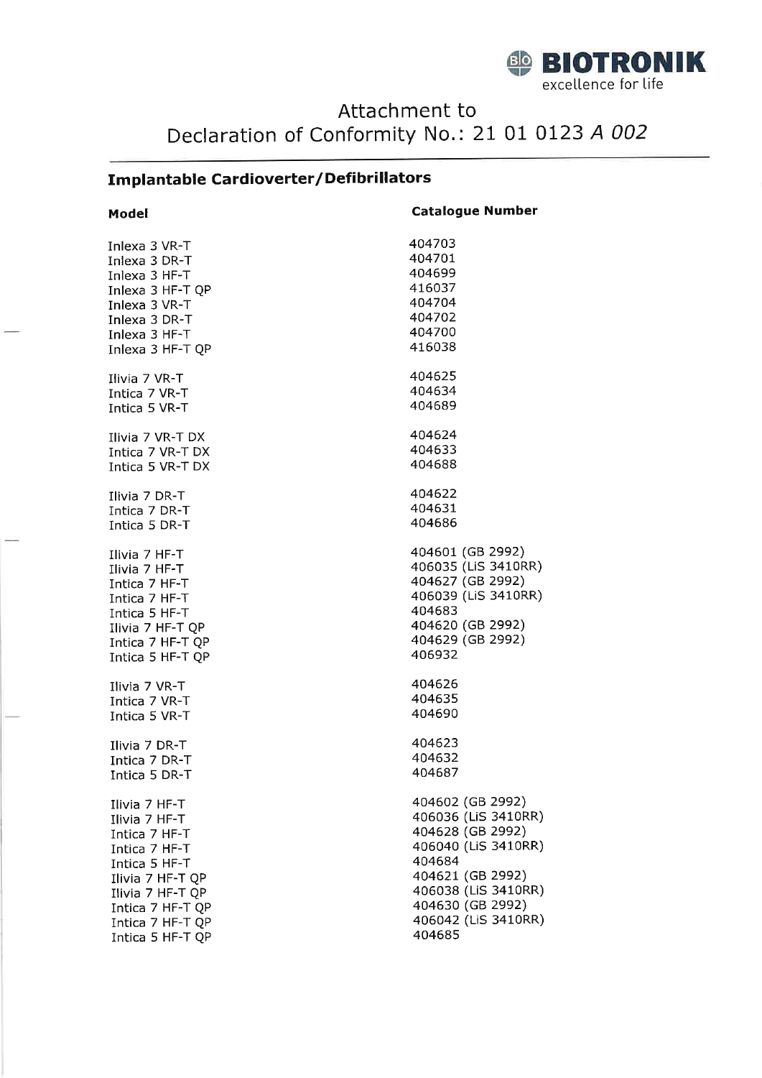

## Attachment to Declaration of Conformity No.: 21 01 0123 A 002

## **Implantable Cardioverter/Defibrillators**

| Model            | <b>Catalogue Number</b> |
|------------------|-------------------------|
| Inlexa 3 VR-T    | 404703                  |
| Inlexa 3 DR-T    | 404701                  |
| Inlexa 3 HF-T    | 404699                  |
| Inlexa 3 HF-T QP | 416037                  |
| Inlexa 3 VR-T    | 404704                  |
| Inlexa 3 DR-T    | 404702                  |
| Inlexa 3 HF-T    | 404700                  |
| Inlexa 3 HF-T QP | 416038                  |
| Ilivia 7 VR-T    | 404625                  |
| Intica 7 VR-T    | 404634                  |
| Intica 5 VR-T    | 404689                  |
| Ilivia 7 VR-T DX | 404624                  |
| Intica 7 VR-T DX | 404633                  |
| Intica 5 VR-T DX | 404688                  |
| Ilivia 7 DR-T    | 404622                  |
| Intica 7 DR-T    | 404631                  |
| Intica 5 DR-T    | 404686                  |
| Ilivia 7 HF-T    | 404601 (GB 2992)        |
| Ilivia 7 HF-T    | 406035 (LiS 3410RR)     |
| Intica 7 HF-T    | 404627 (GB 2992)        |
| Intica 7 HF-T    | 406039 (LiS 3410RR)     |
| Intica 5 HF-T    | 404683                  |
| Ilivia 7 HF-T QP | 404620 (GB 2992)        |
| Intica 7 HF-T QP | 404629 (GB 2992)        |
| Intica 5 HF-T QP | 406932                  |
| Ilivia 7 VR-T    | 404626                  |
| Intica 7 VR-T    | 404635                  |
| Intica 5 VR-T    | 404690                  |
| Ilivia 7 DR-T    | 404623                  |
| Intica 7 DR-T    | 404632                  |
| Intica 5 DR-T    | 404687                  |
| Ilivia 7 HF-T    | 404602 (GB 2992)        |
| Ilivia 7 HF-T    | 406036 (LiS 3410RR)     |
| Intica 7 HF-T    | 404628 (GB 2992)        |
| Intica 7 HF-T    | 406040 (LiS 3410RR)     |
| Intica 5 HF-T    | 404684                  |
| Ilivia 7 HF-T QP | 404621 (GB 2992)        |
| Ilivia 7 HF-T QP | 406038 (LiS 3410RR)     |
| Intica 7 HF-T QP | 404630 (GB 2992)        |
| Intica 7 HF-T QP | 406042 (LiS 3410RR)     |
| Intica 5 HF-T QP | 404685                  |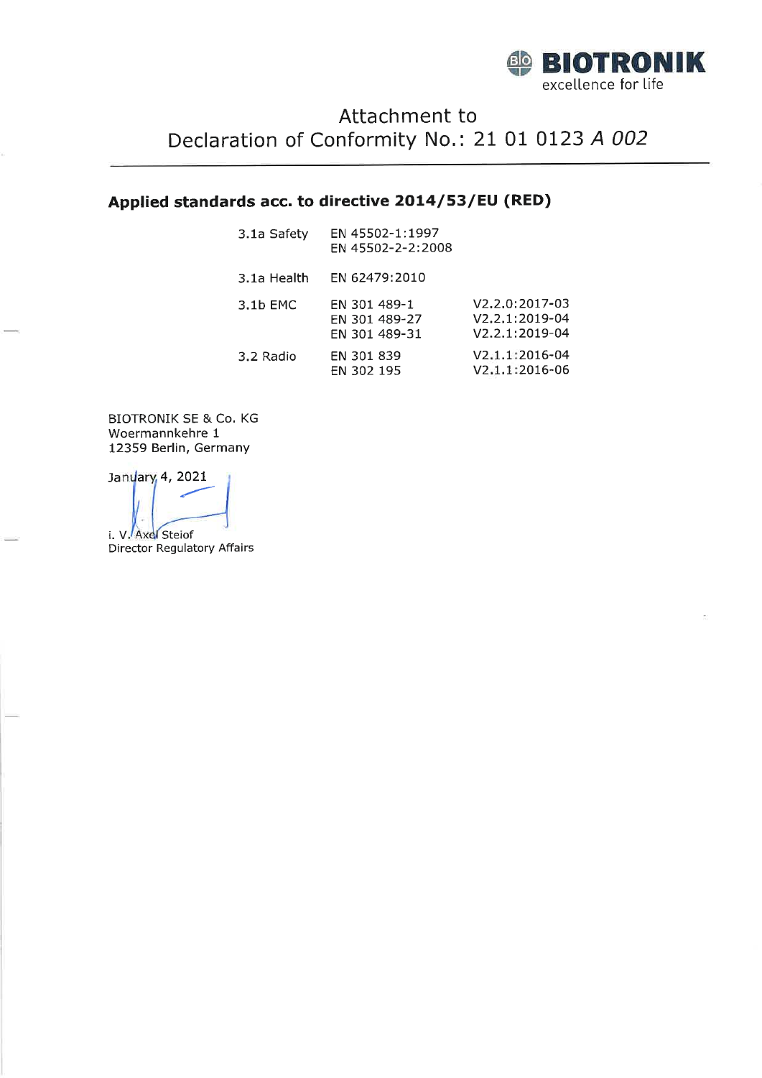

## Attachment to Declaration of Conformity No.: 21 01 0123 A 002

#### Applied standards acc. to directive 2014/53/EU (RED)

| EN 45502-1:1997<br>EN 45502-2-2:2008           |                                                      |
|------------------------------------------------|------------------------------------------------------|
| EN 62479:2010                                  |                                                      |
| EN 301 489-1<br>EN 301 489-27<br>EN 301 489-31 | $V2.2.0:2017-03$<br>V2.2.1:2019-04<br>V2.2.1:2019-04 |
| EN 301 839<br>EN 302 195                       | V2.1.1:2016-04<br>V2.1.1:2016-06                     |
|                                                |                                                      |

**BIOTRONIK SE & Co. KG** Woermannkehre 1 12359 Berlin, Germany

January 4, 2021 i. V. Axel Steiof Director Regulatory Affairs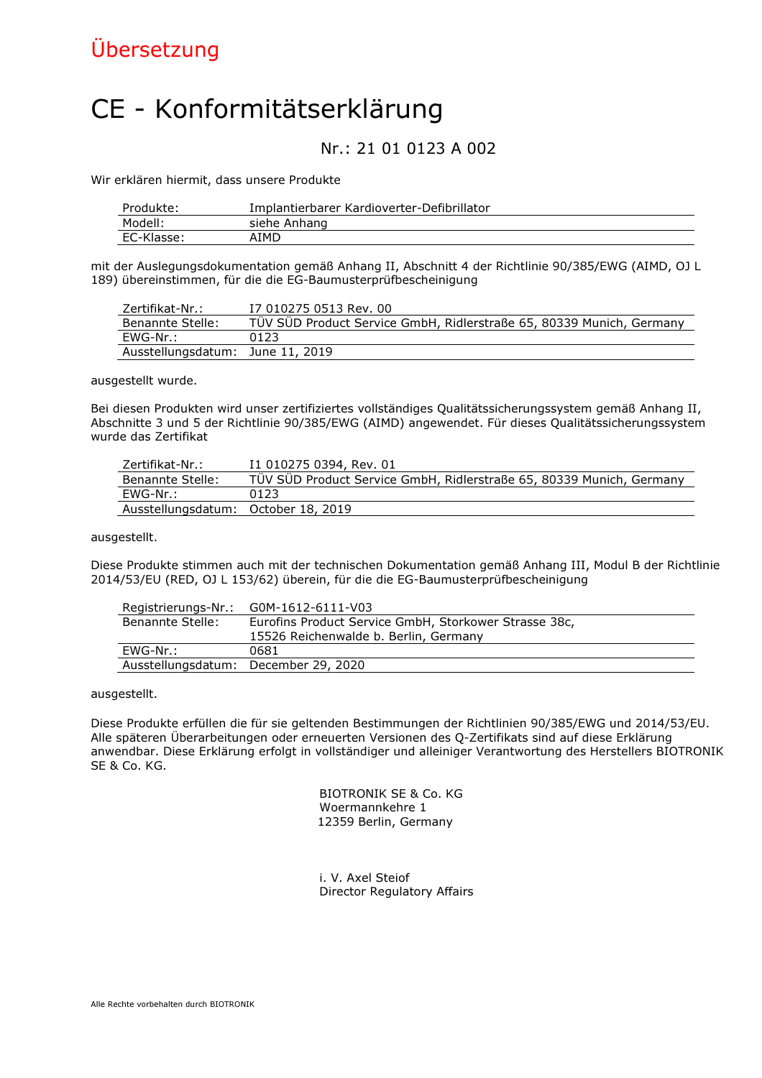# Übersetzung

# CE - Konformitätserklärung

#### Nr.: 21 01 0123 A 002

Wir erklären hiermit, dass unsere Produkte

| Produkte:  | Implantierbarer Kardioverter-Defibrillator |
|------------|--------------------------------------------|
| Modell:    | siehe Anhang                               |
| EC-Klasse: | AIMD                                       |

mit der Auslegungsdokumentation gemäß Anhang II, Abschnitt 4 der Richtlinie 90/385/EWG (AIMD, OJ L 189) übereinstimmen, für die die EG-Baumusterprüfbescheinigung

| Zertifikat-Nr. :                 | I7 010275 0513 Rev. 00                                               |
|----------------------------------|----------------------------------------------------------------------|
| Benannte Stelle:                 | TUV SUD Product Service GmbH, Ridlerstraße 65, 80339 Munich, Germany |
| EWG-Nr. :                        | 0123                                                                 |
| Ausstellungsdatum: June 11, 2019 |                                                                      |

ausgestellt wurde.

Bei diesen Produkten wird unser zertifiziertes vollständiges Qualitätssicherungssystem gemäß Anhang II, Abschnitte 3 und 5 der Richtlinie 90/385/EWG (AIMD) angewendet. Für dieses Qualitätssicherungssystem wurde das Zertifikat

| Zertifikat-Nr.:                     | I1 010275 0394, Rev. 01                                              |
|-------------------------------------|----------------------------------------------------------------------|
| Benannte Stelle:                    | TUV SUD Product Service GmbH, Ridlerstraße 65, 80339 Munich, Germany |
| EWG-Nr. :                           | 0123                                                                 |
| Ausstellungsdatum: October 18, 2019 |                                                                      |

ausgestellt.

Diese Produkte stimmen auch mit der technischen Dokumentation gemäß Anhang III, Modul B der Richtlinie 2014/53/EU (RED, OJ L 153/62) überein, für die die EG-Baumusterprüfbescheinigung

| Registrierungs-Nr.: | G0M-1612-6111-V03                                     |  |
|---------------------|-------------------------------------------------------|--|
| Benannte Stelle:    | Eurofins Product Service GmbH, Storkower Strasse 38c, |  |
|                     | 15526 Reichenwalde b. Berlin, Germany                 |  |
| EWG-Nr.:            | 0681                                                  |  |
|                     | Ausstellungsdatum: December 29, 2020                  |  |

ausgestellt.

Diese Produkte erfüllen die für sie geltenden Bestimmungen der Richtlinien 90/385/EWG und 2014/53/EU. Alle späteren Überarbeitungen oder erneuerten Versionen des Q-Zertifikats sind auf diese Erklärung anwendbar. Diese Erklärung erfolgt in vollständiger und alleiniger Verantwortung des Herstellers BIOTRONIK SE & Co. KG.

> BIOTRONIK SE & Co. KG Woermannkehre 1 12359 Berlin, Germany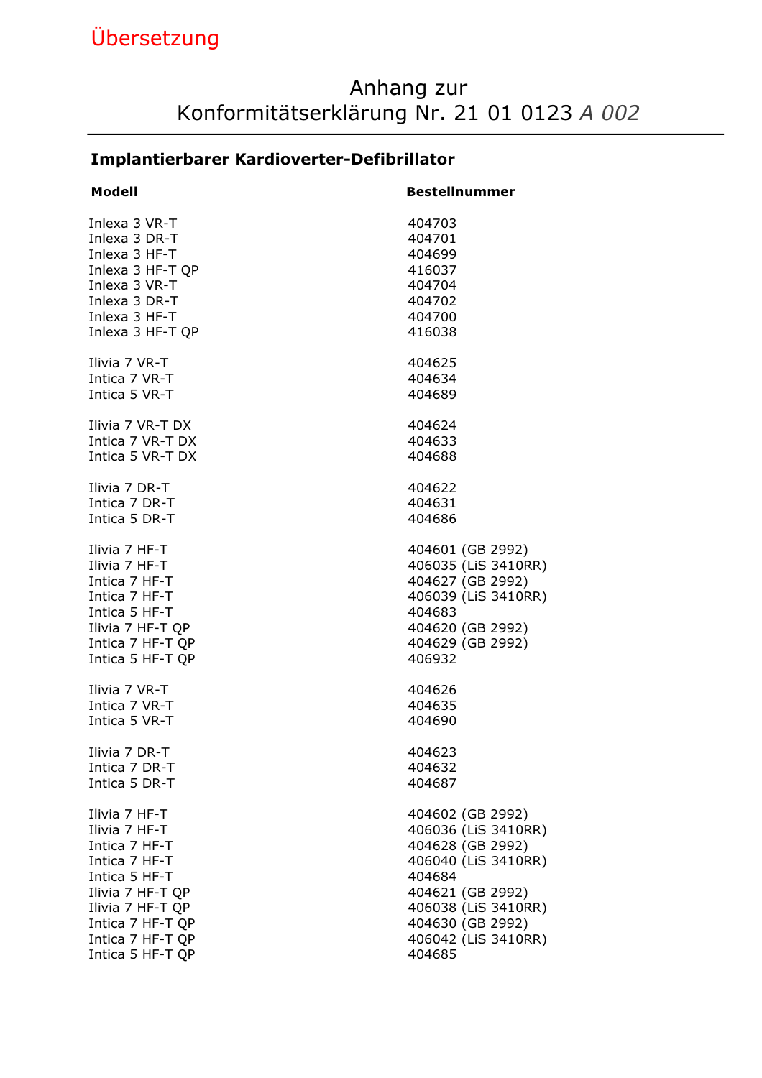# Übersetzung

### Anhang zur Konformitätserklärung Nr. 21 01 0123 A 002

### Implantierbarer Kardioverter-Defibrillator

| <b>Modell</b>    | <b>Bestellnummer</b> |
|------------------|----------------------|
| Inlexa 3 VR-T    | 404703               |
| Inlexa 3 DR-T    | 404701               |
| Inlexa 3 HF-T    | 404699               |
| Inlexa 3 HF-T QP | 416037               |
| Inlexa 3 VR-T    | 404704               |
| Inlexa 3 DR-T    | 404702               |
| Inlexa 3 HF-T    | 404700               |
| Inlexa 3 HF-T OP | 416038               |
| Ilivia 7 VR-T    | 404625               |
| Intica 7 VR-T    | 404634               |
| Intica 5 VR-T    | 404689               |
| Ilivia 7 VR-T DX | 404624               |
| Intica 7 VR-T DX | 404633               |
| Intica 5 VR-T DX | 404688               |
| Ilivia 7 DR-T    | 404622               |
| Intica 7 DR-T    | 404631               |
| Intica 5 DR-T    | 404686               |
| Ilivia 7 HF-T    | 404601 (GB 2992)     |
| Ilivia 7 HF-T    | 406035 (LiS 3410RR)  |
| Intica 7 HF-T    | 404627 (GB 2992)     |
| Intica 7 HF-T    | 406039 (LiS 3410RR)  |
| Intica 5 HF-T    | 404683               |
| Ilivia 7 HF-T QP | 404620 (GB 2992)     |
| Intica 7 HF-T QP | 404629 (GB 2992)     |
| Intica 5 HF-T QP | 406932               |
| Ilivia 7 VR-T    | 404626               |
| Intica 7 VR-T    | 404635               |
| Intica 5 VR-T    | 404690               |
| Ilivia 7 DR-T    | 404623               |
| Intica 7 DR-T    | 404632               |
| Intica 5 DR-T    | 404687               |
| Ilivia 7 HF-T    | 404602 (GB 2992)     |
| Ilivia 7 HF-T    | 406036 (LiS 3410RR)  |
| Intica 7 HF-T    | 404628 (GB 2992)     |
| Intica 7 HF-T    | 406040 (LiS 3410RR)  |
| Intica 5 HF-T    | 404684               |
| Ilivia 7 HF-T QP | 404621 (GB 2992)     |
| Ilivia 7 HF-T QP | 406038 (LiS 3410RR)  |
| Intica 7 HF-T QP | 404630 (GB 2992)     |
| Intica 7 HF-T QP | 406042 (LiS 3410RR)  |
| Intica 5 HF-T QP | 404685               |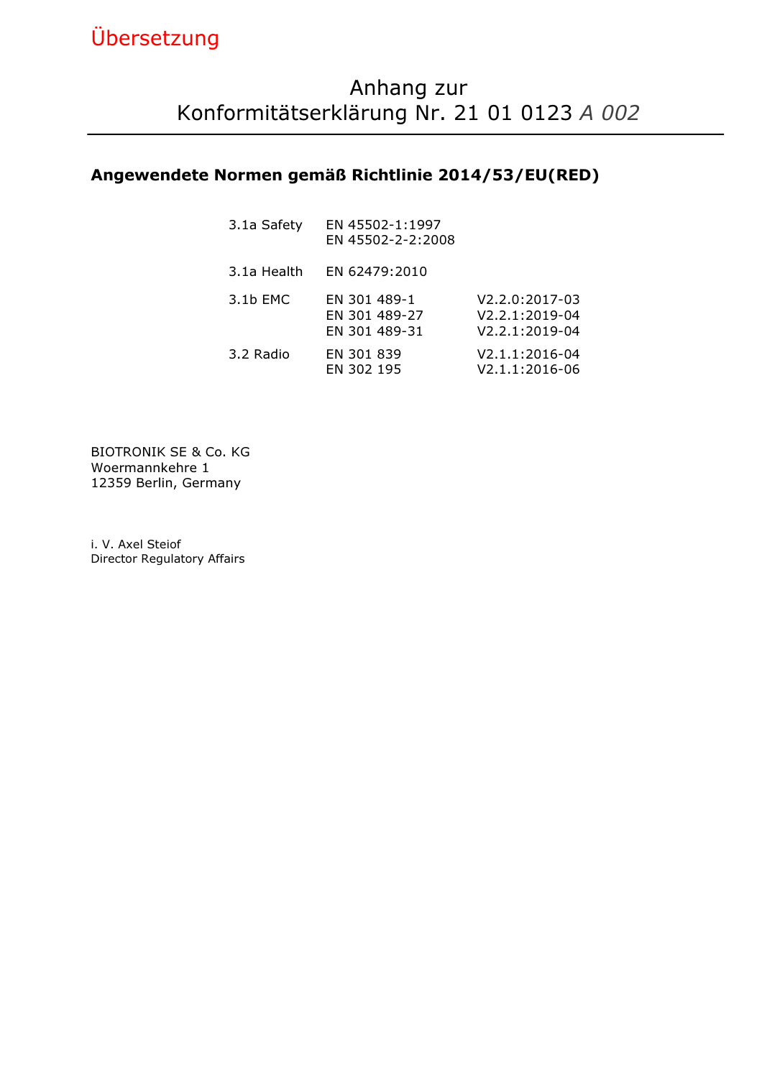# Übersetzung

#### Angewendete Normen gemäß Richtlinie 2014/53/EU(RED)

| 3.1a Safety | EN 45502-1:1997<br>EN 45502-2-2:2008           |                                                    |
|-------------|------------------------------------------------|----------------------------------------------------|
| 3.1a Health | EN 62479:2010                                  |                                                    |
| $3.1b$ EMC  | EN 301 489-1<br>EN 301 489-27<br>EN 301 489-31 | V2.2.0:2017-03<br>V2.2.1:2019-04<br>V2.2.1:2019-04 |
| 3.2 Radio   | EN 301 839<br>EN 302 195                       | V2.1.1:2016-04<br>V2.1.1:2016-06                   |

BIOTRONIK SE & Co. KG Woermannkehre 1 12359 Berlin, Germany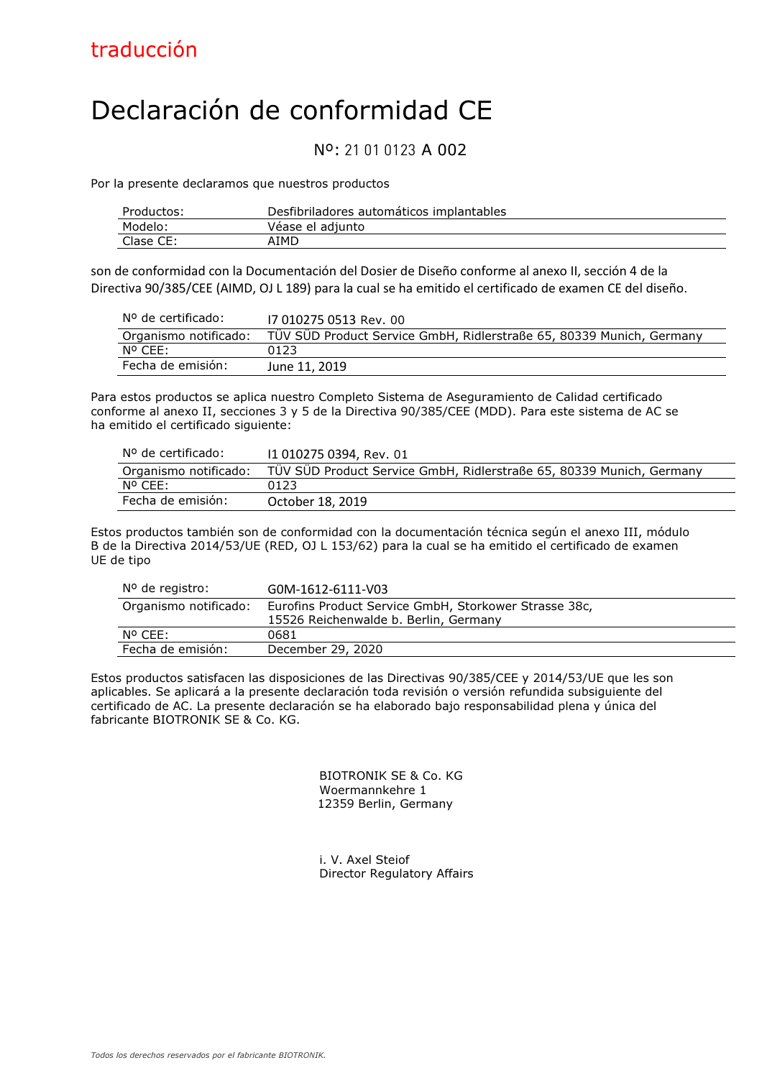# Declaración de conformidad CE

#### No: 21 01 0123 A 002

Por la presente declaramos que nuestros productos

| Productos: | Desfibriladores automáticos implantables |
|------------|------------------------------------------|
| Modelo:    | Véase el adjunto                         |
| Clase CE:  | AIMD                                     |

son de conformidad con la Documentación del Dosier de Diseño conforme al anexo II, sección 4 de la Directiva 90/385/CEE (AIMD, OJ L 189) para la cual se ha emitido el certificado de examen CE del diseño.

| Nº de certificado:    | 17 010275 0513 Rev. 00                                               |
|-----------------------|----------------------------------------------------------------------|
| Organismo notificado: | TÜV SÜD Product Service GmbH, Ridlerstraße 65, 80339 Munich, Germany |
| $N^{\circ}$ CFF:      | 0123                                                                 |
| Fecha de emisión:     | June 11, 2019                                                        |

Para estos productos se aplica nuestro Completo Sistema de Aseguramiento de Calidad certificado conforme al anexo II, secciones 3 y 5 de la Directiva 90/385/CEE (MDD). Para este sistema de AC se ha emitido el certificado siguiente:

| Nº de certificado:    | 11 010275 0394, Rev. 01                                              |
|-----------------------|----------------------------------------------------------------------|
| Organismo notificado: | TUV SUD Product Service GmbH, Ridlerstraße 65, 80339 Munich, Germany |
| $N^{\rm o}$ CEE:      | 0123                                                                 |
| Fecha de emisión:     | October 18, 2019                                                     |

Estos productos también son de conformidad con la documentación técnica según el anexo III, módulo B de la Directiva 2014/53/UE (RED, OJ L 153/62) para la cual se ha emitido el certificado de examen UE de tipo

| Nº de registro:       | G0M-1612-6111-V03                                     |
|-----------------------|-------------------------------------------------------|
| Organismo notificado: | Eurofins Product Service GmbH, Storkower Strasse 38c, |
|                       | 15526 Reichenwalde b. Berlin, Germany                 |
| $N^{\circ}$ CEE:      | 0681                                                  |
| Fecha de emisión:     | December 29, 2020                                     |

Estos productos satisfacen las disposiciones de las Directivas 90/385/CEE y 2014/53/UE que les son aplicables. Se aplicará a la presente declaración toda revisión o versión refundida subsiguiente del certificado de AC. La presente declaración se ha elaborado bajo responsabilidad plena y única del fabricante BIOTRONIK SE & Co. KG.

> BIOTRONIK SE & Co. KG Woermannkehre 1 12359 Berlin, Germany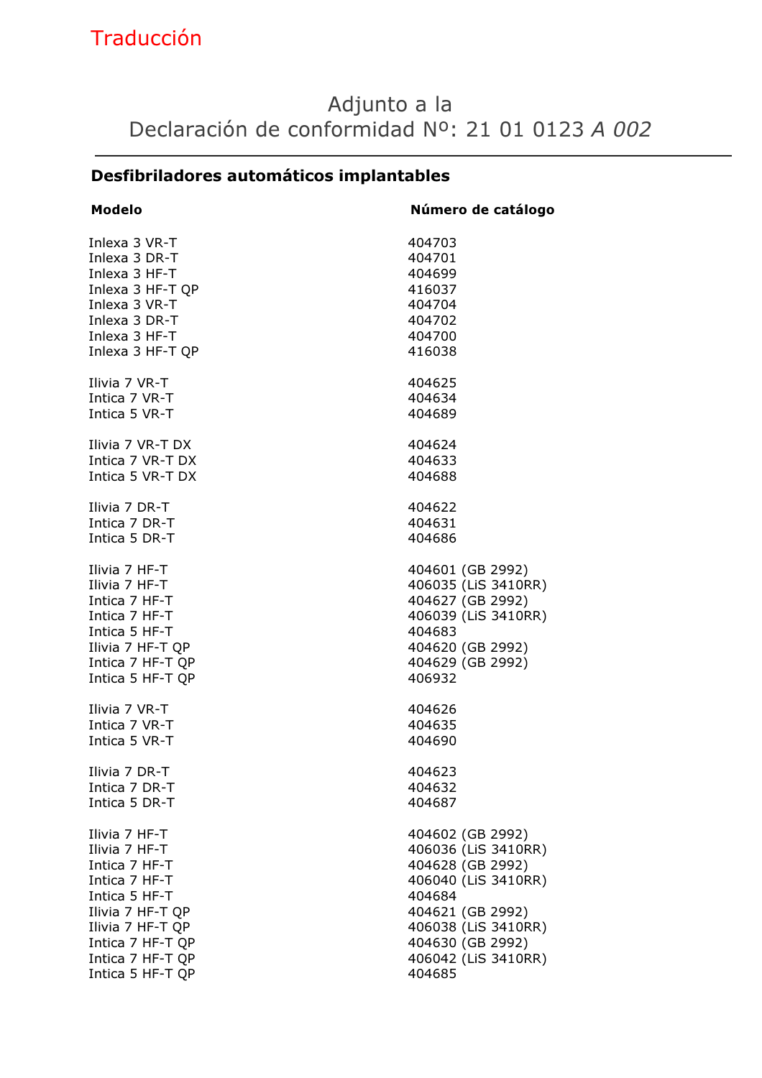## Traducción

### Adjunto a la Declaración de conformidad Nº: 21 01 0123 A 002

### Desfibriladores automáticos implantables

| <b>Modelo</b>    | Número de catálogo  |
|------------------|---------------------|
| Inlexa 3 VR-T    | 404703              |
| Inlexa 3 DR-T    | 404701              |
| Inlexa 3 HF-T    | 404699              |
| Inlexa 3 HF-T QP | 416037              |
| Inlexa 3 VR-T    | 404704              |
| Inlexa 3 DR-T    | 404702              |
| Inlexa 3 HF-T    | 404700              |
| Inlexa 3 HF-T QP | 416038              |
| Ilivia 7 VR-T    | 404625              |
| Intica 7 VR-T    | 404634              |
| Intica 5 VR-T    | 404689              |
| Ilivia 7 VR-T DX | 404624              |
| Intica 7 VR-T DX | 404633              |
| Intica 5 VR-T DX | 404688              |
| Ilivia 7 DR-T    | 404622              |
| Intica 7 DR-T    | 404631              |
| Intica 5 DR-T    | 404686              |
| Ilivia 7 HF-T    | 404601 (GB 2992)    |
| Ilivia 7 HF-T    | 406035 (LiS 3410RR) |
| Intica 7 HF-T    | 404627 (GB 2992)    |
| Intica 7 HF-T    | 406039 (LiS 3410RR) |
| Intica 5 HF-T    | 404683              |
| Ilivia 7 HF-T QP | 404620 (GB 2992)    |
| Intica 7 HF-T QP | 404629 (GB 2992)    |
| Intica 5 HF-T QP | 406932              |
| Ilivia 7 VR-T    | 404626              |
| Intica 7 VR-T    | 404635              |
| Intica 5 VR-T    | 404690              |
| Ilivia 7 DR-T    | 404623              |
| Intica 7 DR-T    | 404632              |
| Intica 5 DR-T    | 404687              |
| Ilivia 7 HF-T    | 404602 (GB 2992)    |
| Ilivia 7 HF-T    | 406036 (LiS 3410RR) |
| Intica 7 HF-T    | 404628 (GB 2992)    |
| Intica 7 HF-T    | 406040 (LiS 3410RR) |
| Intica 5 HF-T    | 404684              |
| Ilivia 7 HF-T QP | 404621 (GB 2992)    |
| Ilivia 7 HF-T QP | 406038 (LiS 3410RR) |
| Intica 7 HF-T QP | 404630 (GB 2992)    |
| Intica 7 HF-T QP | 406042 (LiS 3410RR) |
| Intica 5 HF-T QP | 404685              |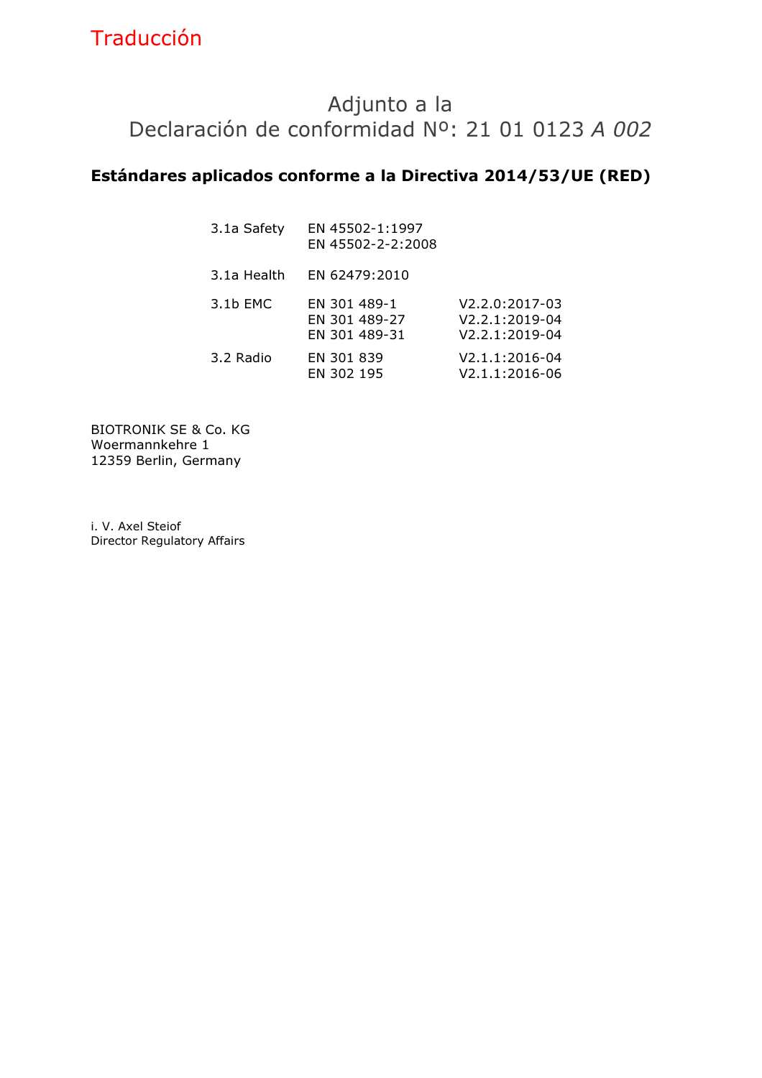## Traducción

## Adjunto a la Declaración de conformidad Nº: 21 01 0123 A 002

### Estándares aplicados conforme a la Directiva 2014/53/UE (RED)

| 3.1a Safety | EN 45502-1:1997<br>EN 45502-2-2:2008           |                                                                              |
|-------------|------------------------------------------------|------------------------------------------------------------------------------|
| 3.1a Health | EN 62479:2010                                  |                                                                              |
| $3.1b$ EMC  | EN 301 489-1<br>EN 301 489-27<br>EN 301 489-31 | V <sub>2</sub> .2.0:2017-03<br>V2.2.1:2019-04<br>V <sub>2</sub> .2.1:2019-04 |
| 3.2 Radio   | EN 301 839<br>EN 302 195                       | V2.1.1:2016-04<br>V2.1.1:2016-06                                             |

BIOTRONIK SE & Co. KG Woermannkehre 1 12359 Berlin, Germany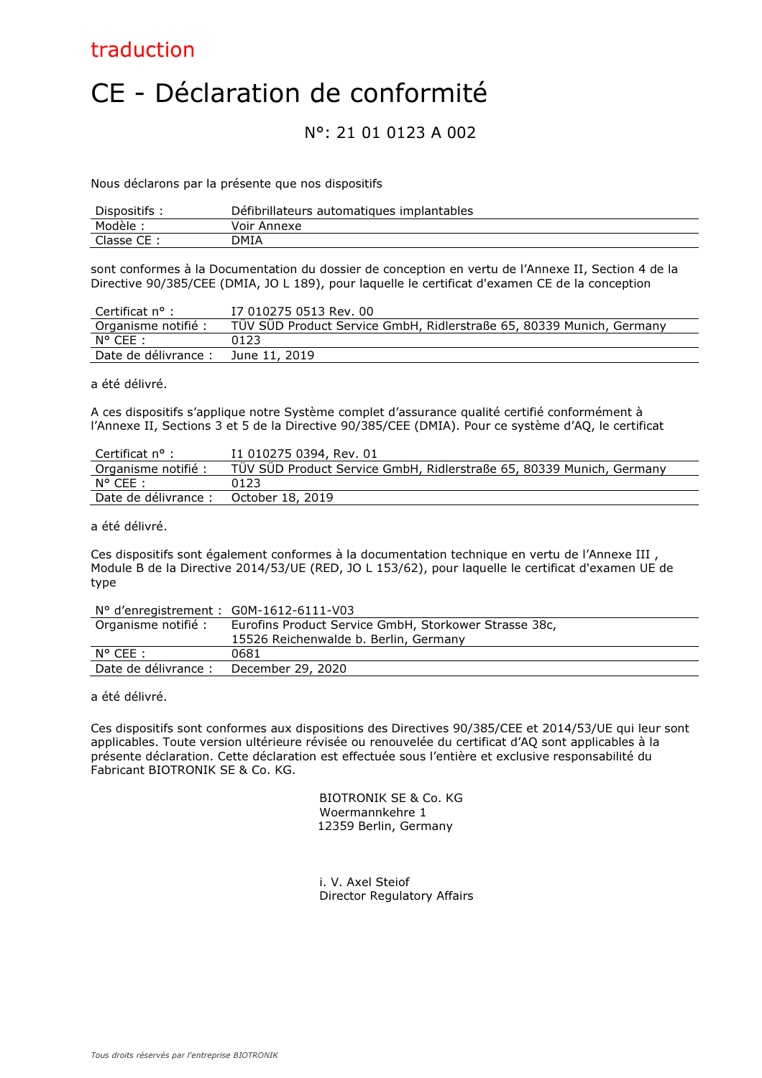# CE - Déclaration de conformité

#### N°: 21 01 0123 A 002

Nous déclarons par la présente que nos dispositifs

| Dispositifs: | Défibrillateurs automatiques implantables |
|--------------|-------------------------------------------|
| Modèle:      | Voir Annexe                               |
| Classe CE :  | DMIA                                      |

sont conformes à la Documentation du dossier de conception en vertu de l'Annexe II, Section 4 de la Directive 90/385/CEE (DMIA, JO L 189), pour laquelle le certificat d'examen CE de la conception

| Certificat $n^{\circ}$ : | I7 010275 0513 Rev. 00                                               |
|--------------------------|----------------------------------------------------------------------|
| Organisme notifié :      | TÜV SÜD Product Service GmbH, Ridlerstraße 65, 80339 Munich, Germany |
| $N^{\circ}$ CEE :        | 0123                                                                 |
| Date de délivrance :     | June 11, 2019                                                        |

a été délivré.

A ces dispositifs s'applique notre Système complet d'assurance qualité certifié conformément à l'Annexe II, Sections 3 et 5 de la Directive 90/385/CEE (DMIA). Pour ce système d'AQ, le certificat

| Certificat n°:       | I1 010275 0394, Rev. 01                                              |
|----------------------|----------------------------------------------------------------------|
| Organisme notifié :  | TUV SUD Product Service GmbH, Ridlerstraße 65, 80339 Munich, Germany |
| $N^{\circ}$ CEE :    | 0123                                                                 |
| Date de délivrance : | October 18, 2019                                                     |

a été délivré.

Ces dispositifs sont également conformes à la documentation technique en vertu de l'Annexe III , Module B de la Directive 2014/53/UE (RED, JO L 153/62), pour laquelle le certificat d'examen UE de type

N° d'enregistrement : G0M-1612-6111-V03

| Organisme notifié :  | Eurofins Product Service GmbH, Storkower Strasse 38c, |
|----------------------|-------------------------------------------------------|
|                      | 15526 Reichenwalde b. Berlin, Germany                 |
| $N^{\circ}$ CEE :    | 0681                                                  |
| Date de délivrance : | December 29, 2020                                     |

a été délivré.

Ces dispositifs sont conformes aux dispositions des Directives 90/385/CEE et 2014/53/UE qui leur sont applicables. Toute version ultérieure révisée ou renouvelée du certificat d'AQ sont applicables à la présente déclaration. Cette déclaration est effectuée sous l'entière et exclusive responsabilité du Fabricant BIOTRONIK SE & Co. KG.

> BIOTRONIK SE & Co. KG Woermannkehre 1 12359 Berlin, Germany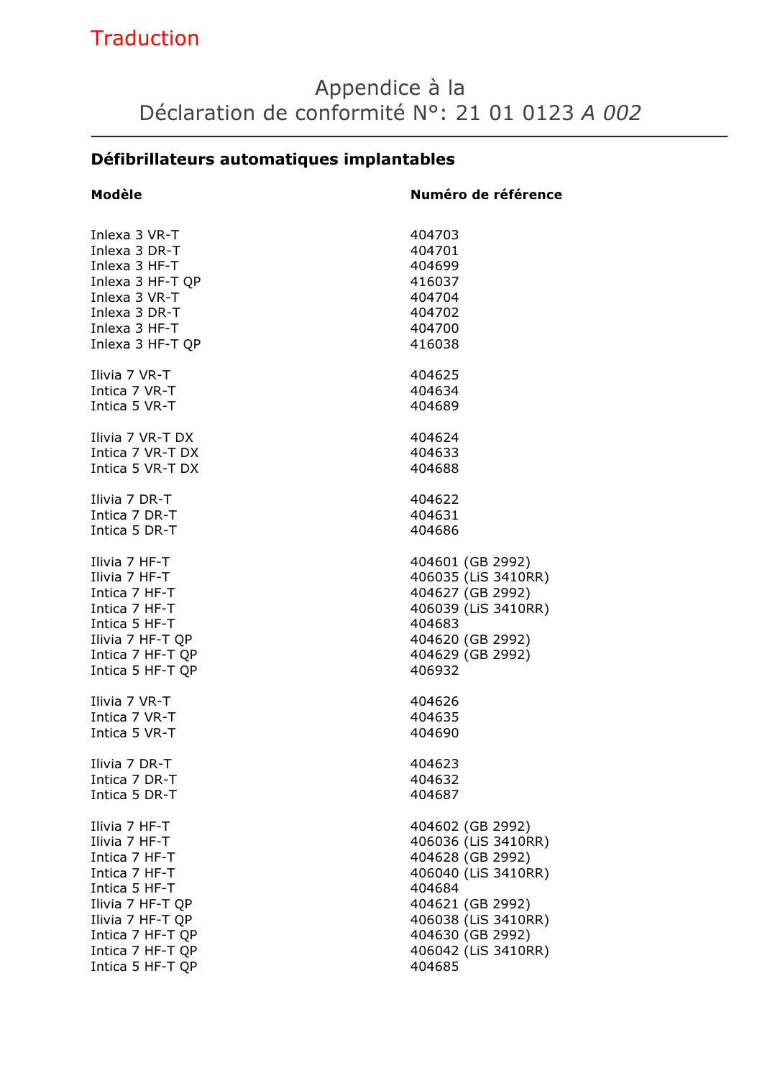## **Traduction**

### Appendice à la Déclaration de conformité N°: 21 01 0123 A 002

### Défibrillateurs automatiques implantables

| Modèle           | Numéro de référence |
|------------------|---------------------|
| Inlexa 3 VR-T    | 404703              |
| Inlexa 3 DR-T    | 404701              |
| Inlexa 3 HF-T    | 404699              |
| Inlexa 3 HF-T QP | 416037              |
| Inlexa 3 VR-T    | 404704              |
| Inlexa 3 DR-T    | 404702              |
| Inlexa 3 HF-T    | 404700              |
| Inlexa 3 HF-T QP | 416038              |
| Ilivia 7 VR-T    | 404625              |
| Intica 7 VR-T    | 404634              |
| Intica 5 VR-T    | 404689              |
| Ilivia 7 VR-T DX | 404624              |
| Intica 7 VR-T DX | 404633              |
| Intica 5 VR-T DX | 404688              |
| Ilivia 7 DR-T    | 404622              |
| Intica 7 DR-T    | 404631              |
| Intica 5 DR-T    | 404686              |
| Ilivia 7 HF-T    | 404601 (GB 2992)    |
| Ilivia 7 HF-T    | 406035 (LiS 3410RR) |
| Intica 7 HF-T    | 404627 (GB 2992)    |
| Intica 7 HF-T    | 406039 (LiS 3410RR) |
| Intica 5 HF-T    | 404683              |
| Ilivia 7 HF-T QP | 404620 (GB 2992)    |
| Intica 7 HF-T QP | 404629 (GB 2992)    |
| Intica 5 HF-T QP | 406932              |
| Ilivia 7 VR-T    | 404626              |
| Intica 7 VR-T    | 404635              |
| Intica 5 VR-T    | 404690              |
| Ilivia 7 DR-T    | 404623              |
| Intica 7 DR-T    | 404632              |
| Intica 5 DR-T    | 404687              |
| Ilivia 7 HF-T    | 404602 (GB 2992)    |
| Ilivia 7 HF-T    | 406036 (LiS 3410RR) |
| Intica 7 HF-T    | 404628 (GB 2992)    |
| Intica 7 HF-T    | 406040 (LiS 3410RR) |
| Intica 5 HF-T    | 404684              |
| Ilivia 7 HF-T OP | 404621 (GB 2992)    |
| Ilivia 7 HF-T QP | 406038 (LiS 3410RR) |
| Intica 7 HF-T QP | 404630 (GB 2992)    |
| Intica 7 HF-T QP | 406042 (LiS 3410RR) |
| Intica 5 HF-T QP | 404685              |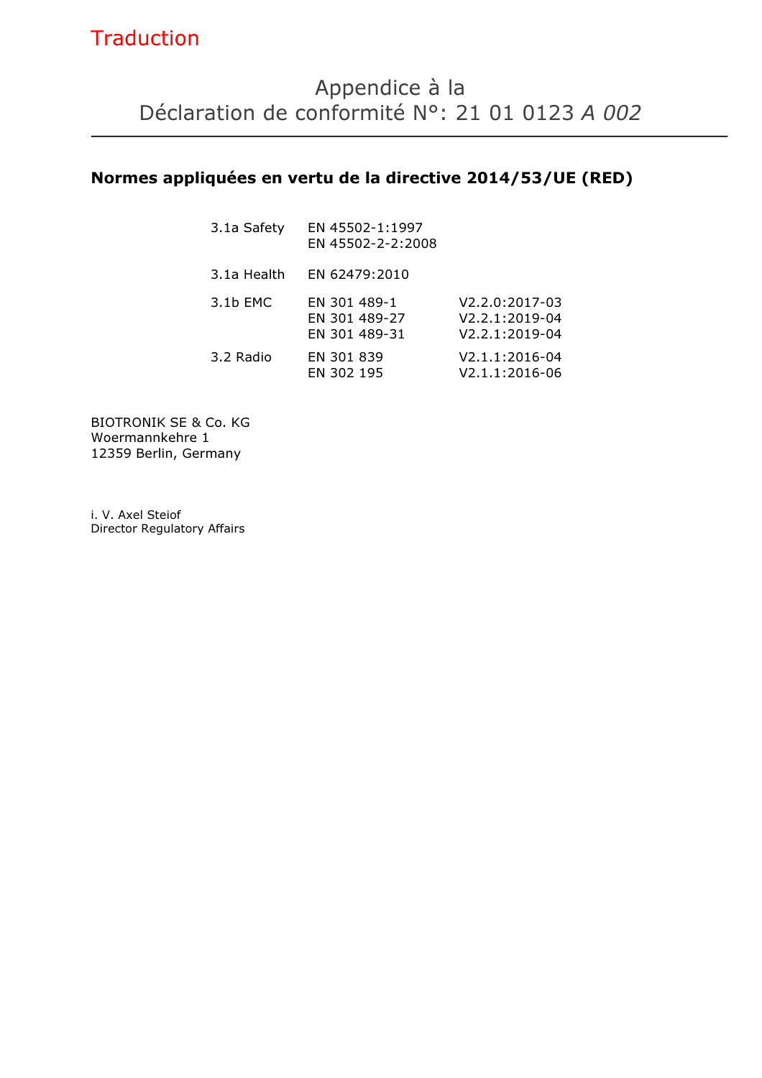## **Traduction**

### Normes appliquées en vertu de la directive 2014/53/UE (RED)

| 3.1a Safety | EN 45502-1:1997<br>EN 45502-2-2:2008           |                                                                 |
|-------------|------------------------------------------------|-----------------------------------------------------------------|
| 3.1a Health | EN 62479:2010                                  |                                                                 |
| $3.1b$ EMC  | EN 301 489-1<br>EN 301 489-27<br>EN 301 489-31 | V2.2.0:2017-03<br>V <sub>2</sub> .2.1:2019-04<br>V2.2.1:2019-04 |
| 3.2 Radio   | EN 301 839<br>EN 302 195                       | V2.1.1:2016-04<br>V2.1.1:2016-06                                |

BIOTRONIK SE & Co. KG Woermannkehre 1 12359 Berlin, Germany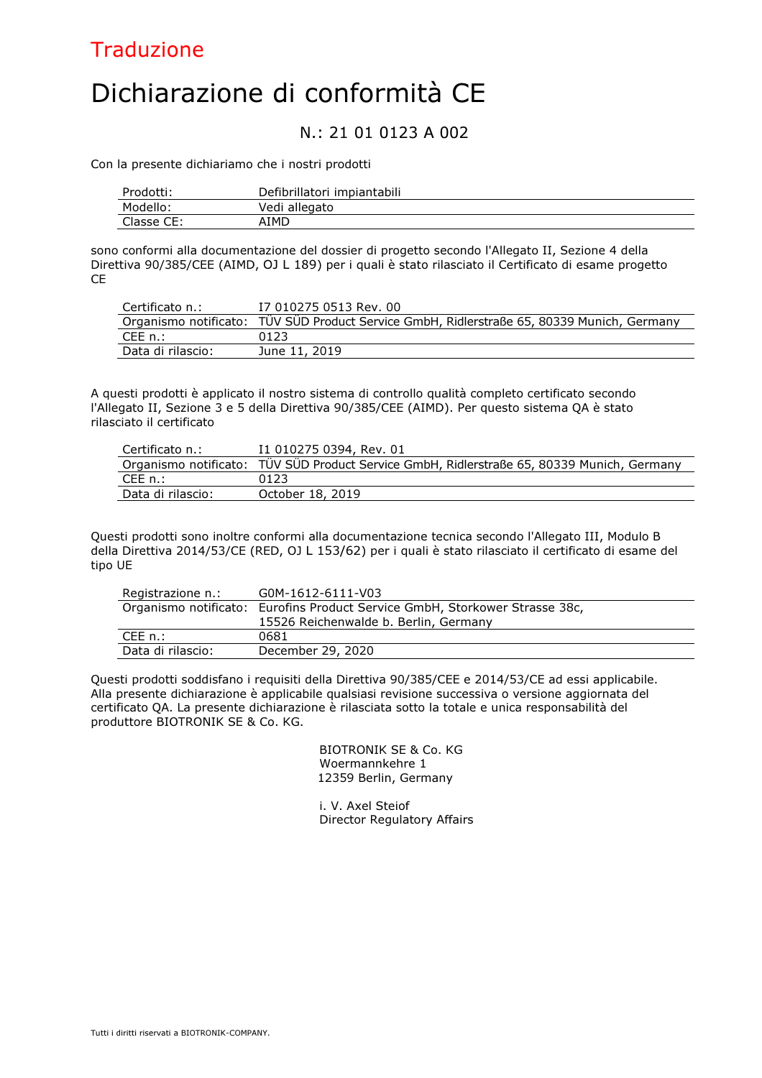## Traduzione

# Dichiarazione di conformità CE

#### N.: 21 01 0123 A 002

Con la presente dichiariamo che i nostri prodotti

| Prodotti:  | Defibrillatori impiantabili |
|------------|-----------------------------|
| Modello:   | Vedi allegato               |
| Classe CE: | AIMD                        |

sono conformi alla documentazione del dossier di progetto secondo l'Allegato II, Sezione 4 della Direttiva 90/385/CEE (AIMD, OJ L 189) per i quali è stato rilasciato il Certificato di esame progetto CE

| Certificato n.:   | I7 010275 0513 Rev. 00                                                                     |
|-------------------|--------------------------------------------------------------------------------------------|
|                   | Organismo notificato: TUV SUD Product Service GmbH, Ridlerstraße 65, 80339 Munich, Germany |
| CEE n.:           | 0123                                                                                       |
| Data di rilascio: | June 11, 2019                                                                              |

A questi prodotti è applicato il nostro sistema di controllo qualità completo certificato secondo l'Allegato II, Sezione 3 e 5 della Direttiva 90/385/CEE (AIMD). Per questo sistema QA è stato rilasciato il certificato

| Certificato n.:   | I1 010275 0394, Rev. 01                                                                    |
|-------------------|--------------------------------------------------------------------------------------------|
|                   | Organismo notificato: TUV SUD Product Service GmbH, Ridlerstraße 65, 80339 Munich, Germany |
| CEE n.:           | 0123                                                                                       |
| Data di rilascio: | October 18, 2019                                                                           |

Questi prodotti sono inoltre conformi alla documentazione tecnica secondo l'Allegato III, Modulo B della Direttiva 2014/53/CE (RED, OJ L 153/62) per i quali è stato rilasciato il certificato di esame del tipo UE

| Registrazione n.: | G0M-1612-6111-V03                                                           |
|-------------------|-----------------------------------------------------------------------------|
|                   | Organismo notificato: Eurofins Product Service GmbH, Storkower Strasse 38c, |
|                   | 15526 Reichenwalde b. Berlin, Germany                                       |
| CEE n.:           | 0681                                                                        |
| Data di rilascio: | December 29, 2020                                                           |

Questi prodotti soddisfano i requisiti della Direttiva 90/385/CEE e 2014/53/CE ad essi applicabile. Alla presente dichiarazione è applicabile qualsiasi revisione successiva o versione aggiornata del certificato QA. La presente dichiarazione è rilasciata sotto la totale e unica responsabilità del produttore BIOTRONIK SE & Co. KG.

> BIOTRONIK SE & Co. KG Woermannkehre 1 12359 Berlin, Germany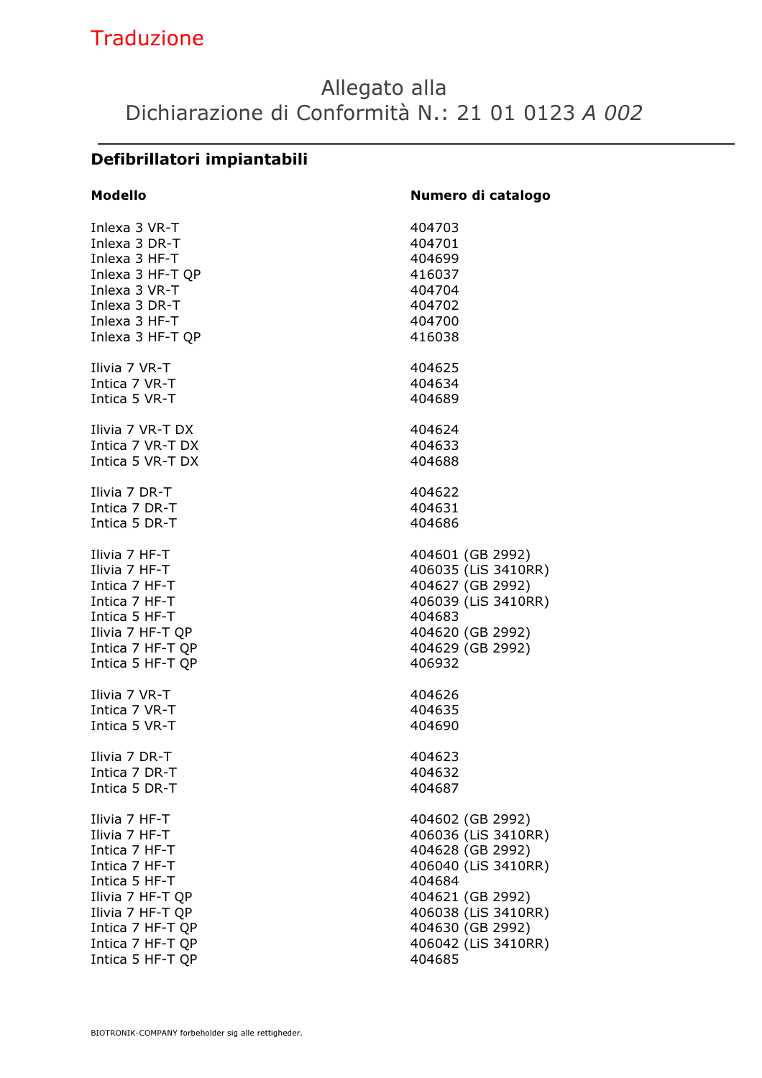## **Traduzione**

### Allegato alla Dichiarazione di Conformità N.: 21 01 0123 A 002

### Defibrillatori impiantabili

| <b>Modello</b>   | Numero di catalogo  |
|------------------|---------------------|
| Inlexa 3 VR-T    | 404703              |
| Inlexa 3 DR-T    | 404701              |
| Inlexa 3 HF-T    | 404699              |
| Inlexa 3 HF-T QP | 416037              |
| Inlexa 3 VR-T    | 404704              |
| Inlexa 3 DR-T    | 404702              |
| Inlexa 3 HF-T    | 404700              |
| Inlexa 3 HF-T QP | 416038              |
| Ilivia 7 VR-T    | 404625              |
| Intica 7 VR-T    | 404634              |
| Intica 5 VR-T    | 404689              |
| Ilivia 7 VR-T DX | 404624              |
| Intica 7 VR-T DX | 404633              |
| Intica 5 VR-T DX | 404688              |
| Ilivia 7 DR-T    | 404622              |
| Intica 7 DR-T    | 404631              |
| Intica 5 DR-T    | 404686              |
| Ilivia 7 HF-T    | 404601 (GB 2992)    |
| Ilivia 7 HF-T    | 406035 (LiS 3410RR) |
| Intica 7 HF-T    | 404627 (GB 2992)    |
| Intica 7 HF-T    | 406039 (LiS 3410RR) |
| Intica 5 HF-T    | 404683              |
| Ilivia 7 HF-T QP | 404620 (GB 2992)    |
| Intica 7 HF-T QP | 404629 (GB 2992)    |
| Intica 5 HF-T QP | 406932              |
| Ilivia 7 VR-T    | 404626              |
| Intica 7 VR-T    | 404635              |
| Intica 5 VR-T    | 404690              |
| Ilivia 7 DR-T    | 404623              |
| Intica 7 DR-T    | 404632              |
| Intica 5 DR-T    | 404687              |
| Ilivia 7 HF-T    | 404602 (GB 2992)    |
| Ilivia 7 HF-T    | 406036 (LiS 3410RR) |
| Intica 7 HF-T    | 404628 (GB 2992)    |
| Intica 7 HF-T    | 406040 (LiS 3410RR) |
| Intica 5 HF-T    | 404684              |
| Ilivia 7 HF-T QP | 404621 (GB 2992)    |
| Ilivia 7 HF-T QP | 406038 (LiS 3410RR) |
| Intica 7 HF-T QP | 404630 (GB 2992)    |
| Intica 7 HF-T QP | 406042 (LiS 3410RR) |
| Intica 5 HF-T QP | 404685              |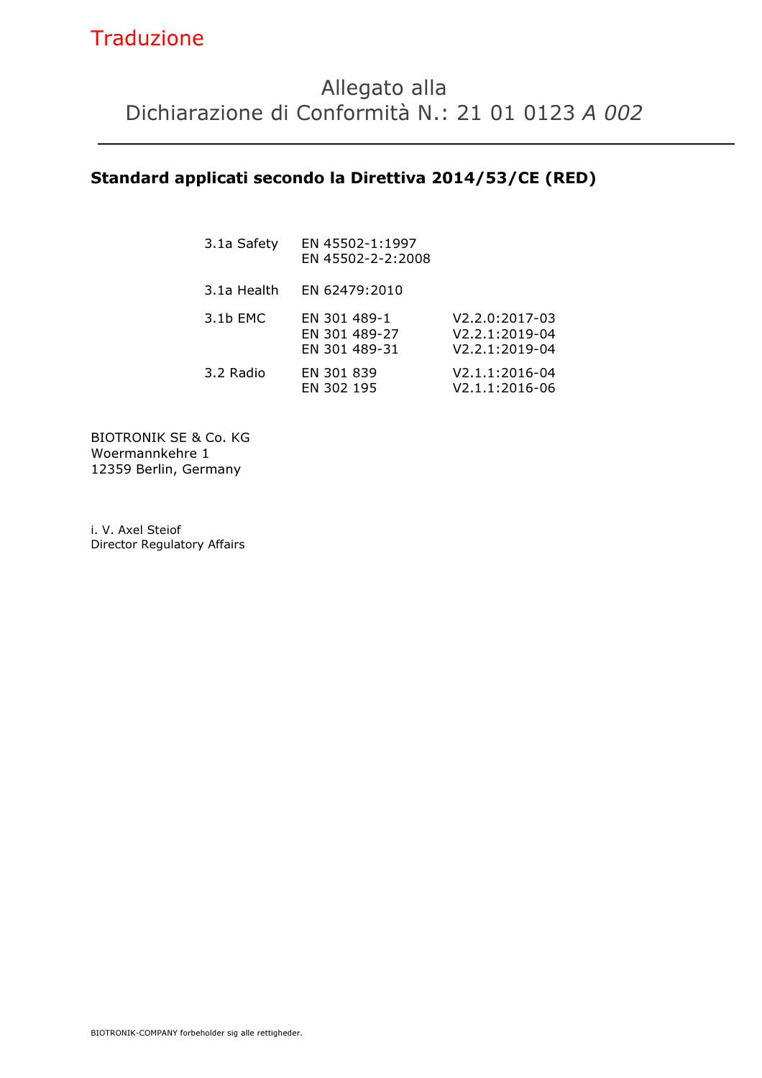### Standard applicati secondo la Direttiva 2014/53/CE (RED)

| 3.1a Safety | EN 45502-1:1997<br>EN 45502-2-2:2008           |                                                        |
|-------------|------------------------------------------------|--------------------------------------------------------|
| 3.1a Health | EN 62479:2010                                  |                                                        |
| 3.1b EMC    | EN 301 489-1<br>EN 301 489-27<br>EN 301 489-31 | V2.2.0:2017-03<br>$V2.2.1:2019-04$<br>$V2.2.1:2019-04$ |
| 3.2 Radio   | EN 301 839<br>EN 302 195                       | V2.1.1:2016-04<br>V2.1.1:2016-06                       |

BIOTRONIK SE & Co. KG Woermannkehre 1 12359 Berlin, Germany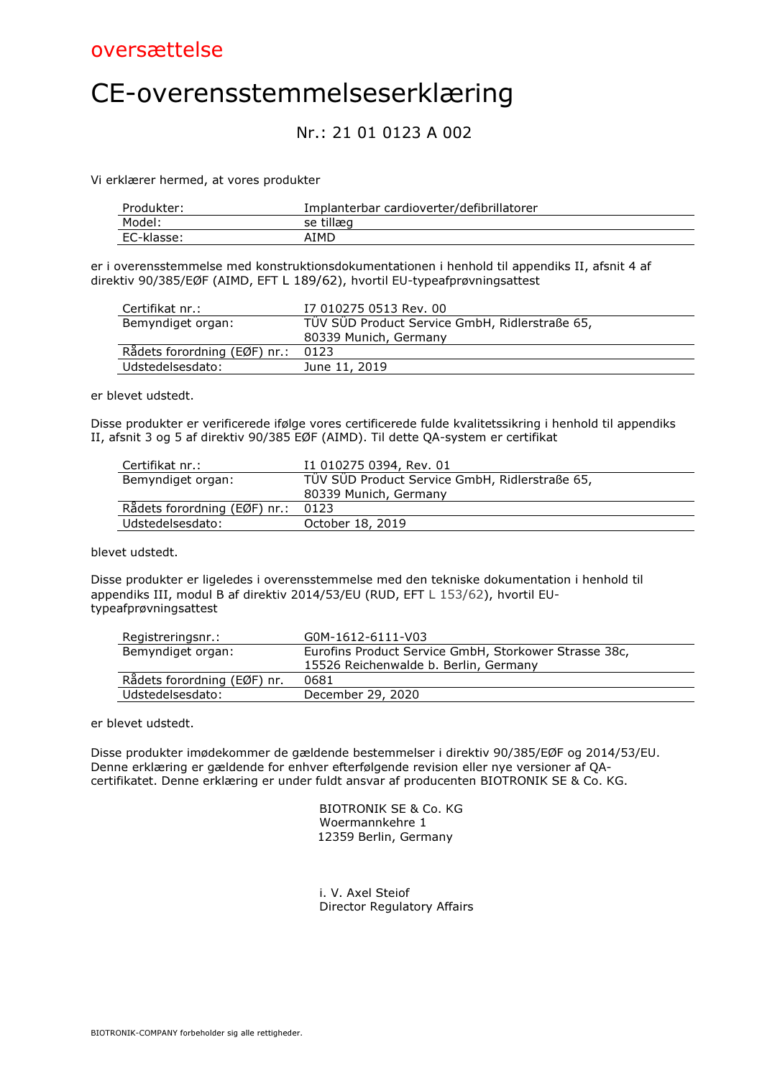

# CE-overensstemmelseserklæring

### Nr.: 21 01 0123 A 002

Vi erklærer hermed, at vores produkter

| Produkter: | Implanterbar cardioverter/defibrillatorer |
|------------|-------------------------------------------|
| Model:     | se tillæg                                 |
| EC-klasse: | AIMD                                      |

er i overensstemmelse med konstruktionsdokumentationen i henhold til appendiks II, afsnit 4 af direktiv 90/385/EØF (AIMD, EFT L 189/62), hvortil EU-typeafprøvningsattest

| Certifikat nr.:              | I7 010275 0513 Rev. 00                         |
|------------------------------|------------------------------------------------|
| Bemyndiget organ:            | TÜV SÜD Product Service GmbH, Ridlerstraße 65, |
|                              | 80339 Munich, Germany                          |
| Rådets forordning (EØF) nr.: | 0123                                           |
| Udstedelsesdato:             | June 11, 2019                                  |

er blevet udstedt.

Disse produkter er verificerede ifølge vores certificerede fulde kvalitetssikring i henhold til appendiks II, afsnit 3 og 5 af direktiv 90/385 EØF (AIMD). Til dette QA-system er certifikat

| Certifikat nr.:                   | I1 010275 0394, Rev. 01                        |  |
|-----------------------------------|------------------------------------------------|--|
| Bemyndiget organ:                 | TÜV SÜD Product Service GmbH, Ridlerstraße 65, |  |
|                                   | 80339 Munich, Germany                          |  |
| Rådets forordning (EØF) nr.: 0123 |                                                |  |
| Udstedelsesdato:                  | October 18, 2019                               |  |

blevet udstedt.

Disse produkter er ligeledes i overensstemmelse med den tekniske dokumentation i henhold til appendiks III, modul B af direktiv 2014/53/EU (RUD, EFT L 153/62), hvortil EUtypeafprøvningsattest

| Registreringsnr.:           | G0M-1612-6111-V03                                     |
|-----------------------------|-------------------------------------------------------|
| Bemyndiget organ:           | Eurofins Product Service GmbH, Storkower Strasse 38c, |
|                             | 15526 Reichenwalde b. Berlin, Germany                 |
| Rådets forordning (EØF) nr. | 0681                                                  |
| Udstedelsesdato:            | December 29, 2020                                     |

er blevet udstedt.

Disse produkter imødekommer de gældende bestemmelser i direktiv 90/385/EØF og 2014/53/EU. Denne erklæring er gældende for enhver efterfølgende revision eller nye versioner af QAcertifikatet. Denne erklæring er under fuldt ansvar af producenten BIOTRONIK SE & Co. KG.

> BIOTRONIK SE & Co. KG Woermannkehre 1 12359 Berlin, Germany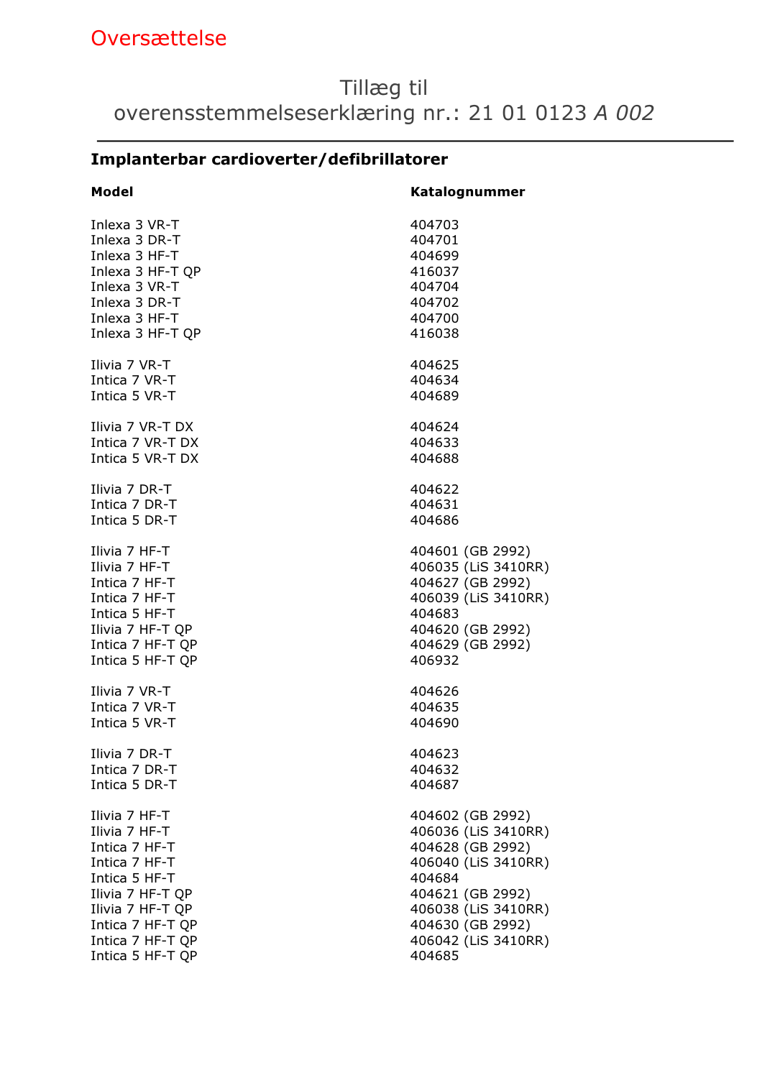## Oversættelse

## Tillæg til overensstemmelseserklæring nr.: 21 01 0123 A 002

### Implanterbar cardioverter/defibrillatorer

| Model            | Katalognummer       |
|------------------|---------------------|
| Inlexa 3 VR-T    | 404703              |
| Inlexa 3 DR-T    | 404701              |
| Inlexa 3 HF-T    | 404699              |
| Inlexa 3 HF-T QP | 416037              |
| Inlexa 3 VR-T    | 404704              |
| Inlexa 3 DR-T    | 404702              |
| Inlexa 3 HF-T    | 404700              |
| Inlexa 3 HF-T QP | 416038              |
| Ilivia 7 VR-T    | 404625              |
| Intica 7 VR-T    | 404634              |
| Intica 5 VR-T    | 404689              |
| Ilivia 7 VR-T DX | 404624              |
| Intica 7 VR-T DX | 404633              |
| Intica 5 VR-T DX | 404688              |
| Ilivia 7 DR-T    | 404622              |
| Intica 7 DR-T    | 404631              |
| Intica 5 DR-T    | 404686              |
| Ilivia 7 HF-T    | 404601 (GB 2992)    |
| Ilivia 7 HF-T    | 406035 (LiS 3410RR) |
| Intica 7 HF-T    | 404627 (GB 2992)    |
| Intica 7 HF-T    | 406039 (LiS 3410RR) |
| Intica 5 HF-T    | 404683              |
| Ilivia 7 HF-T QP | 404620 (GB 2992)    |
| Intica 7 HF-T QP | 404629 (GB 2992)    |
| Intica 5 HF-T QP | 406932              |
| Ilivia 7 VR-T    | 404626              |
| Intica 7 VR-T    | 404635              |
| Intica 5 VR-T    | 404690              |
| Tlivia 7 DR-T    | 404623              |
| Intica 7 DR-T    | 404632              |
| Intica 5 DR-T    | 404687              |
| Ilivia 7 HF-T    | 404602 (GB 2992)    |
| Ilivia 7 HF-T    | 406036 (LiS 3410RR) |
| Intica 7 HF-T    | 404628 (GB 2992)    |
| Intica 7 HF-T    | 406040 (LiS 3410RR) |
| Intica 5 HF-T    | 404684              |
| Ilivia 7 HF-T QP | 404621 (GB 2992)    |
| Ilivia 7 HF-T QP | 406038 (LiS 3410RR) |
| Intica 7 HF-T QP | 404630 (GB 2992)    |
| Intica 7 HF-T QP | 406042 (LiS 3410RR) |
| Intica 5 HF-T QP | 404685              |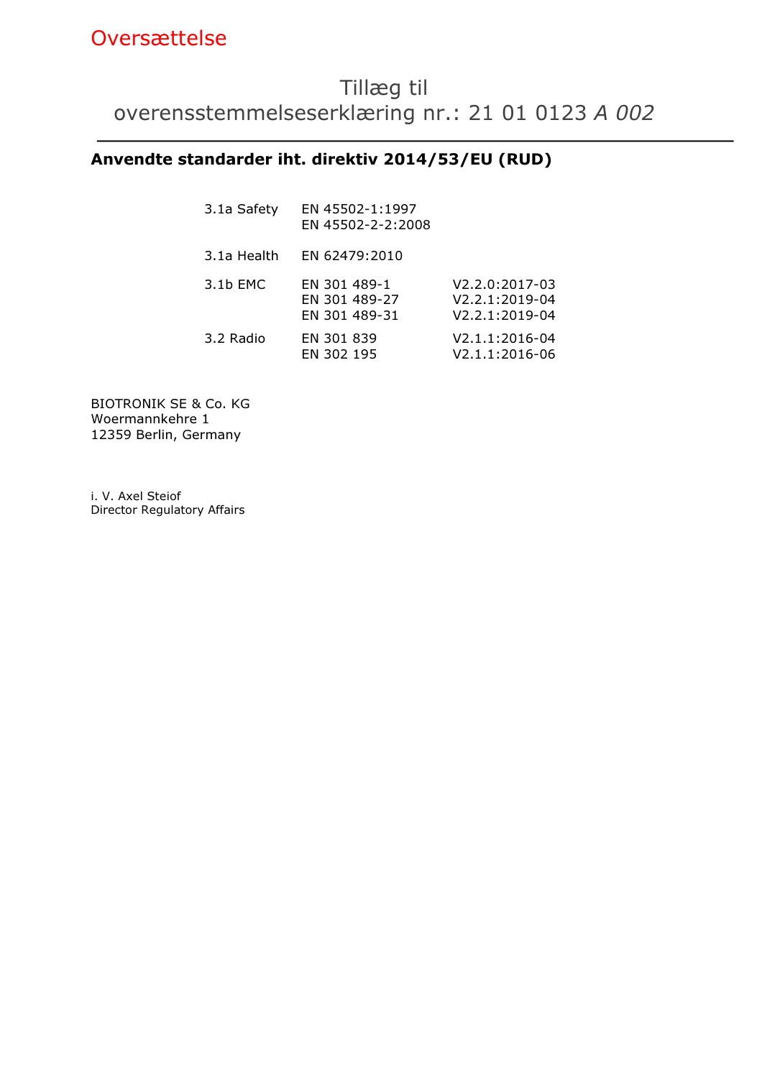## Tillæg til overensstemmelseserklæring nr.: 21 01 0123 A 002

### Anvendte standarder iht. direktiv 2014/53/EU (RUD)

| 3.1a Safety | EN 45502-1:1997<br>EN 45502-2-2:2008           |                                                        |
|-------------|------------------------------------------------|--------------------------------------------------------|
| 3.1a Health | EN 62479:2010                                  |                                                        |
| 3.1b EMC    | EN 301 489-1<br>EN 301 489-27<br>EN 301 489-31 | $V2.2.0:2017-03$<br>$V2.2.1:2019-04$<br>V2.2.1:2019-04 |
| 3.2 Radio   | EN 301 839<br>EN 302 195                       | $V2.1.1:2016-04$<br>V2.1.1:2016-06                     |

BIOTRONIK SE & Co. KG Woermannkehre 1 12359 Berlin, Germany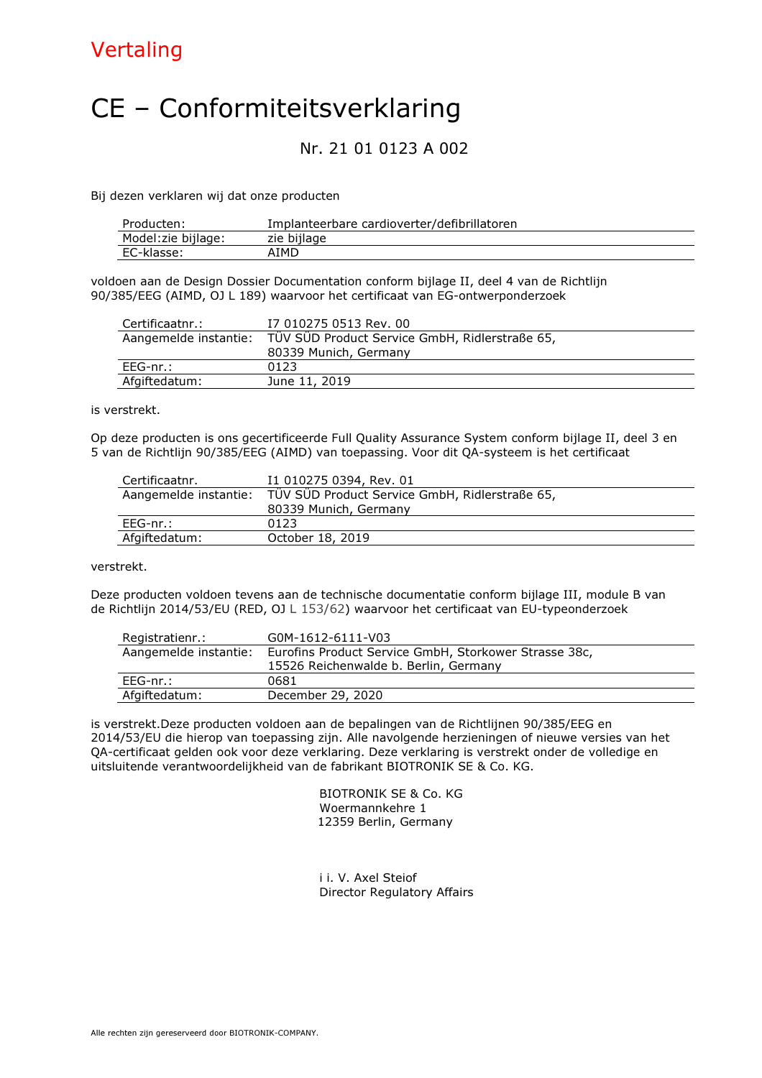## Vertaling

# CE – Conformiteitsverklaring

#### Nr. 21 01 0123 A 002

Bij dezen verklaren wij dat onze producten

| Producten:         | Implanteerbare cardioverter/defibrillatoren |
|--------------------|---------------------------------------------|
| Model:zie bijlage: | zie bijlage                                 |
| EC-klasse:         | AIMD                                        |

voldoen aan de Design Dossier Documentation conform bijlage II, deel 4 van de Richtlijn 90/385/EEG (AIMD, OJ L 189) waarvoor het certificaat van EG-ontwerponderzoek

| Certificaatnr.:       | I7 010275 0513 Rev. 00                         |
|-----------------------|------------------------------------------------|
| Aangemelde instantie: | TÜV SÜD Product Service GmbH, Ridlerstraße 65, |
|                       | 80339 Munich, Germany                          |
| EEG-nr.:              | 0123                                           |
| Afgiftedatum:         | June 11, 2019                                  |

is verstrekt.

Op deze producten is ons gecertificeerde Full Quality Assurance System conform bijlage II, deel 3 en 5 van de Richtlijn 90/385/EEG (AIMD) van toepassing. Voor dit QA-systeem is het certificaat

| Certificaatnr.        | I1 010275 0394, Rev. 01                        |
|-----------------------|------------------------------------------------|
| Aangemelde instantie: | TÜV SÜD Product Service GmbH, Ridlerstraße 65, |
|                       | 80339 Munich, Germany                          |
| EEG-nr.:              | 0123                                           |
| Afgiftedatum:         | October 18, 2019                               |
|                       |                                                |

verstrekt.

Deze producten voldoen tevens aan de technische documentatie conform bijlage III, module B van de Richtlijn 2014/53/EU (RED, OJ L 153/62) waarvoor het certificaat van EU-typeonderzoek

| Registratienr.:       | G0M-1612-6111-V03                                     |
|-----------------------|-------------------------------------------------------|
| Aangemelde instantie: | Eurofins Product Service GmbH, Storkower Strasse 38c, |
|                       | 15526 Reichenwalde b. Berlin, Germany                 |
| EEG-nr.:              | 0681                                                  |
| Afgiftedatum:         | December 29, 2020                                     |

is verstrekt.Deze producten voldoen aan de bepalingen van de Richtlijnen 90/385/EEG en 2014/53/EU die hierop van toepassing zijn. Alle navolgende herzieningen of nieuwe versies van het QA-certificaat gelden ook voor deze verklaring. Deze verklaring is verstrekt onder de volledige en uitsluitende verantwoordelijkheid van de fabrikant BIOTRONIK SE & Co. KG.

> BIOTRONIK SE & Co. KG Woermannkehre 1 12359 Berlin, Germany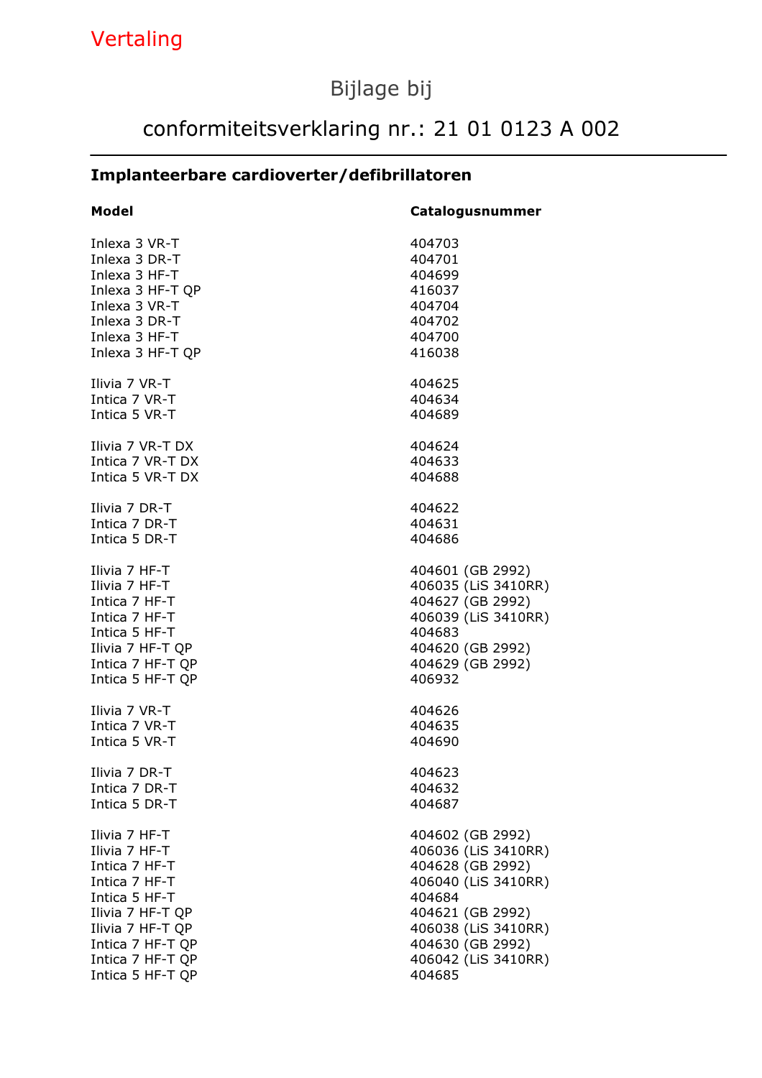# Bijlage bij

## conformiteitsverklaring nr.: 21 01 0123 A 002

### Implanteerbare cardioverter/defibrillatoren

| <b>Model</b>                         | Catalogusnummer               |
|--------------------------------------|-------------------------------|
| Inlexa 3 VR-T                        | 404703                        |
| Inlexa 3 DR-T                        | 404701                        |
| Inlexa 3 HF-T                        | 404699                        |
| Inlexa 3 HF-T QP                     | 416037                        |
| Inlexa 3 VR-T                        | 404704                        |
| Inlexa 3 DR-T                        | 404702                        |
| Inlexa 3 HF-T                        | 404700                        |
| Inlexa 3 HF-T QP                     | 416038                        |
| Ilivia 7 VR-T                        | 404625                        |
| Intica 7 VR-T                        | 404634                        |
| Intica 5 VR-T                        | 404689                        |
| Ilivia 7 VR-T DX                     | 404624                        |
| Intica 7 VR-T DX                     | 404633                        |
| Intica 5 VR-T DX                     | 404688                        |
| Ilivia 7 DR-T                        | 404622                        |
| Intica 7 DR-T                        | 404631                        |
| Intica 5 DR-T                        | 404686                        |
| Ilivia 7 HF-T                        | 404601 (GB 2992)              |
| Ilivia 7 HF-T                        | 406035 (LiS 3410RR)           |
| Intica 7 HF-T                        | 404627 (GB 2992)              |
| Intica 7 HF-T                        | 406039 (LiS 3410RR)           |
| Intica 5 HF-T                        | 404683                        |
| Ilivia 7 HF-T QP                     | 404620 (GB 2992)              |
| Intica 7 HF-T QP                     | 404629 (GB 2992)              |
| Intica 5 HF-T OP                     | 406932                        |
| Ilivia 7 VR-T                        | 404626                        |
| Intica 7 VR-T                        | 404635                        |
| Intica 5 VR-T                        | 404690                        |
| Ilivia 7 DR-T                        | 404623                        |
| Intica 7 DR-T                        | 404632                        |
| Intica 5 DR-T                        | 404687                        |
| Ilivia 7 HF-T                        | 404602 (GB 2992)              |
| Ilivia 7 HF-T                        | 406036 (LiS 3410RR)           |
| Intica 7 HF-T                        | 404628 (GB 2992)              |
| Intica 7 HF-T                        | 406040 (LiS 3410RR)           |
| Intica 5 HF-T                        | 404684                        |
| Ilivia 7 HF-T QP                     | 404621 (GB 2992)              |
| Ilivia 7 HF-T QP                     | 406038 (LiS 3410RR)           |
| Intica 7 HF-T QP                     | 404630 (GB 2992)              |
| Intica 7 HF-T QP<br>Intica 5 HF-T QP | 406042 (LiS 3410RR)<br>404685 |
|                                      |                               |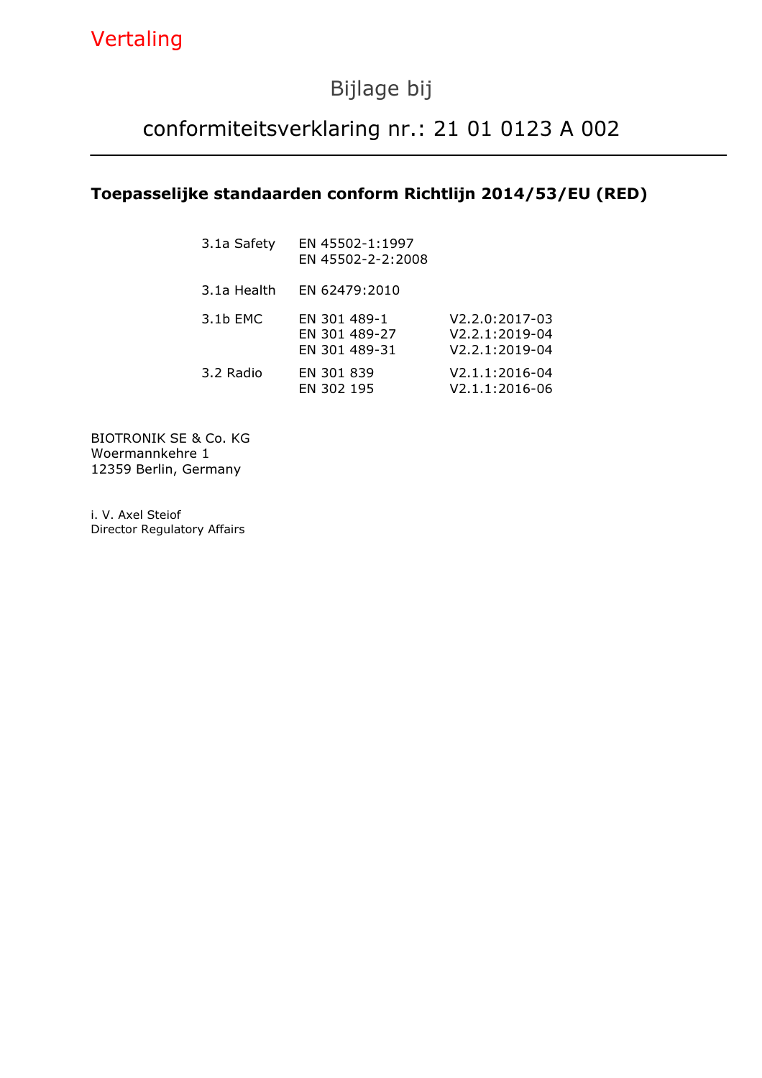## Bijlage bij

## conformiteitsverklaring nr.: 21 01 0123 A 002

### Toepasselijke standaarden conform Richtlijn 2014/53/EU (RED)

| EN 45502-1:1997<br>EN 45502-2-2:2008           |                                                      |
|------------------------------------------------|------------------------------------------------------|
| EN 62479:2010                                  |                                                      |
| EN 301 489-1<br>EN 301 489-27<br>EN 301 489-31 | $V2.2.0:2017-03$<br>V2.2.1:2019-04<br>V2.2.1:2019-04 |
| EN 301 839<br>EN 302 195                       | V2.1.1:2016-04<br>V2.1.1:2016-06                     |
|                                                |                                                      |

BIOTRONIK SE & Co. KG Woermannkehre 1 12359 Berlin, Germany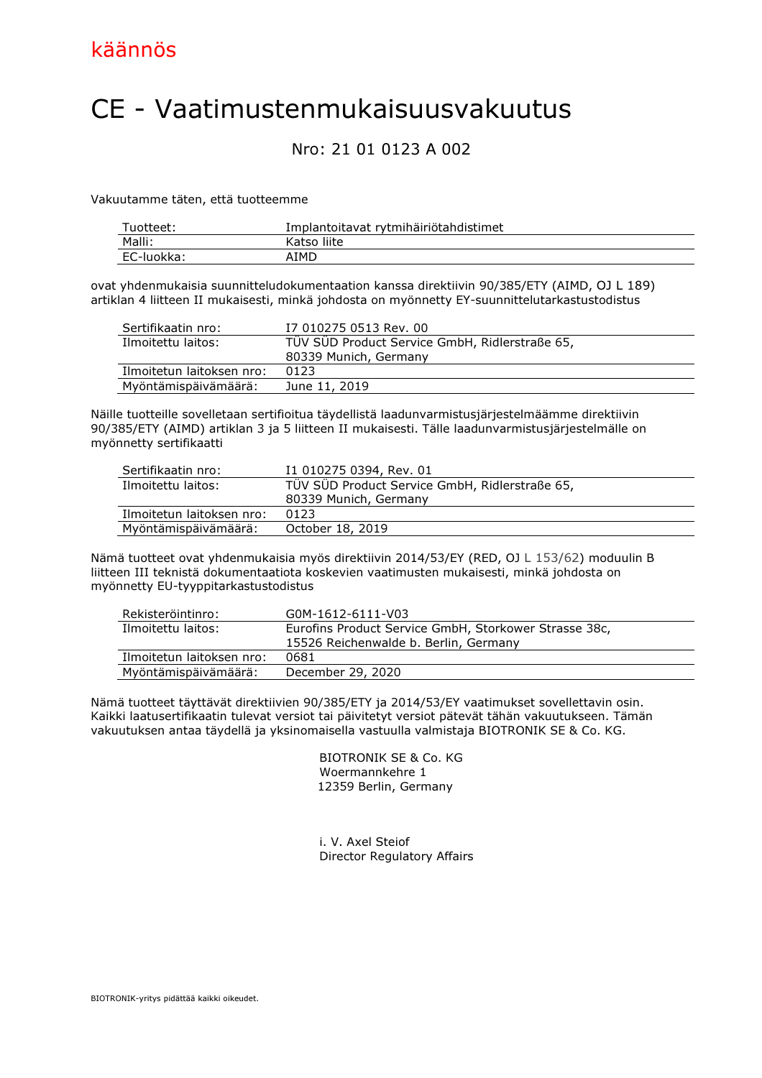# CE - Vaatimustenmukaisuusvakuutus

#### Nro: 21 01 0123 A 002

Vakuutamme täten, että tuotteemme

| uotteet:   | Implantoitavat rytmihäiriötahdistimet |
|------------|---------------------------------------|
| Malli:     | Katso liite                           |
| EC-luokka: | AIMD                                  |

ovat yhdenmukaisia suunnitteludokumentaation kanssa direktiivin 90/385/ETY (AIMD, OJ L 189) artiklan 4 liitteen II mukaisesti, minkä johdosta on myönnetty EY-suunnittelutarkastustodistus

| Sertifikaatin nro:        | I7 010275 0513 Rev. 00                         |
|---------------------------|------------------------------------------------|
| Ilmoitettu laitos:        | TÜV SÜD Product Service GmbH, Ridlerstraße 65, |
|                           | 80339 Munich, Germany                          |
| Ilmoitetun laitoksen nro: | 0123                                           |
| Myöntämispäivämäärä:      | June 11, 2019                                  |

Näille tuotteille sovelletaan sertifioitua täydellistä laadunvarmistusjärjestelmäämme direktiivin 90/385/ETY (AIMD) artiklan 3 ja 5 liitteen II mukaisesti. Tälle laadunvarmistusjärjestelmälle on myönnetty sertifikaatti

| Sertifikaatin nro:        | I1 010275 0394, Rev. 01                        |
|---------------------------|------------------------------------------------|
| Ilmoitettu laitos:        | TÜV SÜD Product Service GmbH, Ridlerstraße 65, |
|                           | 80339 Munich, Germany                          |
| Ilmoitetun laitoksen nro: | 0123                                           |
| Myöntämispäivämäärä:      | October 18, 2019                               |

Nämä tuotteet ovat yhdenmukaisia myös direktiivin 2014/53/EY (RED, OJ L 153/62) moduulin B liitteen III teknistä dokumentaatiota koskevien vaatimusten mukaisesti, minkä johdosta on myönnetty EU-tyyppitarkastustodistus

| Rekisteröintinro:         | G0M-1612-6111-V03                                     |
|---------------------------|-------------------------------------------------------|
| Ilmoitettu laitos:        | Eurofins Product Service GmbH, Storkower Strasse 38c, |
|                           | 15526 Reichenwalde b. Berlin, Germany                 |
| Ilmoitetun laitoksen nro: | 0681                                                  |
| Myöntämispäivämäärä:      | December 29, 2020                                     |

Nämä tuotteet täyttävät direktiivien 90/385/ETY ja 2014/53/EY vaatimukset sovellettavin osin. Kaikki laatusertifikaatin tulevat versiot tai päivitetyt versiot pätevät tähän vakuutukseen. Tämän vakuutuksen antaa täydellä ja yksinomaisella vastuulla valmistaja BIOTRONIK SE & Co. KG.

> BIOTRONIK SE & Co. KG Woermannkehre 1 12359 Berlin, Germany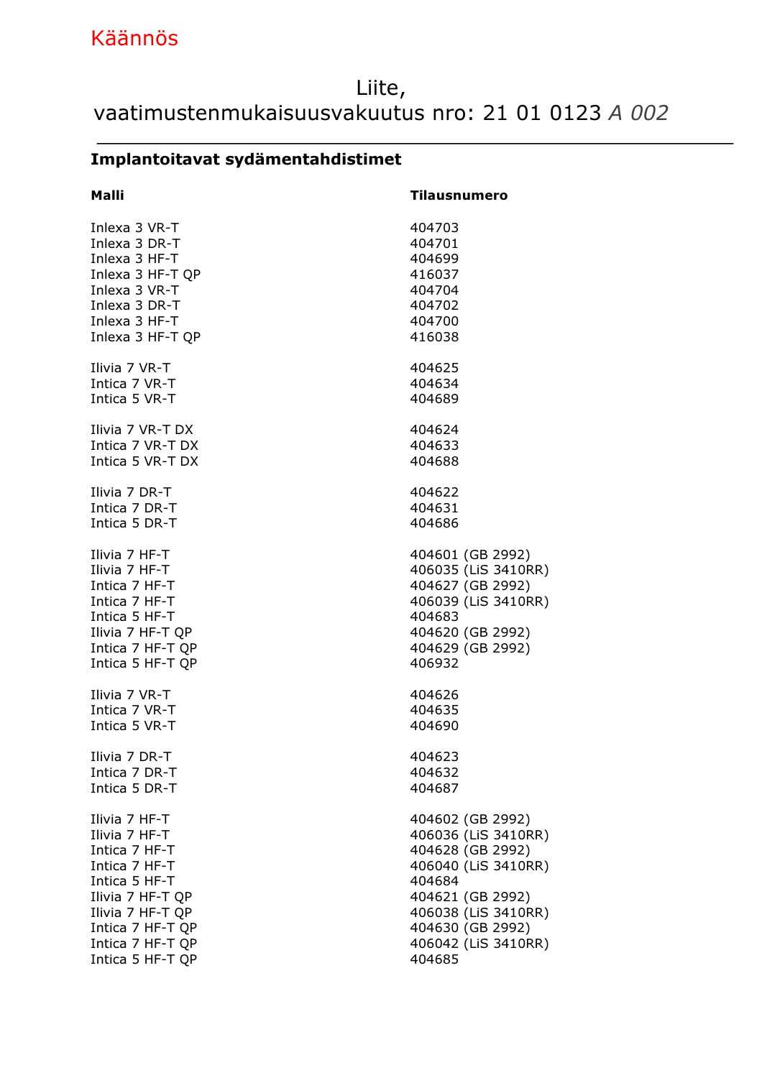## Käännös

## Liite, vaatimustenmukaisuusvakuutus nro: 21 01 0123 A 002

### Implantoitavat sydämentahdistimet

| <b>Malli</b>     | <b>Tilausnumero</b> |
|------------------|---------------------|
| Inlexa 3 VR-T    | 404703              |
| Inlexa 3 DR-T    | 404701              |
| Inlexa 3 HF-T    | 404699              |
| Inlexa 3 HF-T QP | 416037              |
| Inlexa 3 VR-T    | 404704              |
| Inlexa 3 DR-T    | 404702              |
| Inlexa 3 HF-T    | 404700              |
| Inlexa 3 HF-T QP | 416038              |
| Ilivia 7 VR-T    | 404625              |
| Intica 7 VR-T    | 404634              |
| Intica 5 VR-T    | 404689              |
| Ilivia 7 VR-T DX | 404624              |
| Intica 7 VR-T DX | 404633              |
| Intica 5 VR-T DX | 404688              |
| Ilivia 7 DR-T    | 404622              |
| Intica 7 DR-T    | 404631              |
| Intica 5 DR-T    | 404686              |
| Ilivia 7 HF-T    | 404601 (GB 2992)    |
| Ilivia 7 HF-T    | 406035 (LiS 3410RR) |
| Intica 7 HF-T    | 404627 (GB 2992)    |
| Intica 7 HF-T    | 406039 (LiS 3410RR) |
| Intica 5 HF-T    | 404683              |
| Ilivia 7 HF-T QP | 404620 (GB 2992)    |
| Intica 7 HF-T QP | 404629 (GB 2992)    |
| Intica 5 HF-T QP | 406932              |
| Ilivia 7 VR-T    | 404626              |
| Intica 7 VR-T    | 404635              |
| Intica 5 VR-T    | 404690              |
| Ilivia 7 DR-T    | 404623              |
| Intica 7 DR-T    | 404632              |
| Intica 5 DR-T    | 404687              |
| Ilivia 7 HF-T    | 404602 (GB 2992)    |
| Ilivia 7 HF-T    | 406036 (LiS 3410RR) |
| Intica 7 HF-T    | 404628 (GB 2992)    |
| Intica 7 HF-T    | 406040 (LiS 3410RR) |
| Intica 5 HF-T    | 404684              |
| Ilivia 7 HF-T QP | 404621 (GB 2992)    |
| Ilivia 7 HF-T QP | 406038 (LiS 3410RR) |
| Intica 7 HF-T QP | 404630 (GB 2992)    |
| Intica 7 HF-T QP | 406042 (LiS 3410RR) |
| Intica 5 HF-T QP | 404685              |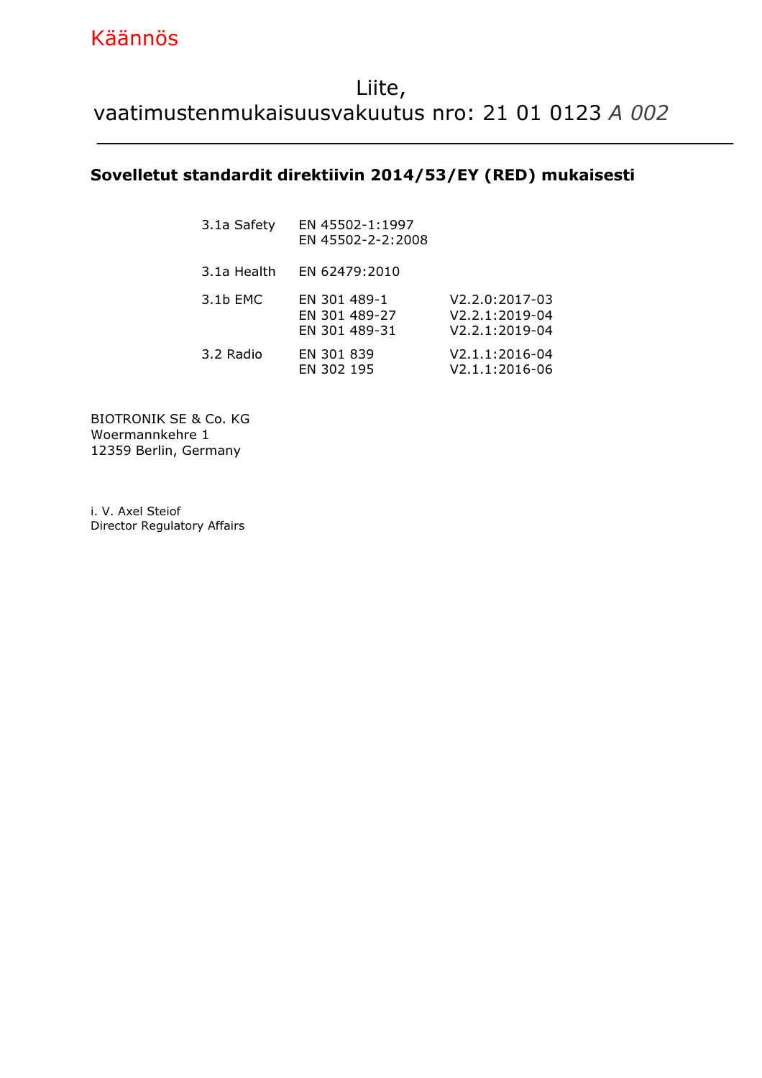### Liite, vaatimustenmukaisuusvakuutus nro: 21 01 0123 A 002

#### Sovelletut standardit direktiivin 2014/53/EY (RED) mukaisesti

| 3.1a Safety | EN 45502-1:1997<br>EN 45502-2-2:2008           |                                                                 |
|-------------|------------------------------------------------|-----------------------------------------------------------------|
| 3.1a Health | EN 62479:2010                                  |                                                                 |
| 3.1b EMC    | EN 301 489-1<br>EN 301 489-27<br>EN 301 489-31 | V2.2.0:2017-03<br>V2.2.1:2019-04<br>V <sub>2</sub> .2.1:2019-04 |
| 3.2 Radio   | EN 301 839<br>EN 302 195                       | V2.1.1:2016-04<br>V2.1.1:2016-06                                |

BIOTRONIK SE & Co. KG Woermannkehre 1 12359 Berlin, Germany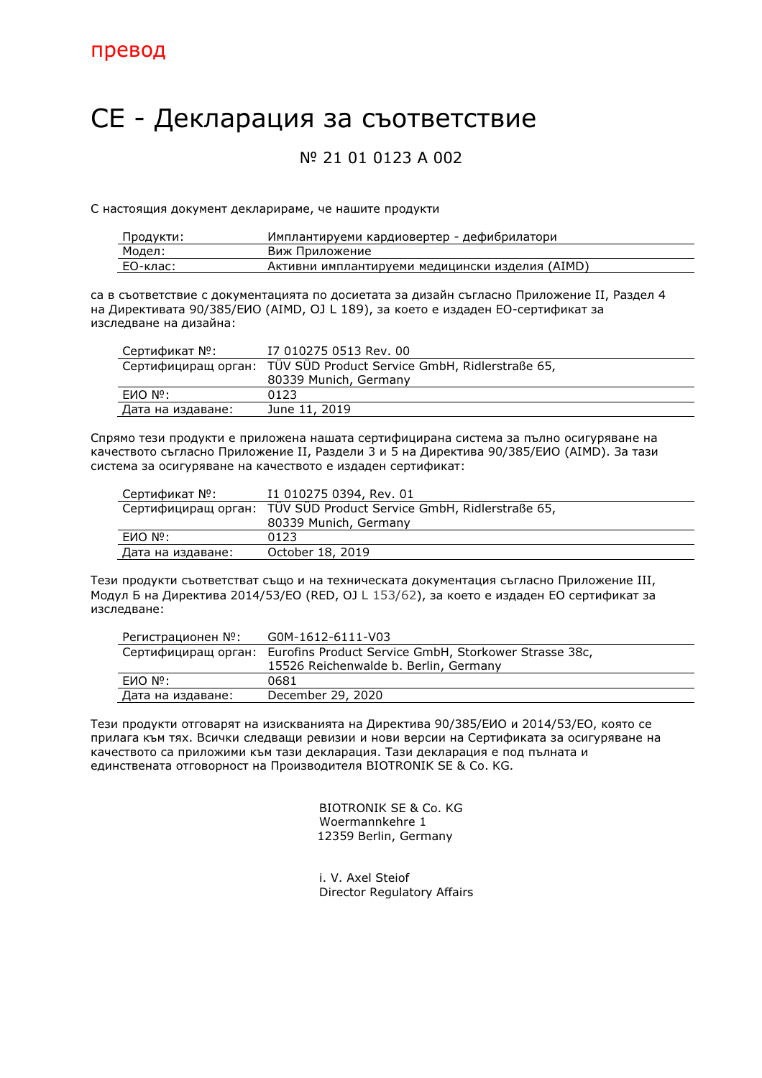# CE - Декларация за съответствие

#### № 21 01 0123 A 002

С настоящия документ декларираме, че нашите продукти

| <u> Продукти:</u> | Имплантируеми кардиовертер - дефибрилатори      |
|-------------------|-------------------------------------------------|
| Модел:            | Виж Приложение                                  |
| ЕО-клас:          | Активни имплантируеми медицински изделия (AIMD) |

са в съответствие с документацията по досиетата за дизайн съгласно Приложение II, Раздел 4 на Директивата 90/385/ЕИО (AIMD, OJ L 189), за което е издаден ЕО-сертификат за изследване на дизайна:

| Сертификат №:       | I7 010275 0513 Rev. 00                         |
|---------------------|------------------------------------------------|
| Сертифициращ орган: | TÜV SÜD Product Service GmbH, Ridlerstraße 65, |
|                     | 80339 Munich, Germany                          |
| EИO №:              | 0123                                           |
| Дата на издаване:   | June 11, 2019                                  |

Спрямо тези продукти е приложена нашата сертифицирана система за пълно осигуряване на качеството съгласно Приложение II, Раздели 3 и 5 на Директива 90/385/ЕИО (AIMD). За тази система за осигуряване на качеството е издаден сертификат:

| Сертификат №:     | I1 010275 0394, Rev. 01                                            |
|-------------------|--------------------------------------------------------------------|
|                   | Сертифициращ орган: TÜV SÜD Product Service GmbH, Ridlerstraße 65, |
|                   | 80339 Munich, Germany                                              |
| − ЕИО № Е         | 0123                                                               |
| Дата на издаване: | October 18, 2019                                                   |

Тези продукти съответстват също и на техническата документация съгласно Приложение III, Модул Б на Директива 2014/53/ЕО (RED, OJ L 153/62), за което е издаден ЕО сертификат за изследване:

| Регистрационен №:   | G0M-1612-6111-V03                                     |
|---------------------|-------------------------------------------------------|
| Сертифициращ орган: | Eurofins Product Service GmbH, Storkower Strasse 38c, |
|                     | 15526 Reichenwalde b. Berlin, Germany                 |
| ENO Nº:             | 0681                                                  |
| Дата на издаване:   | December 29, 2020                                     |

Тези продукти отговарят на изискванията на Директива 90/385/ЕИО и 2014/53/EО, която се прилага към тях. Всички следващи ревизии и нови версии на Сертификата за осигуряване на качеството са приложими към тази декларация. Тази декларация е под пълната и единствената отговорност на Производителя BIOTRONIK SE & Co. KG.

> BIOTRONIK SE & Co. KG Woermannkehre 1 12359 Berlin, Germany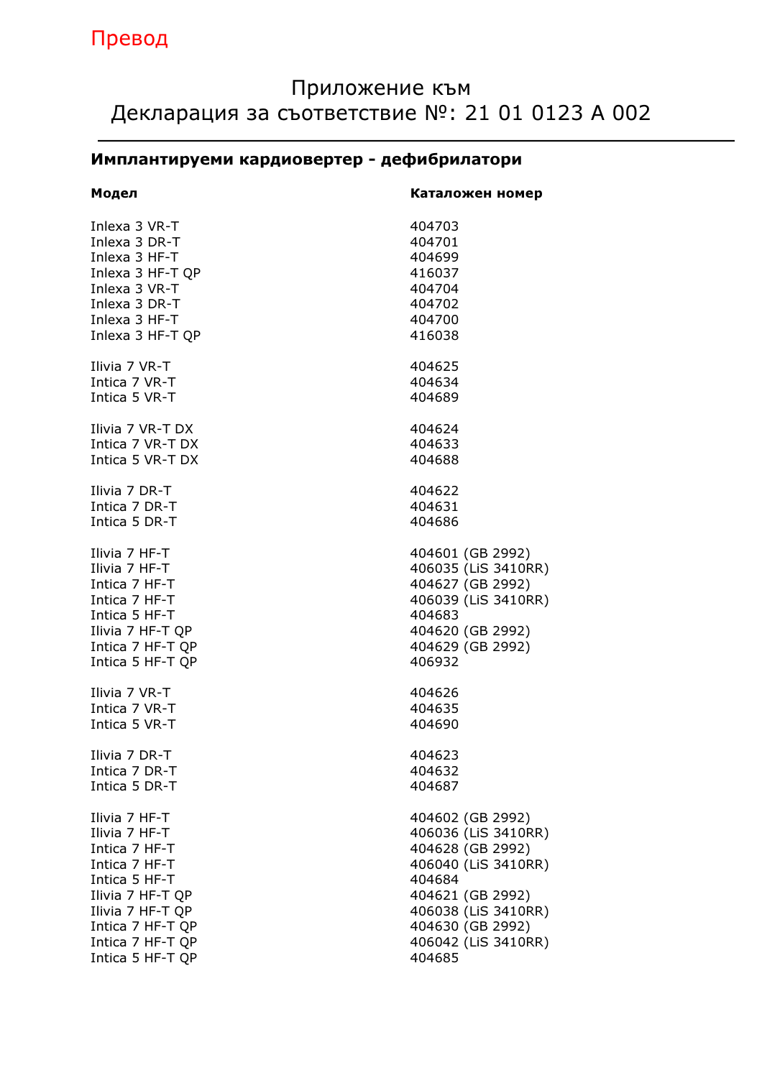## Приложение към Декларация за съответствие №: 21 01 0123 A 002

### Имплантируеми кардиовертер - дефибрилатори

| Модел            | Каталожен номер     |
|------------------|---------------------|
| Inlexa 3 VR-T    | 404703              |
| Inlexa 3 DR-T    | 404701              |
| Inlexa 3 HF-T    | 404699              |
| Inlexa 3 HF-T QP | 416037              |
| Inlexa 3 VR-T    | 404704              |
| Inlexa 3 DR-T    | 404702              |
| Inlexa 3 HF-T    | 404700              |
| Inlexa 3 HF-T QP | 416038              |
| Ilivia 7 VR-T    | 404625              |
| Intica 7 VR-T    | 404634              |
| Intica 5 VR-T    | 404689              |
| Ilivia 7 VR-T DX | 404624              |
| Intica 7 VR-T DX | 404633              |
| Intica 5 VR-T DX | 404688              |
| Ilivia 7 DR-T    | 404622              |
| Intica 7 DR-T    | 404631              |
| Intica 5 DR-T    | 404686              |
| Ilivia 7 HF-T    | 404601 (GB 2992)    |
| Ilivia 7 HF-T    | 406035 (LiS 3410RR) |
| Intica 7 HF-T    | 404627 (GB 2992)    |
| Intica 7 HF-T    | 406039 (LiS 3410RR) |
| Intica 5 HF-T    | 404683              |
| Ilivia 7 HF-T QP | 404620 (GB 2992)    |
| Intica 7 HF-T QP | 404629 (GB 2992)    |
| Intica 5 HF-T QP | 406932              |
| Ilivia 7 VR-T    | 404626              |
| Intica 7 VR-T    | 404635              |
| Intica 5 VR-T    | 404690              |
| Ilivia 7 DR-T    | 404623              |
| Intica 7 DR-T    | 404632              |
| Intica 5 DR-T    | 404687              |
| Ilivia 7 HF-T    | 404602 (GB 2992)    |
| Ilivia 7 HF-T    | 406036 (LiS 3410RR) |
| Intica 7 HF-T    | 404628 (GB 2992)    |
| Intica 7 HF-T    | 406040 (LiS 3410RR) |
| Intica 5 HF-T    | 404684              |
| Ilivia 7 HF-T QP | 404621 (GB 2992)    |
| Ilivia 7 HF-T QP | 406038 (LiS 3410RR) |
| Intica 7 HF-T QP | 404630 (GB 2992)    |
| Intica 7 HF-T QP | 406042 (LiS 3410RR) |
| Intica 5 HF-T QP | 404685              |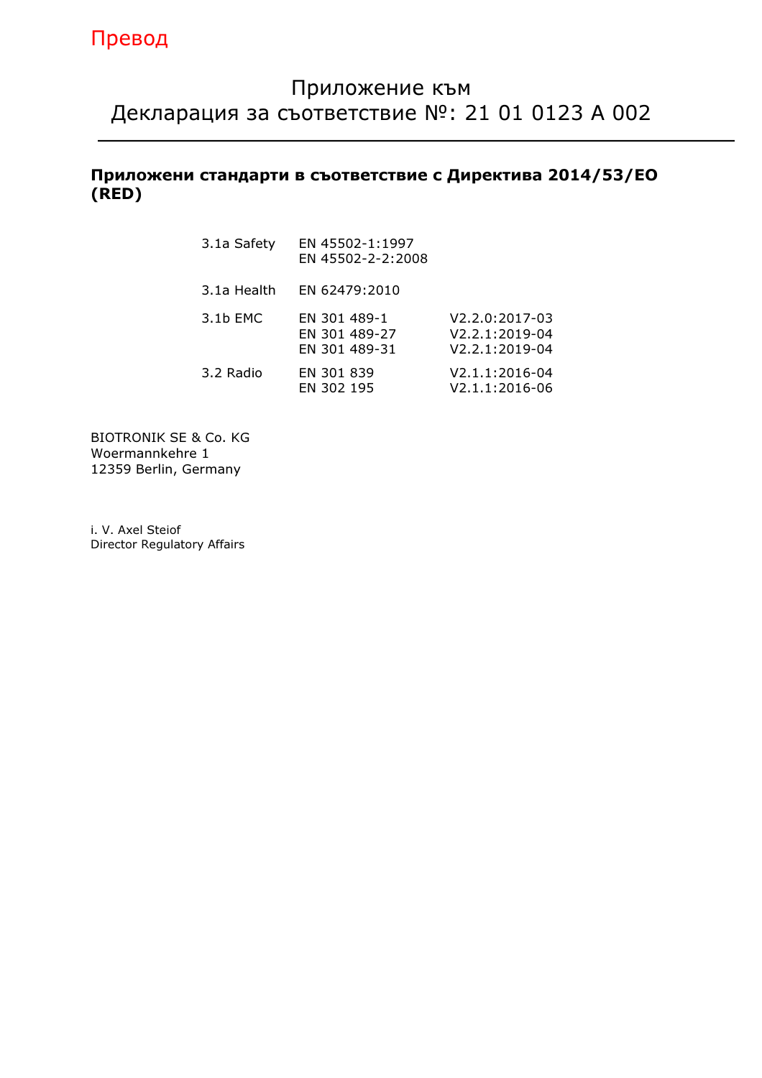### Приложение към Декларация за съответствие №: 21 01 0123 A 002

#### Приложени стандарти в съответствие с Директива 2014/53/ЕO (RED)

| 3.1a Safety | EN 45502-1:1997<br>EN 45502-2-2:2008           |                                                        |
|-------------|------------------------------------------------|--------------------------------------------------------|
| 3.1a Health | EN 62479:2010                                  |                                                        |
| 3.1b EMC    | EN 301 489-1<br>EN 301 489-27<br>EN 301 489-31 | V2.2.0:2017-03<br>$V2.2.1:2019-04$<br>$V2.2.1:2019-04$ |
| 3.2 Radio   | EN 301 839<br>EN 302 195                       | V2.1.1:2016-04<br>V2.1.1:2016-06                       |

BIOTRONIK SE & Co. KG Woermannkehre 1 12359 Berlin, Germany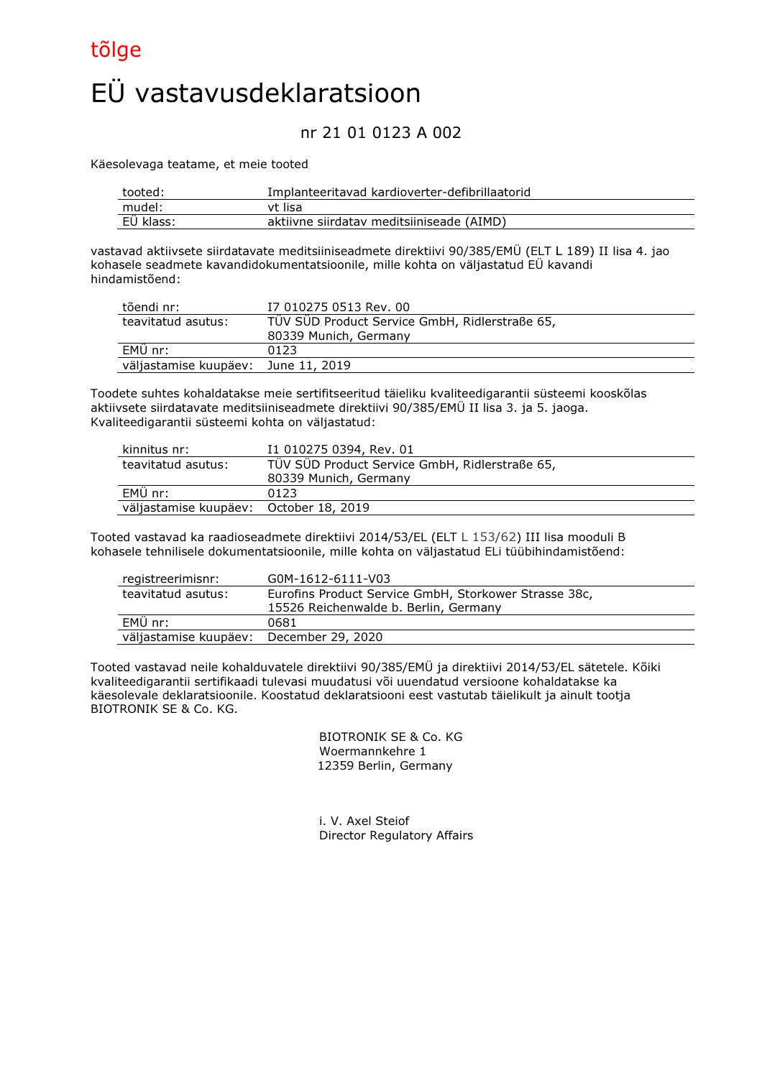

# EÜ vastavusdeklaratsioon

#### nr 21 01 0123 A 002

Käesolevaga teatame, et meie tooted

| tooted:                           | Implanteeritavad kardioverter-defibrillaatorid |
|-----------------------------------|------------------------------------------------|
| mudel:                            | vt lisa                                        |
| $\sim$ $\sim$ $\sim$<br>EÜ klass: | aktiivne siirdatav meditsiiniseade (AIMD)      |

vastavad aktiivsete siirdatavate meditsiiniseadmete direktiivi 90/385/EMÜ (ELT L 189) II lisa 4. jao kohasele seadmete kavandidokumentatsioonile, mille kohta on väljastatud EÜ kavandi hindamistõend:

| tõendi nr:                          | I7 010275 0513 Rev. 00                         |
|-------------------------------------|------------------------------------------------|
| teavitatud asutus:                  | TÜV SÜD Product Service GmbH, Ridlerstraße 65, |
|                                     | 80339 Munich, Germany                          |
| $EMÜ$ nr:                           | 0123                                           |
| väljastamise kuupäev: June 11, 2019 |                                                |

Toodete suhtes kohaldatakse meie sertifitseeritud täieliku kvaliteedigarantii süsteemi kooskõlas aktiivsete siirdatavate meditsiiniseadmete direktiivi 90/385/EMÜ II lisa 3. ja 5. jaoga. Kvaliteedigarantii süsteemi kohta on väljastatud:

| kinnitus nr:                           | I1 010275 0394, Rev. 01                        |
|----------------------------------------|------------------------------------------------|
| teavitatud asutus:                     | TÜV SÜD Product Service GmbH, Ridlerstraße 65, |
|                                        | 80339 Munich, Germany                          |
| $EMÜ$ nr:                              | 0123                                           |
| väljastamise kuupäev: October 18, 2019 |                                                |

Tooted vastavad ka raadioseadmete direktiivi 2014/53/EL (ELT L 153/62) III lisa mooduli B kohasele tehnilisele dokumentatsioonile, mille kohta on väljastatud ELi tüübihindamistõend:

| registreerimisnr:     | G0M-1612-6111-V03                                     |
|-----------------------|-------------------------------------------------------|
| teavitatud asutus:    | Eurofins Product Service GmbH, Storkower Strasse 38c, |
|                       | 15526 Reichenwalde b. Berlin, Germany                 |
| EMÜ nr:               | 0681                                                  |
| väljastamise kuupäev: | December 29, 2020                                     |

Tooted vastavad neile kohalduvatele direktiivi 90/385/EMÜ ja direktiivi 2014/53/EL sätetele. Kõiki kvaliteedigarantii sertifikaadi tulevasi muudatusi või uuendatud versioone kohaldatakse ka käesolevale deklaratsioonile. Koostatud deklaratsiooni eest vastutab täielikult ja ainult tootja BIOTRONIK SE & Co. KG.

> BIOTRONIK SE & Co. KG Woermannkehre 1 12359 Berlin, Germany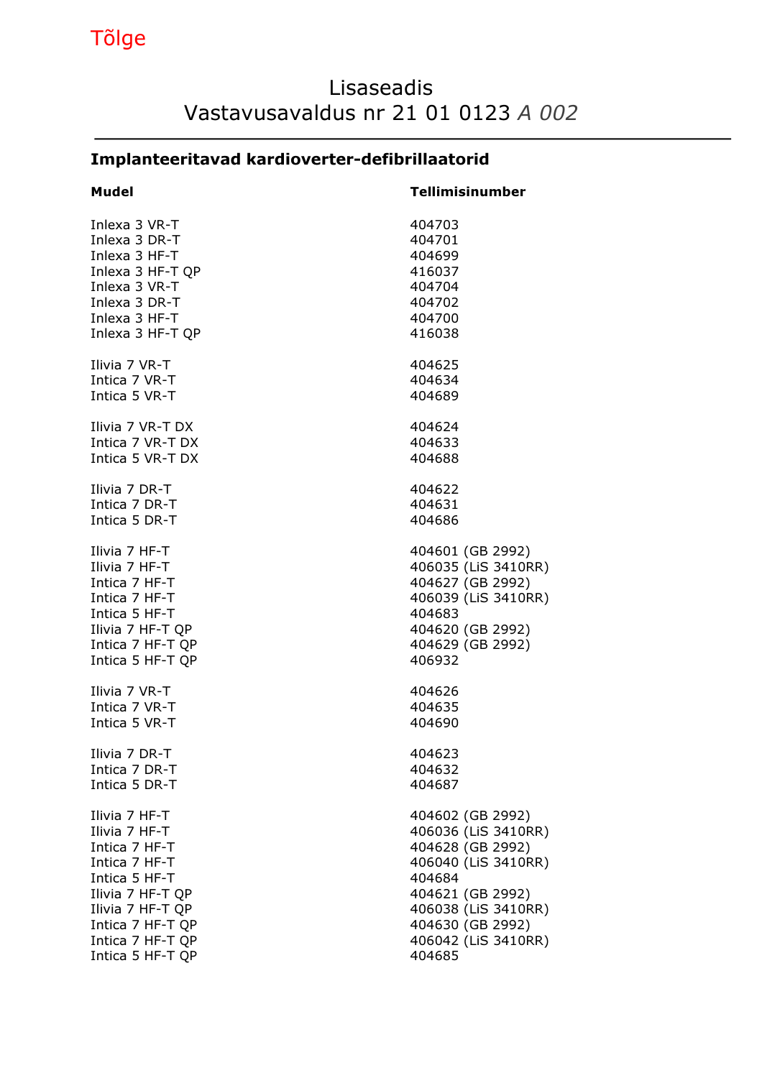## Lisaseadis Vastavusavaldus nr 21 01 0123 A 002

### Implanteeritavad kardioverter-defibrillaatorid

| Mudel            | <b>Tellimisinumber</b> |
|------------------|------------------------|
| Inlexa 3 VR-T    | 404703                 |
| Inlexa 3 DR-T    | 404701                 |
| Inlexa 3 HF-T    | 404699                 |
| Inlexa 3 HF-T QP | 416037                 |
| Inlexa 3 VR-T    | 404704                 |
| Inlexa 3 DR-T    | 404702                 |
| Inlexa 3 HF-T    | 404700                 |
| Inlexa 3 HF-T QP | 416038                 |
| Ilivia 7 VR-T    | 404625                 |
| Intica 7 VR-T    | 404634                 |
| Intica 5 VR-T    | 404689                 |
| Ilivia 7 VR-T DX | 404624                 |
| Intica 7 VR-T DX | 404633                 |
| Intica 5 VR-T DX | 404688                 |
| Ilivia 7 DR-T    | 404622                 |
| Intica 7 DR-T    | 404631                 |
| Intica 5 DR-T    | 404686                 |
| Ilivia 7 HF-T    | 404601 (GB 2992)       |
| Ilivia 7 HF-T    | 406035 (LiS 3410RR)    |
| Intica 7 HF-T    | 404627 (GB 2992)       |
| Intica 7 HF-T    | 406039 (LiS 3410RR)    |
| Intica 5 HF-T    | 404683                 |
| Ilivia 7 HF-T QP | 404620 (GB 2992)       |
| Intica 7 HF-T QP | 404629 (GB 2992)       |
| Intica 5 HF-T QP | 406932                 |
| Ilivia 7 VR-T    | 404626                 |
| Intica 7 VR-T    | 404635                 |
| Intica 5 VR-T    | 404690                 |
| Tlivia 7 DR-T    | 404623                 |
| Intica 7 DR-T    | 404632                 |
| Intica 5 DR-T    | 404687                 |
| Ilivia 7 HF-T    | 404602 (GB 2992)       |
| Ilivia 7 HF-T    | 406036 (LiS 3410RR)    |
| Intica 7 HF-T    | 404628 (GB 2992)       |
| Intica 7 HF-T    | 406040 (LiS 3410RR)    |
| Intica 5 HF-T    | 404684                 |
| Ilivia 7 HF-T QP | 404621 (GB 2992)       |
| Ilivia 7 HF-T QP | 406038 (LiS 3410RR)    |
| Intica 7 HF-T QP | 404630 (GB 2992)       |
| Intica 7 HF-T QP | 406042 (LiS 3410RR)    |
| Intica 5 HF-T QP | 404685                 |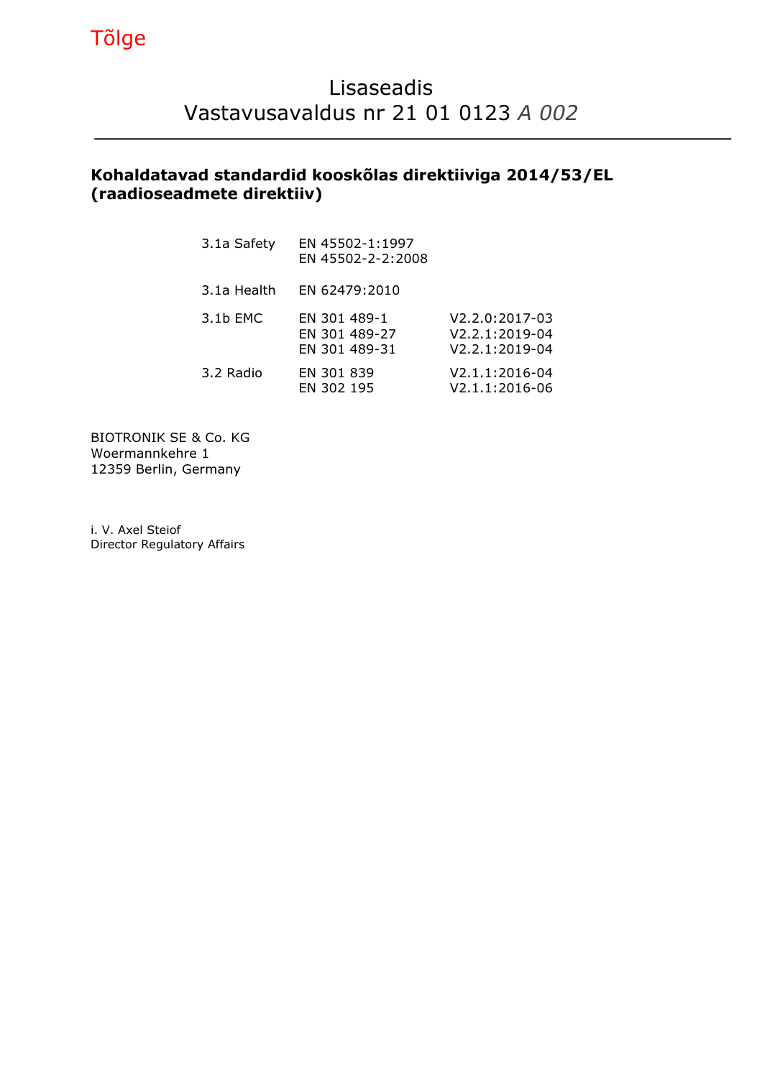## Lisaseadis Vastavusavaldus nr 21 01 0123 A 002

### Kohaldatavad standardid kooskõlas direktiiviga 2014/53/EL (raadioseadmete direktiiv)

| 3.1a Safety | EN 45502-1:1997<br>EN 45502-2-2:2008           |                                                    |
|-------------|------------------------------------------------|----------------------------------------------------|
| 3.1a Health | EN 62479:2010                                  |                                                    |
| 3.1b EMC    | EN 301 489-1<br>EN 301 489-27<br>EN 301 489-31 | V2.2.0:2017-03<br>V2.2.1:2019-04<br>V2.2.1:2019-04 |
| 3.2 Radio   | EN 301 839<br>EN 302 195                       | V2.1.1:2016-04<br>V2.1.1:2016-06                   |

BIOTRONIK SE & Co. KG Woermannkehre 1 12359 Berlin, Germany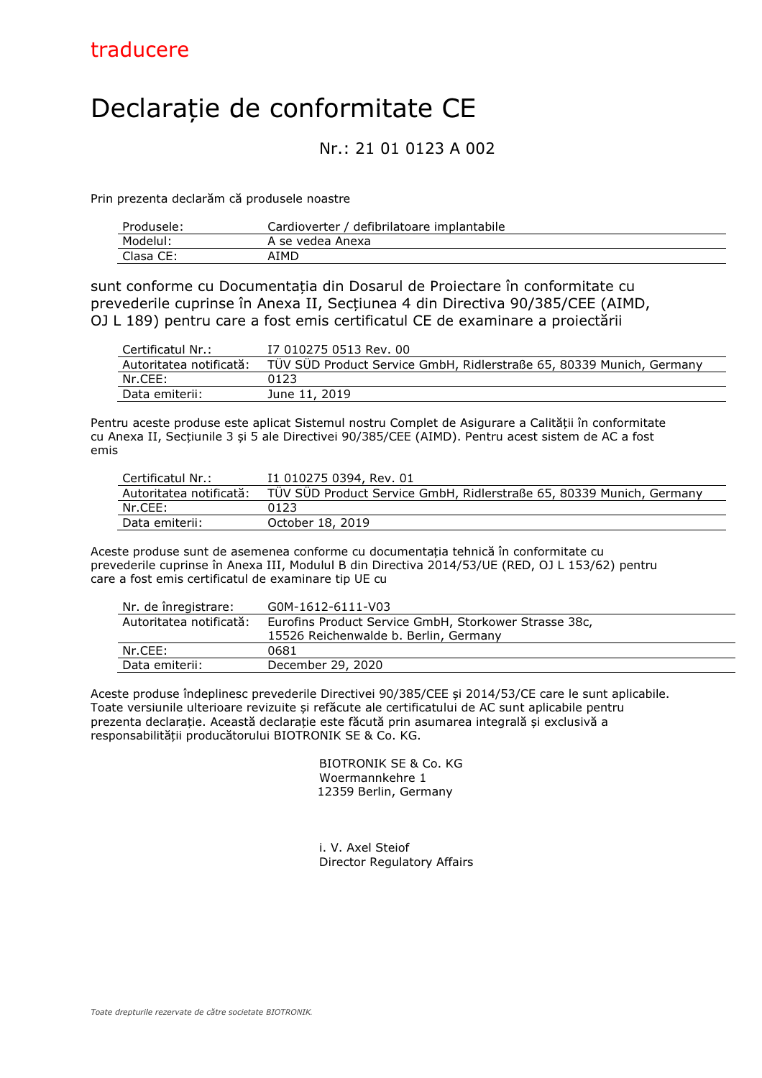# Declarație de conformitate CE

#### Nr.: 21 01 0123 A 002

Prin prezenta declarăm că produsele noastre

| Produsele: | Cardioverter / defibrilatoare implantabile |
|------------|--------------------------------------------|
| Modelul:   | A se vedea Anexa                           |
| Clasa CE:  | AIMD                                       |

sunt conforme cu Documentația din Dosarul de Proiectare în conformitate cu prevederile cuprinse în Anexa II, Secțiunea 4 din Directiva 90/385/CEE (AIMD, OJ L 189) pentru care a fost emis certificatul CE de examinare a proiectării

| Certificatul Nr.:       | I7 010275 0513 Rev. 00                                               |
|-------------------------|----------------------------------------------------------------------|
| Autoritatea notificată: | TUV SUD Product Service GmbH, Ridlerstraße 65, 80339 Munich, Germany |
| Nr.CEE:                 | 0123                                                                 |
| Data emiterii:          | June 11, 2019                                                        |

Pentru aceste produse este aplicat Sistemul nostru Complet de Asigurare a Calității în conformitate cu Anexa II, Secțiunile 3 și 5 ale Directivei 90/385/CEE (AIMD). Pentru acest sistem de AC a fost emis

| Certificatul Nr.:       | I1 010275 0394, Rev. 01                                              |
|-------------------------|----------------------------------------------------------------------|
| Autoritatea notificată: | TÜV SÜD Product Service GmbH, Ridlerstraße 65, 80339 Munich, Germany |
| Nr.CEE:                 | 0123                                                                 |
| Data emiterii:          | October 18, 2019                                                     |

Aceste produse sunt de asemenea conforme cu documentația tehnică în conformitate cu prevederile cuprinse în Anexa III, Modulul B din Directiva 2014/53/UE (RED, OJ L 153/62) pentru care a fost emis certificatul de examinare tip UE cu

| Nr. de înregistrare:    | G0M-1612-6111-V03                                     |
|-------------------------|-------------------------------------------------------|
| Autoritatea notificată: | Eurofins Product Service GmbH, Storkower Strasse 38c, |
|                         | 15526 Reichenwalde b. Berlin, Germany                 |
| Nr.CEE:                 | 0681                                                  |
| Data emiterii:          | December 29, 2020                                     |

Aceste produse îndeplinesc prevederile Directivei 90/385/CEE și 2014/53/CE care le sunt aplicabile. Toate versiunile ulterioare revizuite și refăcute ale certificatului de AC sunt aplicabile pentru prezenta declarație. Această declarație este făcută prin asumarea integrală și exclusivă a responsabilității producătorului BIOTRONIK SE & Co. KG.

> BIOTRONIK SE & Co. KG Woermannkehre 1 12359 Berlin, Germany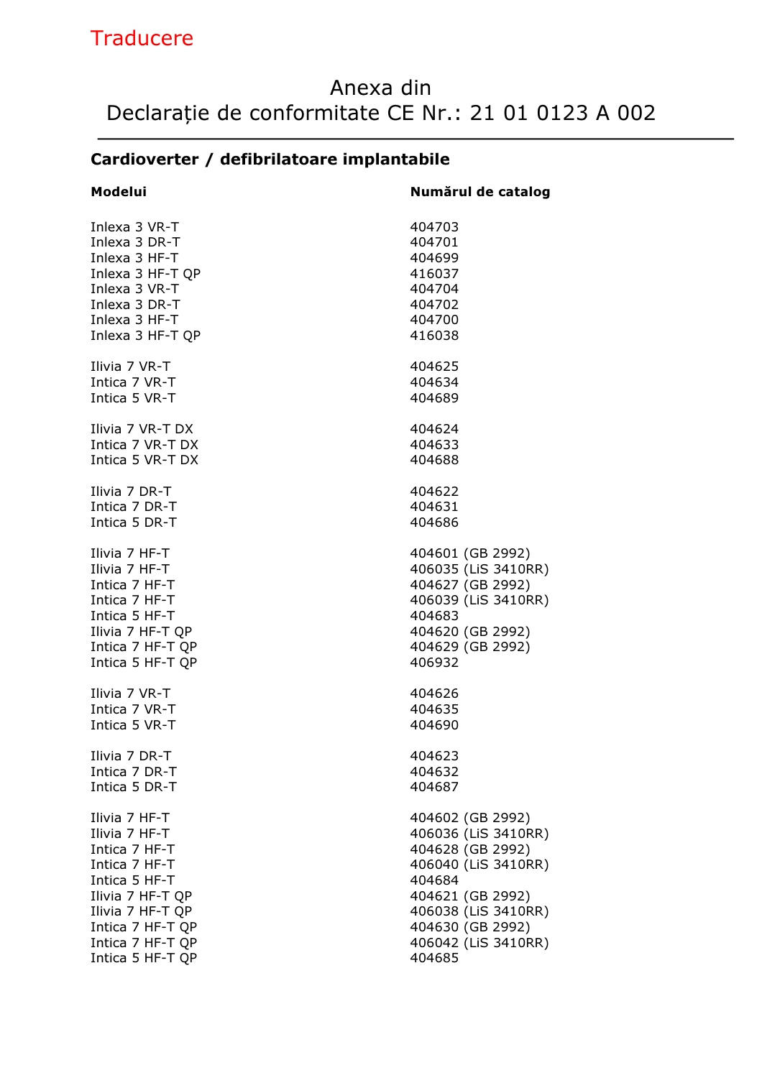## **Traducere**

## Anexa din Declarație de conformitate CE Nr.: 21 01 0123 A 002

### Cardioverter / defibrilatoare implantabile

| Modelui          | Numărul de catalog  |
|------------------|---------------------|
| Inlexa 3 VR-T    | 404703              |
| Inlexa 3 DR-T    | 404701              |
| Inlexa 3 HF-T    | 404699              |
| Inlexa 3 HF-T QP | 416037              |
| Inlexa 3 VR-T    | 404704              |
| Inlexa 3 DR-T    | 404702              |
| Inlexa 3 HF-T    | 404700              |
| Inlexa 3 HF-T QP | 416038              |
| Ilivia 7 VR-T    | 404625              |
| Intica 7 VR-T    | 404634              |
| Intica 5 VR-T    | 404689              |
| Ilivia 7 VR-T DX | 404624              |
| Intica 7 VR-T DX | 404633              |
| Intica 5 VR-T DX | 404688              |
| Ilivia 7 DR-T    | 404622              |
| Intica 7 DR-T    | 404631              |
| Intica 5 DR-T    | 404686              |
| Ilivia 7 HF-T    | 404601 (GB 2992)    |
| Ilivia 7 HF-T    | 406035 (LiS 3410RR) |
| Intica 7 HF-T    | 404627 (GB 2992)    |
| Intica 7 HF-T    | 406039 (LiS 3410RR) |
| Intica 5 HF-T    | 404683              |
| Ilivia 7 HF-T QP | 404620 (GB 2992)    |
| Intica 7 HF-T QP | 404629 (GB 2992)    |
| Intica 5 HF-T QP | 406932              |
| Ilivia 7 VR-T    | 404626              |
| Intica 7 VR-T    | 404635              |
| Intica 5 VR-T    | 404690              |
| Ilivia 7 DR-T    | 404623              |
| Intica 7 DR-T    | 404632              |
| Intica 5 DR-T    | 404687              |
| Ilivia 7 HF-T    | 404602 (GB 2992)    |
| Ilivia 7 HF-T    | 406036 (LiS 3410RR) |
| Intica 7 HF-T    | 404628 (GB 2992)    |
| Intica 7 HF-T    | 406040 (LiS 3410RR) |
| Intica 5 HF-T    | 404684              |
| Ilivia 7 HF-T QP | 404621 (GB 2992)    |
| Ilivia 7 HF-T QP | 406038 (LiS 3410RR) |
| Intica 7 HF-T QP | 404630 (GB 2992)    |
| Intica 7 HF-T QP | 406042 (LiS 3410RR) |
| Intica 5 HF-T QP | 404685              |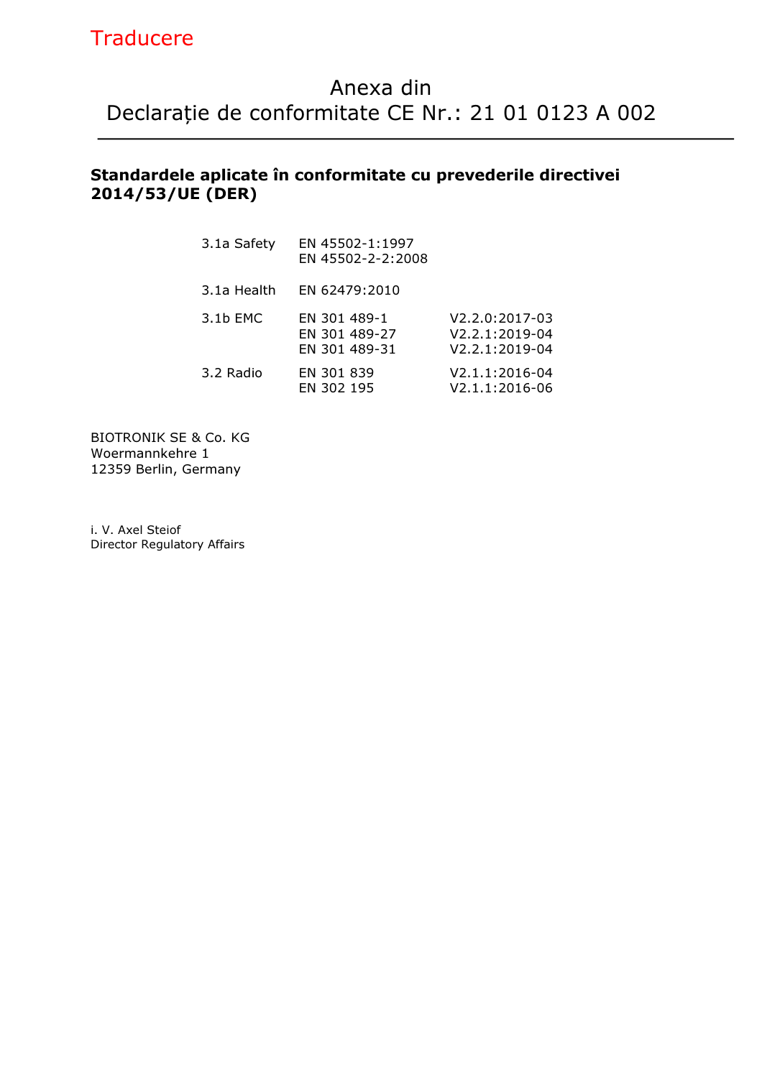## Anexa din Declarație de conformitate CE Nr.: 21 01 0123 A 002

### Standardele aplicate în conformitate cu prevederile directivei 2014/53/UE (DER)

| 3.1a Safety | EN 45502-1:1997<br>EN 45502-2-2:2008           |                                                          |
|-------------|------------------------------------------------|----------------------------------------------------------|
| 3.1a Health | EN 62479:2010                                  |                                                          |
| 3.1b EMC    | EN 301 489-1<br>EN 301 489-27<br>EN 301 489-31 | $V2.2.0:2017-03$<br>$V2.2.1:2019-04$<br>$V2.2.1:2019-04$ |
| 3.2 Radio   | EN 301 839<br>EN 302 195                       | V2.1.1:2016-04<br>V2.1.1:2016-06                         |

BIOTRONIK SE & Co. KG Woermannkehre 1 12359 Berlin, Germany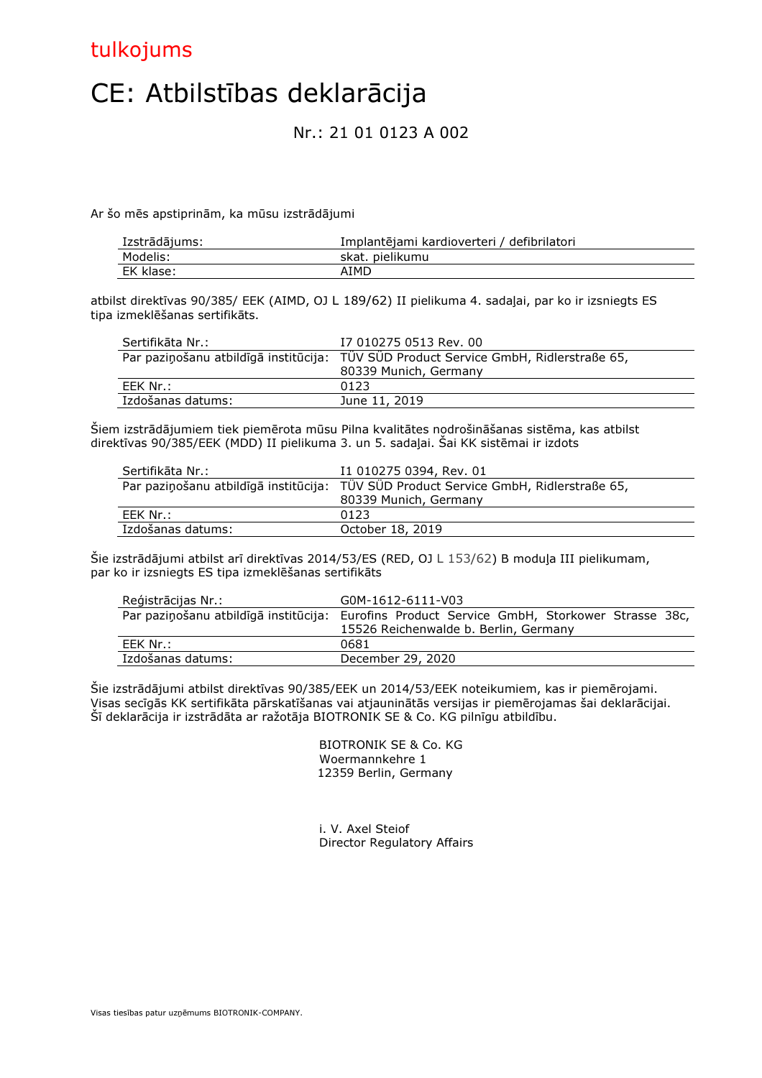### tulkojums

# CE: Atbilstības deklarācija

Nr.: 21 01 0123 A 002

Ar šo mēs apstiprinām, ka mūsu izstrādājumi

| Izstrādājums: | Implantējami kardioverteri / defibrilatori |
|---------------|--------------------------------------------|
| Modelis:      | skat. pielikumu                            |
| EK klase:     | AIMD                                       |

atbilst direktīvas 90/385/ EEK (AIMD, OJ L 189/62) II pielikuma 4. sadaļai, par ko ir izsniegts ES tipa izmeklēšanas sertifikāts.

| Sertifikāta Nr.:  | I7 010275 0513 Rev. 00                                                               |
|-------------------|--------------------------------------------------------------------------------------|
|                   | Par paziņošanu atbildīgā institūcija: TÜV SÜD Product Service GmbH, Ridlerstraße 65, |
|                   | 80339 Munich, Germany                                                                |
| EEK Nr.:          | 0123                                                                                 |
| Izdošanas datums: | June 11, 2019                                                                        |

Šiem izstrādājumiem tiek piemērota mūsu Pilna kvalitātes nodrošināšanas sistēma, kas atbilst direktīvas 90/385/EEK (MDD) II pielikuma 3. un 5. sadaļai. Šai KK sistēmai ir izdots

| Sertifikāta Nr.:  | I1 010275 0394, Rev. 01                                                              |
|-------------------|--------------------------------------------------------------------------------------|
|                   | Par paziņošanu atbildīgā institūcija: TÜV SÜD Product Service GmbH, Ridlerstraße 65, |
|                   | 80339 Munich, Germany                                                                |
| EEK Nr. :         | 0123                                                                                 |
| Izdošanas datums: | October 18, 2019                                                                     |

Šie izstrādājumi atbilst arī direktīvas 2014/53/ES (RED, OJ L 153/62) B moduļa III pielikumam, par ko ir izsniegts ES tipa izmeklēšanas sertifikāts

| Reģistrācijas Nr.: | G0M-1612-6111-V03                                                                           |
|--------------------|---------------------------------------------------------------------------------------------|
|                    | Par paziņošanu atbildīgā institūcija: Eurofins Product Service GmbH, Storkower Strasse 38c, |
|                    | 15526 Reichenwalde b. Berlin, Germany                                                       |
| EEK Nr.:           | 0681                                                                                        |
| Izdošanas datums:  | December 29, 2020                                                                           |

Šie izstrādājumi atbilst direktīvas 90/385/EEK un 2014/53/EEK noteikumiem, kas ir piemērojami. Visas secīgās KK sertifikāta pārskatīšanas vai atjauninātās versijas ir piemērojamas šai deklarācijai. Šī deklarācija ir izstrādāta ar ražotāja BIOTRONIK SE & Co. KG pilnīgu atbildību.

> BIOTRONIK SE & Co. KG Woermannkehre 1 12359 Berlin, Germany

i. V. Axel Steiof Director Regulatory Affairs

Visas tiesības patur uzņēmums BIOTRONIK-COMPANY.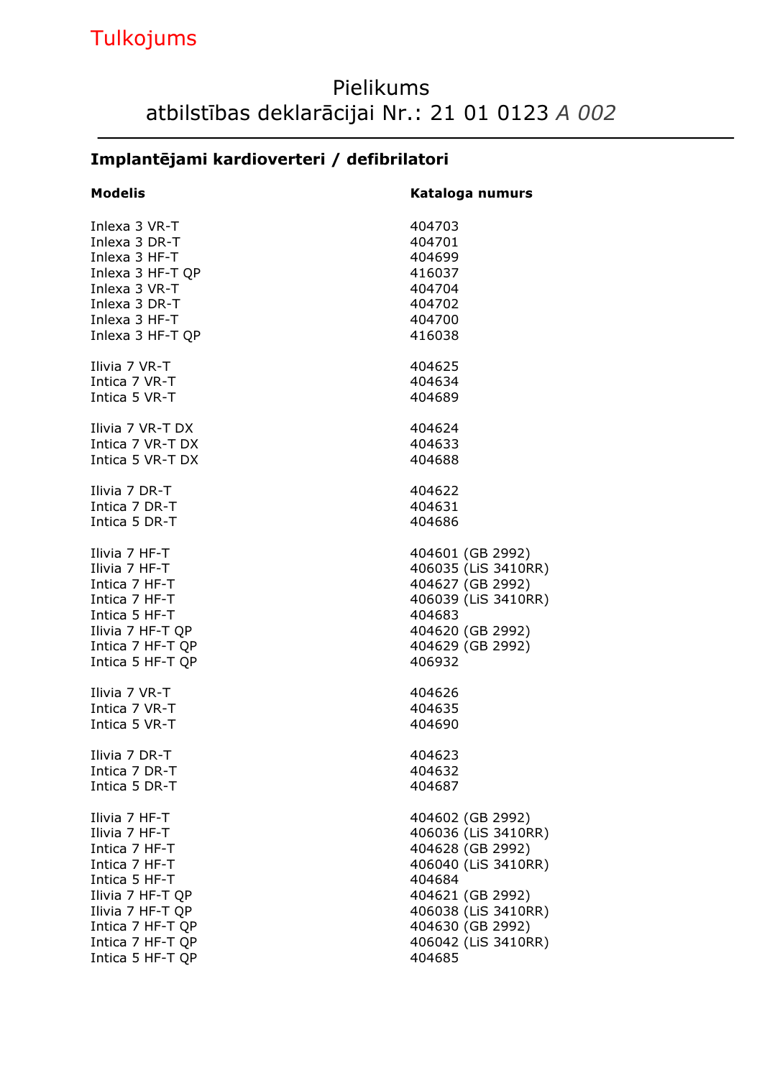# Tulkojums

## Pielikums atbilstības deklarācijai Nr.: 21 01 0123 A 002

## Implantējami kardioverteri / defibrilatori

| <b>Modelis</b>   | Kataloga numurs     |
|------------------|---------------------|
| Inlexa 3 VR-T    | 404703              |
| Inlexa 3 DR-T    | 404701              |
| Inlexa 3 HF-T    | 404699              |
| Inlexa 3 HF-T QP | 416037              |
| Inlexa 3 VR-T    | 404704              |
| Inlexa 3 DR-T    | 404702              |
| Inlexa 3 HF-T    | 404700              |
| Inlexa 3 HF-T QP | 416038              |
| Ilivia 7 VR-T    | 404625              |
| Intica 7 VR-T    | 404634              |
| Intica 5 VR-T    | 404689              |
| Ilivia 7 VR-T DX | 404624              |
| Intica 7 VR-T DX | 404633              |
| Intica 5 VR-T DX | 404688              |
| Ilivia 7 DR-T    | 404622              |
| Intica 7 DR-T    | 404631              |
| Intica 5 DR-T    | 404686              |
| Ilivia 7 HF-T    | 404601 (GB 2992)    |
| Ilivia 7 HF-T    | 406035 (LiS 3410RR) |
| Intica 7 HF-T    | 404627 (GB 2992)    |
| Intica 7 HF-T    | 406039 (LiS 3410RR) |
| Intica 5 HF-T    | 404683              |
| Ilivia 7 HF-T QP | 404620 (GB 2992)    |
| Intica 7 HF-T QP | 404629 (GB 2992)    |
| Intica 5 HF-T QP | 406932              |
| Ilivia 7 VR-T    | 404626              |
| Intica 7 VR-T    | 404635              |
| Intica 5 VR-T    | 404690              |
| Ilivia 7 DR-T    | 404623              |
| Intica 7 DR-T    | 404632              |
| Intica 5 DR-T    | 404687              |
| Ilivia 7 HF-T    | 404602 (GB 2992)    |
| Ilivia 7 HF-T    | 406036 (LiS 3410RR) |
| Intica 7 HF-T    | 404628 (GB 2992)    |
| Intica 7 HF-T    | 406040 (LiS 3410RR) |
| Intica 5 HF-T    | 404684              |
| Ilivia 7 HF-T QP | 404621 (GB 2992)    |
| Ilivia 7 HF-T QP | 406038 (LiS 3410RR) |
| Intica 7 HF-T QP | 404630 (GB 2992)    |
| Intica 7 HF-T QP | 406042 (LiS 3410RR) |
| Intica 5 HF-T QP | 404685              |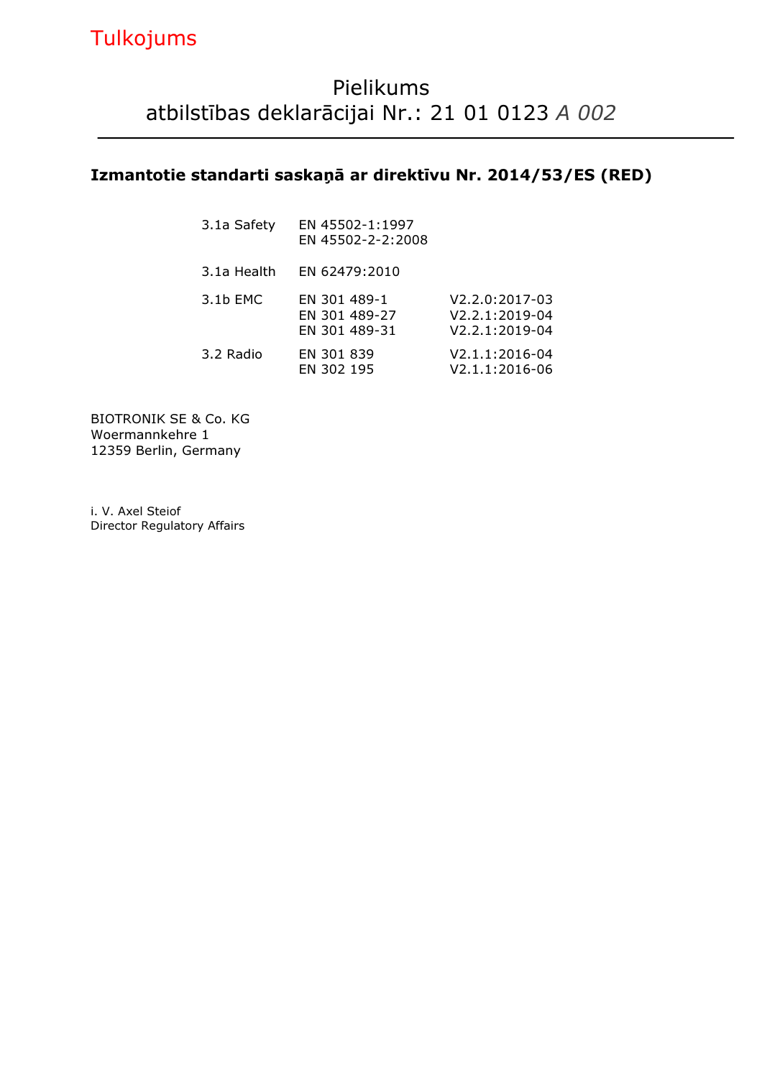#### Izmantotie standarti saskaņā ar direktīvu Nr. 2014/53/ES (RED)

| 3.1a Safety | EN 45502-1:1997<br>EN 45502-2-2:2008           |                                                                   |
|-------------|------------------------------------------------|-------------------------------------------------------------------|
| 3.1a Health | EN 62479:2010                                  |                                                                   |
| 3.1b EMC    | EN 301 489-1<br>EN 301 489-27<br>EN 301 489-31 | V2.2.0:2017-03<br>$V2.2.1:2019-04$<br>V <sub>2</sub> .2.1:2019-04 |
| 3.2 Radio   | EN 301 839<br>EN 302 195                       | V2.1.1:2016-04<br>V2.1.1:2016-06                                  |

BIOTRONIK SE & Co. KG Woermannkehre 1 12359 Berlin, Germany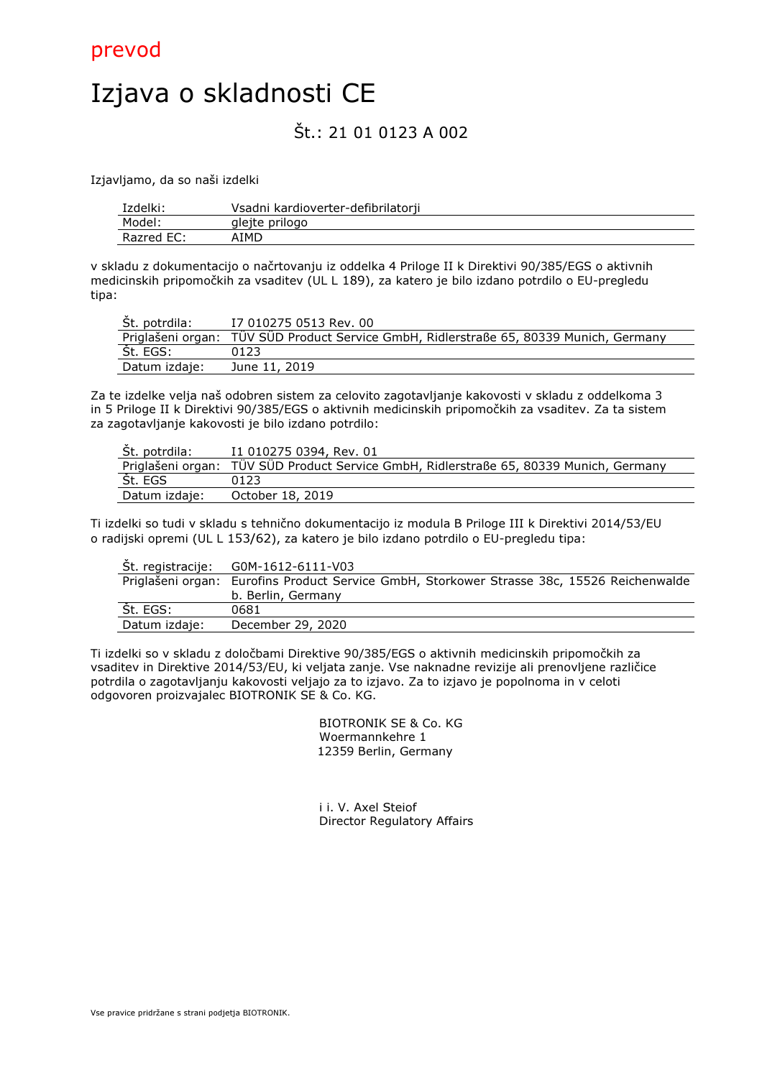

# Izjava o skladnosti CE

### Št.: 21 01 0123 A 002

Izjavljamo, da so naši izdelki

| Izdelki:   | Vsadni kardioverter-defibrilatorii |
|------------|------------------------------------|
| Model:     | aleite prilogo                     |
| Razred EC: | ١IMD                               |

v skladu z dokumentacijo o načrtovanju iz oddelka 4 Priloge II k Direktivi 90/385/EGS o aktivnih medicinskih pripomočkih za vsaditev (UL L 189), za katero je bilo izdano potrdilo o EU-pregledu tipa:

| St. potrdila: | I7 010275 0513 Rev. 00                                                                 |
|---------------|----------------------------------------------------------------------------------------|
|               | Priglašeni organ: TÜV SÜD Product Service GmbH, Ridlerstraße 65, 80339 Munich, Germany |
| Št. EGS:      | 0123                                                                                   |
| Datum izdaje: | June 11, 2019                                                                          |

Za te izdelke velja naš odobren sistem za celovito zagotavljanje kakovosti v skladu z oddelkoma 3 in 5 Priloge II k Direktivi 90/385/EGS o aktivnih medicinskih pripomočkih za vsaditev. Za ta sistem za zagotavljanje kakovosti je bilo izdano potrdilo:

| St. potrdila: | I1 010275 0394, Rev. 01                                                                |
|---------------|----------------------------------------------------------------------------------------|
|               | Priglašeni organ: TÜV SÜD Product Service GmbH, Ridlerstraße 65, 80339 Munich, Germany |
| St. EGS       | 0123                                                                                   |
| Datum izdaje: | October 18, 2019                                                                       |

Ti izdelki so tudi v skladu s tehnično dokumentacijo iz modula B Priloge III k Direktivi 2014/53/EU o radijski opremi (UL L 153/62), za katero je bilo izdano potrdilo o EU-pregledu tipa:

|               | St. registracije: G0M-1612-6111-V03                                                        |
|---------------|--------------------------------------------------------------------------------------------|
|               | Priglašeni organ: Eurofins Product Service GmbH, Storkower Strasse 38c, 15526 Reichenwalde |
|               | b. Berlin, Germany                                                                         |
| Št. EGS:      | 0681                                                                                       |
| Datum izdaje: | December 29, 2020                                                                          |
|               |                                                                                            |

Ti izdelki so v skladu z določbami Direktive 90/385/EGS o aktivnih medicinskih pripomočkih za vsaditev in Direktive 2014/53/EU, ki veljata zanje. Vse naknadne revizije ali prenovljene različice potrdila o zagotavljanju kakovosti veljajo za to izjavo. Za to izjavo je popolnoma in v celoti odgovoren proizvajalec BIOTRONIK SE & Co. KG.

> BIOTRONIK SE & Co. KG Woermannkehre 1 12359 Berlin, Germany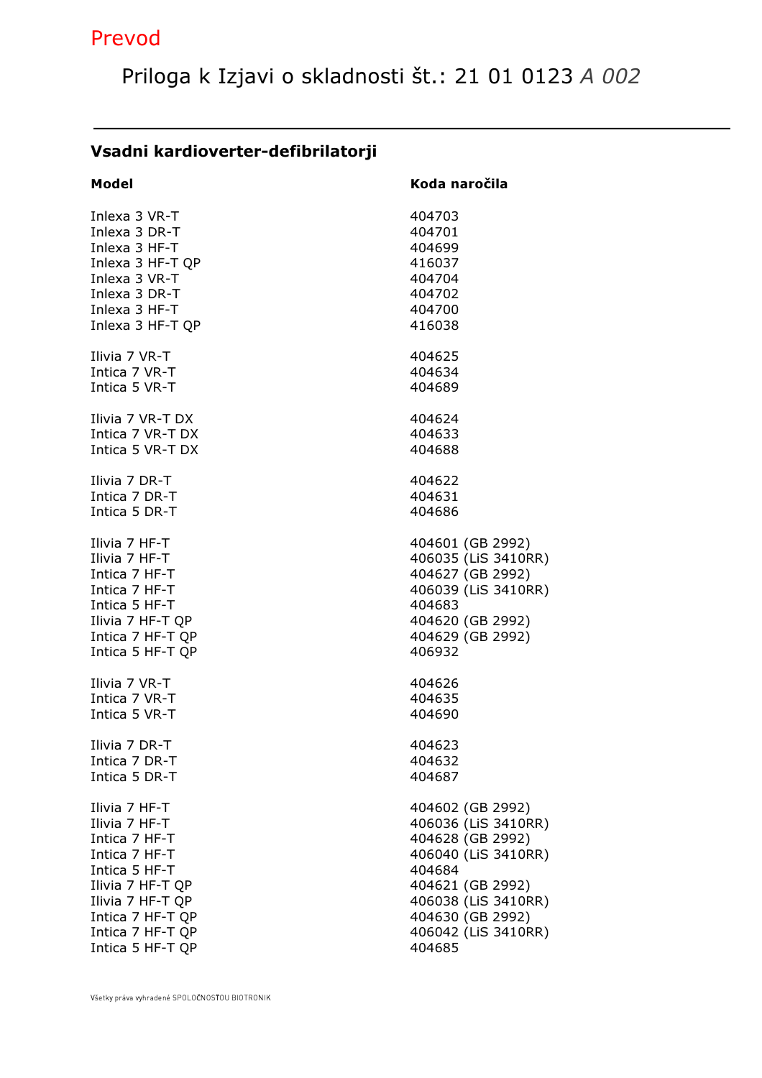## Prevod

# Priloga k Izjavi o skladnosti št.: 21 01 0123 A 002

### Vsadni kardioverter-defibrilatorji

| <b>Model</b>     | Koda naročila       |
|------------------|---------------------|
| Inlexa 3 VR-T    | 404703              |
| Inlexa 3 DR-T    | 404701              |
| Inlexa 3 HF-T    | 404699              |
| Inlexa 3 HF-T QP | 416037              |
| Inlexa 3 VR-T    | 404704              |
| Inlexa 3 DR-T    | 404702              |
| Inlexa 3 HF-T    | 404700              |
| Inlexa 3 HF-T QP | 416038              |
| Ilivia 7 VR-T    | 404625              |
| Intica 7 VR-T    | 404634              |
| Intica 5 VR-T    | 404689              |
| Ilivia 7 VR-T DX | 404624              |
| Intica 7 VR-T DX | 404633              |
| Intica 5 VR-T DX | 404688              |
| Ilivia 7 DR-T    | 404622              |
| Intica 7 DR-T    | 404631              |
| Intica 5 DR-T    | 404686              |
| Ilivia 7 HF-T    | 404601 (GB 2992)    |
| Ilivia 7 HF-T    | 406035 (LiS 3410RR) |
| Intica 7 HF-T    | 404627 (GB 2992)    |
| Intica 7 HF-T    | 406039 (LiS 3410RR) |
| Intica 5 HF-T    | 404683              |
| Ilivia 7 HF-T QP | 404620 (GB 2992)    |
| Intica 7 HF-T QP | 404629 (GB 2992)    |
| Intica 5 HF-T QP | 406932              |
| Ilivia 7 VR-T    | 404626              |
| Intica 7 VR-T    | 404635              |
| Intica 5 VR-T    | 404690              |
| Ilivia 7 DR-T    | 404623              |
| Intica 7 DR-T    | 404632              |
| Intica 5 DR-T    | 404687              |
| Ilivia 7 HF-T    | 404602 (GB 2992)    |
| Ilivia 7 HF-T    | 406036 (LiS 3410RR) |
| Intica 7 HF-T    | 404628 (GB 2992)    |
| Intica 7 HF-T    | 406040 (LiS 3410RR) |
| Intica 5 HF-T    | 404684              |
| Ilivia 7 HF-T QP | 404621 (GB 2992)    |
| Ilivia 7 HF-T QP | 406038 (LiS 3410RR) |
| Intica 7 HF-T QP | 404630 (GB 2992)    |
| Intica 7 HF-T QP | 406042 (LiS 3410RR) |
| Intica 5 HF-T QP | 404685              |

Všetky práva vyhradené SPOLOČNOSŤOU BIOTRONIK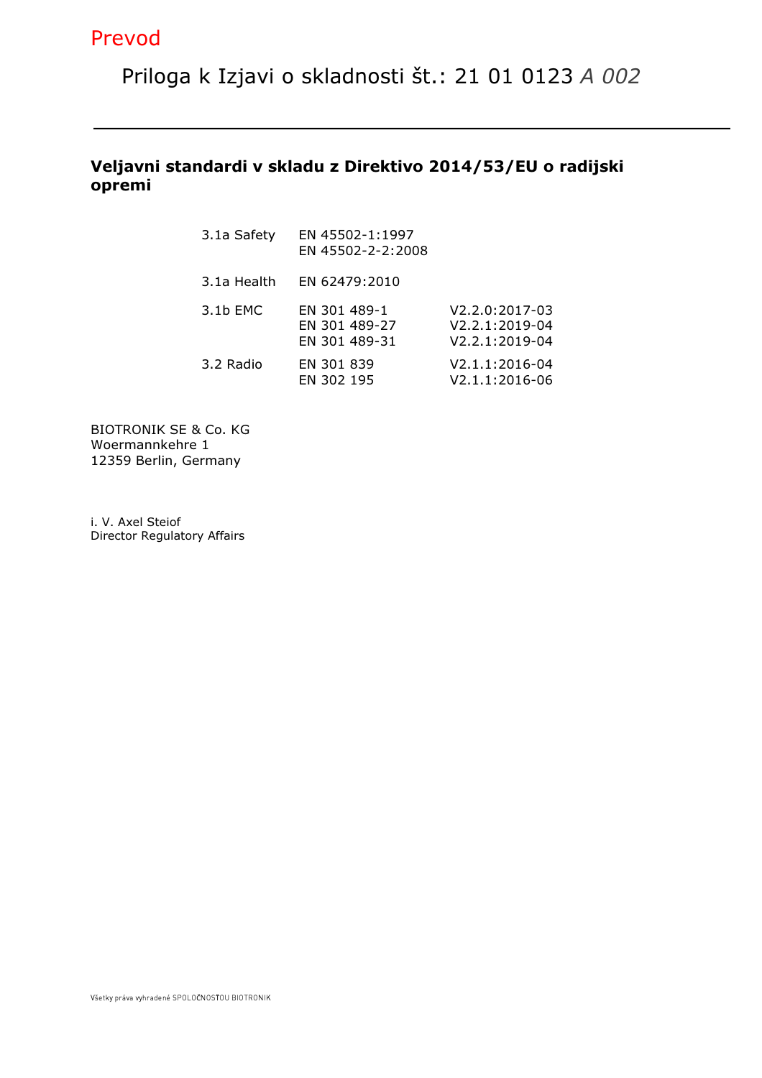### Veljavni standardi v skladu z Direktivo 2014/53/EU o radijski opremi

| 3.1a Safety | EN 45502-1:1997<br>EN 45502-2-2:2008           |                                                        |
|-------------|------------------------------------------------|--------------------------------------------------------|
| 3.1a Health | EN 62479:2010                                  |                                                        |
| 3.1b EMC    | EN 301 489-1<br>EN 301 489-27<br>EN 301 489-31 | $V2.2.0:2017-03$<br>V2.2.1:2019-04<br>$V2.2.1:2019-04$ |
| 3.2 Radio   | EN 301 839<br>EN 302 195                       | V2.1.1:2016-04<br>V2.1.1:2016-06                       |

BIOTRONIK SE & Co. KG Woermannkehre 1 12359 Berlin, Germany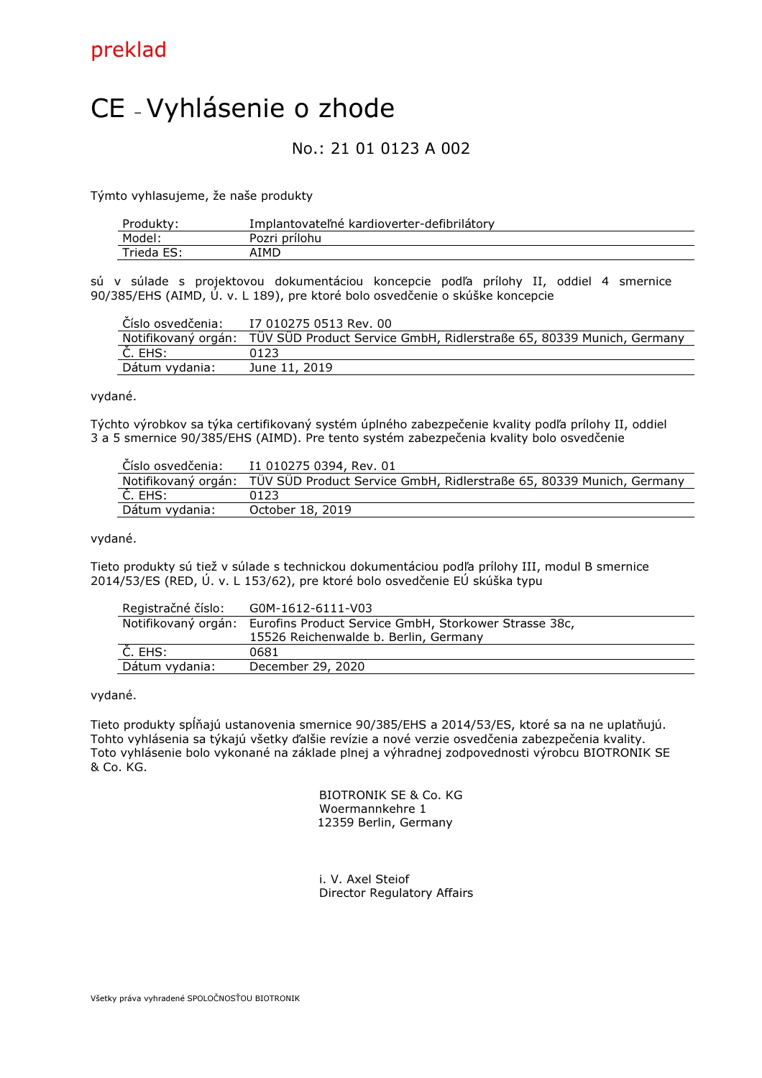# CE – Vyhlásenie o zhode

#### No.: 21 01 0123 A 002

Týmto vyhlasujeme, že naše produkty

| Produkty:  | Implantovateľné kardioverter-defibrilátory |
|------------|--------------------------------------------|
| Model:     | Pozri prílohu                              |
| Trieda ES: | AIMD                                       |

sú v súlade s projektovou dokumentáciou koncepcie podľa prílohy II, oddiel 4 smernice 90/385/EHS (AIMD, Ú. v. L 189), pre ktoré bolo osvedčenie o skúške koncepcie

| Číslo osvedčenia: | I7 010275 0513 Rev. 00                                                                   |
|-------------------|------------------------------------------------------------------------------------------|
|                   | Notifikovaný orgán: TÜV SÜD Product Service GmbH, Ridlerstraße 65, 80339 Munich, Germany |
| Č. EHS:           | 0123                                                                                     |
| Dátum vydania:    | June 11, 2019                                                                            |

vydané.

Týchto výrobkov sa týka certifikovaný systém úplného zabezpečenie kvality podľa prílohy II, oddiel 3 a 5 smernice 90/385/EHS (AIMD). Pre tento systém zabezpečenia kvality bolo osvedčenie

| Číslo osvedčenia: | I1 010275 0394, Rev. 01                                                                  |
|-------------------|------------------------------------------------------------------------------------------|
|                   | Notifikovaný orgán: TÜV SÜD Product Service GmbH, Ridlerstraße 65, 80339 Munich, Germany |
| Č. EHS:           | 0123                                                                                     |
| Dátum vydania:    | October 18, 2019                                                                         |

vydané.

Tieto produkty sú tiež v súlade s technickou dokumentáciou podľa prílohy III, modul B smernice 2014/53/ES (RED, Ú. v. L 153/62), pre ktoré bolo osvedčenie EÚ skúška typu

| Registračné číslo:  | G0M-1612-6111-V03                                     |
|---------------------|-------------------------------------------------------|
| Notifikovaný orgán: | Eurofins Product Service GmbH, Storkower Strasse 38c, |
|                     | 15526 Reichenwalde b. Berlin, Germany                 |
| Č. EHS:             | 0681                                                  |
| Dátum vydania:      | December 29, 2020                                     |

vydané.

Tieto produkty spĺňajú ustanovenia smernice 90/385/EHS a 2014/53/ES, ktoré sa na ne uplatňujú. Tohto vyhlásenia sa týkajú všetky ďalšie revízie a nové verzie osvedčenia zabezpečenia kvality. Toto vyhlásenie bolo vykonané na základe plnej a výhradnej zodpovednosti výrobcu BIOTRONIK SE & Co. KG.

> BIOTRONIK SE & Co. KG Woermannkehre 1 12359 Berlin, Germany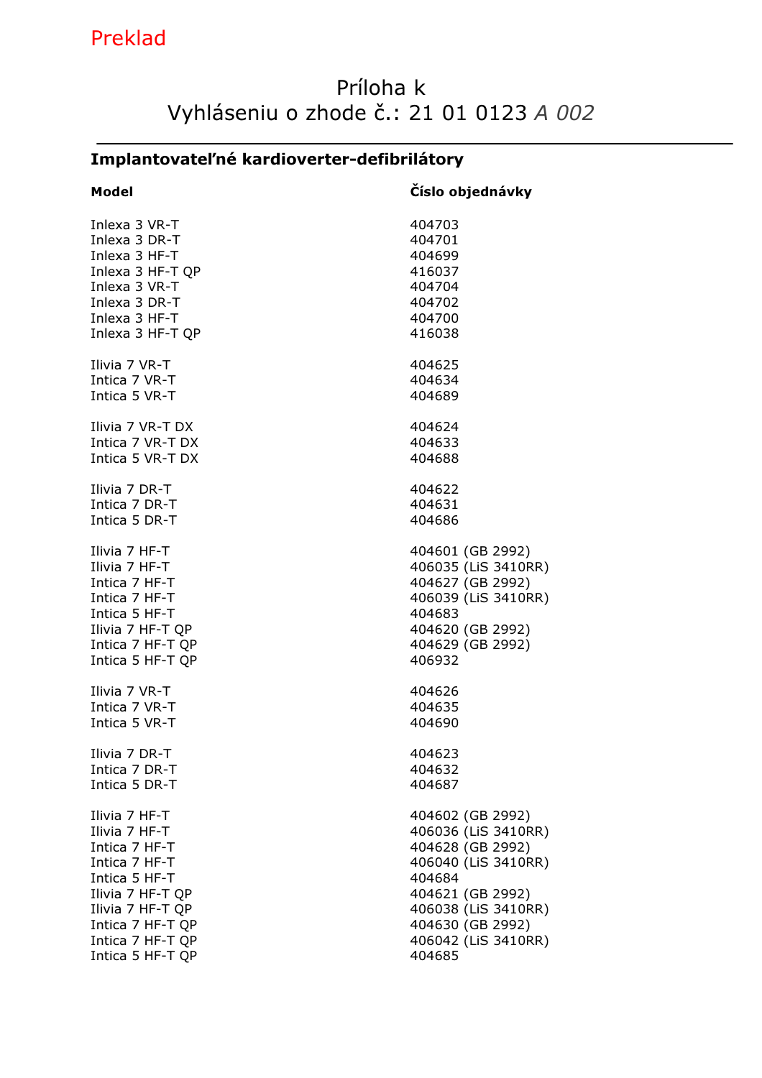# Príloha k Vyhláseniu o zhode č.: 21 01 0123 A 002

### Implantovateľné kardioverter-defibrilátory

| Model            | Číslo objednávky    |
|------------------|---------------------|
| Inlexa 3 VR-T    | 404703              |
| Inlexa 3 DR-T    | 404701              |
| Inlexa 3 HF-T    | 404699              |
| Inlexa 3 HF-T QP | 416037              |
| Inlexa 3 VR-T    | 404704              |
| Inlexa 3 DR-T    | 404702              |
| Inlexa 3 HF-T    | 404700              |
| Inlexa 3 HF-T QP | 416038              |
| Ilivia 7 VR-T    | 404625              |
| Intica 7 VR-T    | 404634              |
| Intica 5 VR-T    | 404689              |
| Ilivia 7 VR-T DX | 404624              |
| Intica 7 VR-T DX | 404633              |
| Intica 5 VR-T DX | 404688              |
| Ilivia 7 DR-T    | 404622              |
| Intica 7 DR-T    | 404631              |
| Intica 5 DR-T    | 404686              |
| Ilivia 7 HF-T    | 404601 (GB 2992)    |
| Ilivia 7 HF-T    | 406035 (LiS 3410RR) |
| Intica 7 HF-T    | 404627 (GB 2992)    |
| Intica 7 HF-T    | 406039 (LiS 3410RR) |
| Intica 5 HF-T    | 404683              |
| Ilivia 7 HF-T QP | 404620 (GB 2992)    |
| Intica 7 HF-T QP | 404629 (GB 2992)    |
| Intica 5 HF-T QP | 406932              |
| Ilivia 7 VR-T    | 404626              |
| Intica 7 VR-T    | 404635              |
| Intica 5 VR-T    | 404690              |
| Ilivia 7 DR-T    | 404623              |
| Intica 7 DR-T    | 404632              |
| Intica 5 DR-T    | 404687              |
| Ilivia 7 HF-T    | 404602 (GB 2992)    |
| Ilivia 7 HF-T    | 406036 (LiS 3410RR) |
| Intica 7 HF-T    | 404628 (GB 2992)    |
| Intica 7 HF-T    | 406040 (LiS 3410RR) |
| Intica 5 HF-T    | 404684              |
| Ilivia 7 HF-T QP | 404621 (GB 2992)    |
| Ilivia 7 HF-T QP | 406038 (LiS 3410RR) |
| Intica 7 HF-T QP | 404630 (GB 2992)    |
| Intica 7 HF-T QP | 406042 (LiS 3410RR) |
| Intica 5 HF-T QP | 404685              |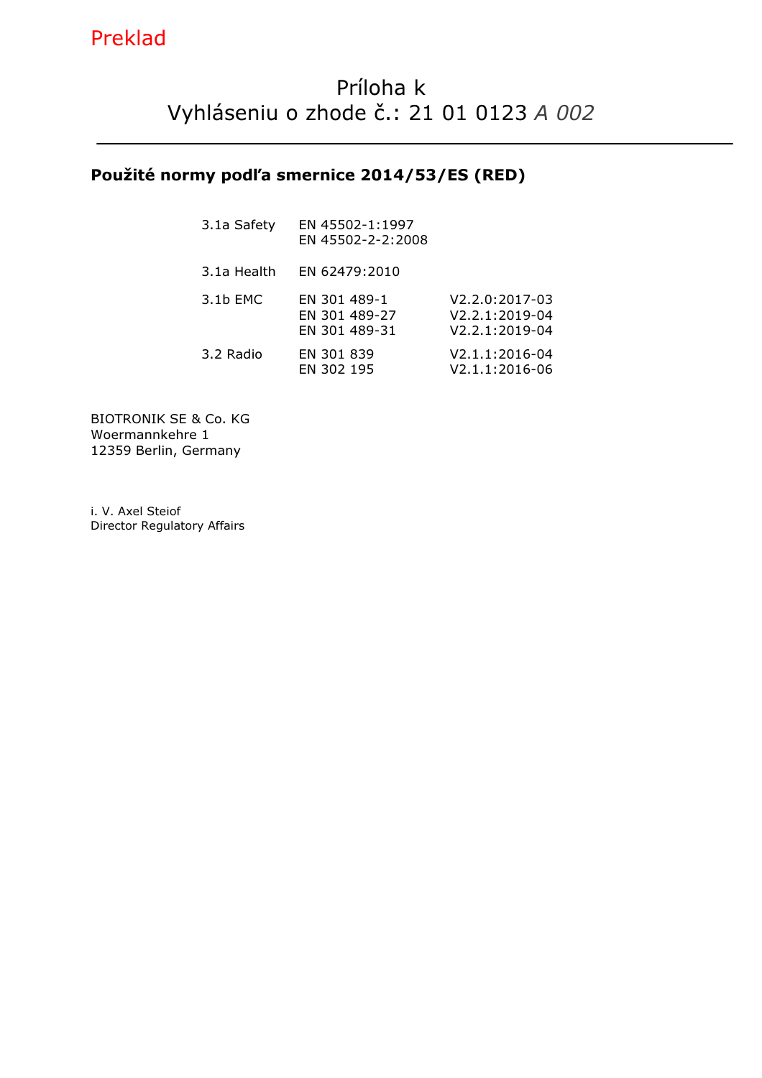#### Použité normy podľa smernice 2014/53/ES (RED)

| 3.1a Safety | EN 45502-1:1997<br>EN 45502-2-2:2008           |                                                        |
|-------------|------------------------------------------------|--------------------------------------------------------|
| 3.1a Health | EN 62479:2010                                  |                                                        |
| 3.1b EMC    | EN 301 489-1<br>EN 301 489-27<br>EN 301 489-31 | V2.2.0:2017-03<br>$V2.2.1:2019-04$<br>$V2.2.1:2019-04$ |
| 3.2 Radio   | EN 301 839<br>EN 302 195                       | V2.1.1:2016-04<br>V2.1.1:2016-06                       |

BIOTRONIK SE & Co. KG Woermannkehre 1 12359 Berlin, Germany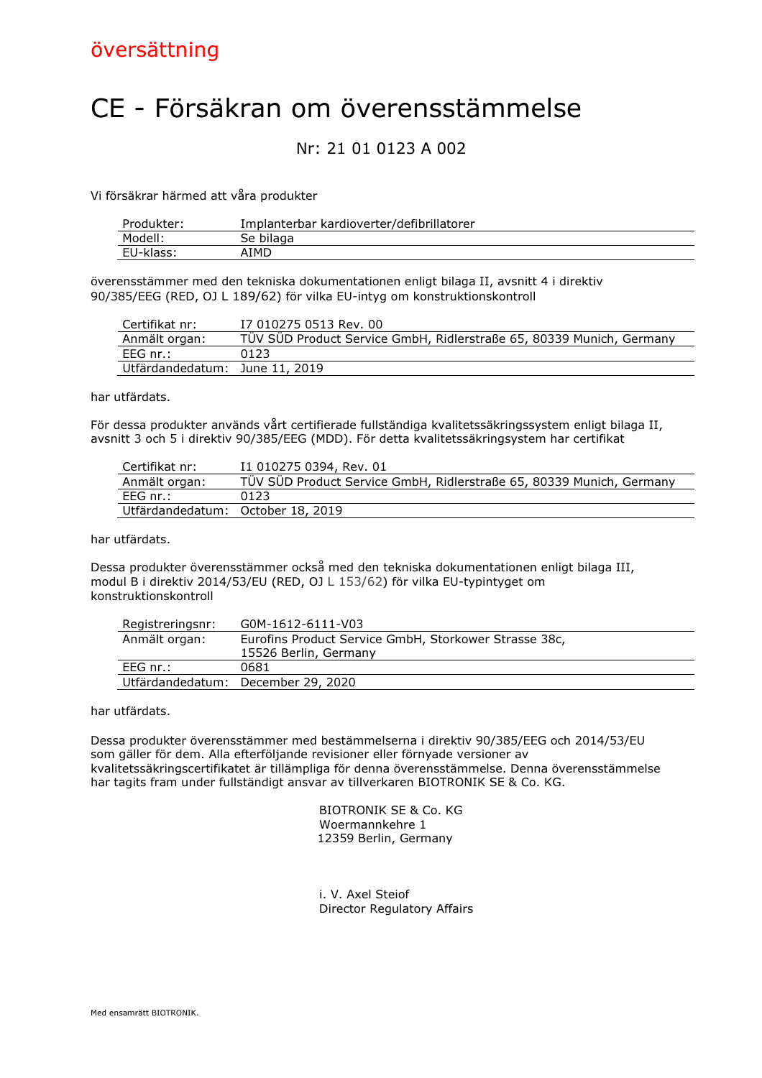# CE - Försäkran om överensstämmelse

#### Nr: 21 01 0123 A 002

Vi försäkrar härmed att våra produkter

| Produkter: | Implanterbar kardioverter/defibrillatorer |
|------------|-------------------------------------------|
| Modell:    | Se bilaga                                 |
| EU-klass:  | AIMD                                      |

överensstämmer med den tekniska dokumentationen enligt bilaga II, avsnitt 4 i direktiv 90/385/EEG (RED, OJ L 189/62) för vilka EU-intyg om konstruktionskontroll

| Certifikat nr:                 | I7 010275 0513 Rev. 00                                               |
|--------------------------------|----------------------------------------------------------------------|
| Anmält organ:                  | TUV SUD Product Service GmbH, Ridlerstraße 65, 80339 Munich, Germany |
| EEG nr.:                       | 0123                                                                 |
| Utfärdandedatum: June 11, 2019 |                                                                      |

har utfärdats.

För dessa produkter används vårt certifierade fullständiga kvalitetssäkringssystem enligt bilaga II, avsnitt 3 och 5 i direktiv 90/385/EEG (MDD). För detta kvalitetssäkringsystem har certifikat

| I1 010275 0394, Rev. 01                                              |
|----------------------------------------------------------------------|
| TUV SUD Product Service GmbH, Ridlerstraße 65, 80339 Munich, Germany |
| 0123                                                                 |
| Utfärdandedatum: October 18, 2019                                    |
|                                                                      |

har utfärdats.

Dessa produkter överensstämmer också med den tekniska dokumentationen enligt bilaga III, modul B i direktiv 2014/53/EU (RED, OJ L 153/62) för vilka EU-typintyget om konstruktionskontroll

| Registreringsnr: | G0M-1612-6111-V03                                     |  |
|------------------|-------------------------------------------------------|--|
| Anmält organ:    | Eurofins Product Service GmbH, Storkower Strasse 38c, |  |
|                  | 15526 Berlin, Germany                                 |  |
| EEG nr. :        | 0681                                                  |  |
|                  | Utfärdandedatum: December 29, 2020                    |  |

har utfärdats.

Dessa produkter överensstämmer med bestämmelserna i direktiv 90/385/EEG och 2014/53/EU som gäller för dem. Alla efterföljande revisioner eller förnyade versioner av kvalitetssäkringscertifikatet är tillämpliga för denna överensstämmelse. Denna överensstämmelse har tagits fram under fullständigt ansvar av tillverkaren BIOTRONIK SE & Co. KG.

> BIOTRONIK SE & Co. KG Woermannkehre 1 12359 Berlin, Germany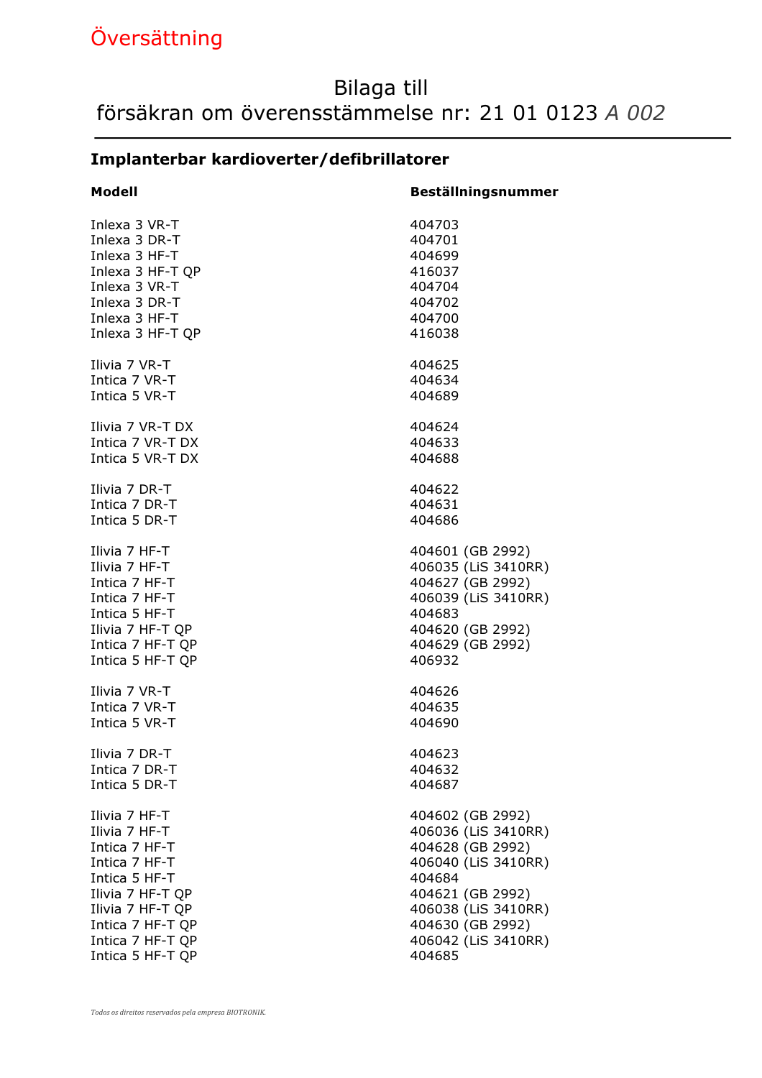# Översättning

### Bilaga till försäkran om överensstämmelse nr: 21 01 0123 A 002

### Implanterbar kardioverter/defibrillatorer

| Modell           | Beställningsnummer  |
|------------------|---------------------|
| Inlexa 3 VR-T    | 404703              |
| Inlexa 3 DR-T    | 404701              |
| Inlexa 3 HF-T    | 404699              |
| Inlexa 3 HF-T QP | 416037              |
| Inlexa 3 VR-T    | 404704              |
| Inlexa 3 DR-T    | 404702              |
| Inlexa 3 HF-T    | 404700              |
| Inlexa 3 HF-T QP | 416038              |
| Ilivia 7 VR-T    | 404625              |
| Intica 7 VR-T    | 404634              |
| Intica 5 VR-T    | 404689              |
| Ilivia 7 VR-T DX | 404624              |
| Intica 7 VR-T DX | 404633              |
| Intica 5 VR-T DX | 404688              |
| Ilivia 7 DR-T    | 404622              |
| Intica 7 DR-T    | 404631              |
| Intica 5 DR-T    | 404686              |
| Ilivia 7 HF-T    | 404601 (GB 2992)    |
| Ilivia 7 HF-T    | 406035 (LiS 3410RR) |
| Intica 7 HF-T    | 404627 (GB 2992)    |
| Intica 7 HF-T    | 406039 (LiS 3410RR) |
| Intica 5 HF-T    | 404683              |
| Ilivia 7 HF-T QP | 404620 (GB 2992)    |
| Intica 7 HF-T QP | 404629 (GB 2992)    |
| Intica 5 HF-T QP | 406932              |
| Ilivia 7 VR-T    | 404626              |
| Intica 7 VR-T    | 404635              |
| Intica 5 VR-T    | 404690              |
| Ilivia 7 DR-T    | 404623              |
| Intica 7 DR-T    | 404632              |
| Intica 5 DR-T    | 404687              |
| Ilivia 7 HF-T    | 404602 (GB 2992)    |
| Ilivia 7 HF-T    | 406036 (LiS 3410RR) |
| Intica 7 HF-T    | 404628 (GB 2992)    |
| Intica 7 HF-T    | 406040 (LiS 3410RR) |
| Intica 5 HF-T    | 404684              |
| Ilivia 7 HF-T QP | 404621 (GB 2992)    |
| Ilivia 7 HF-T QP | 406038 (LiS 3410RR) |
| Intica 7 HF-T QP | 404630 (GB 2992)    |
| Intica 7 HF-T QP | 406042 (LiS 3410RR) |
| Intica 5 HF-T QP | 404685              |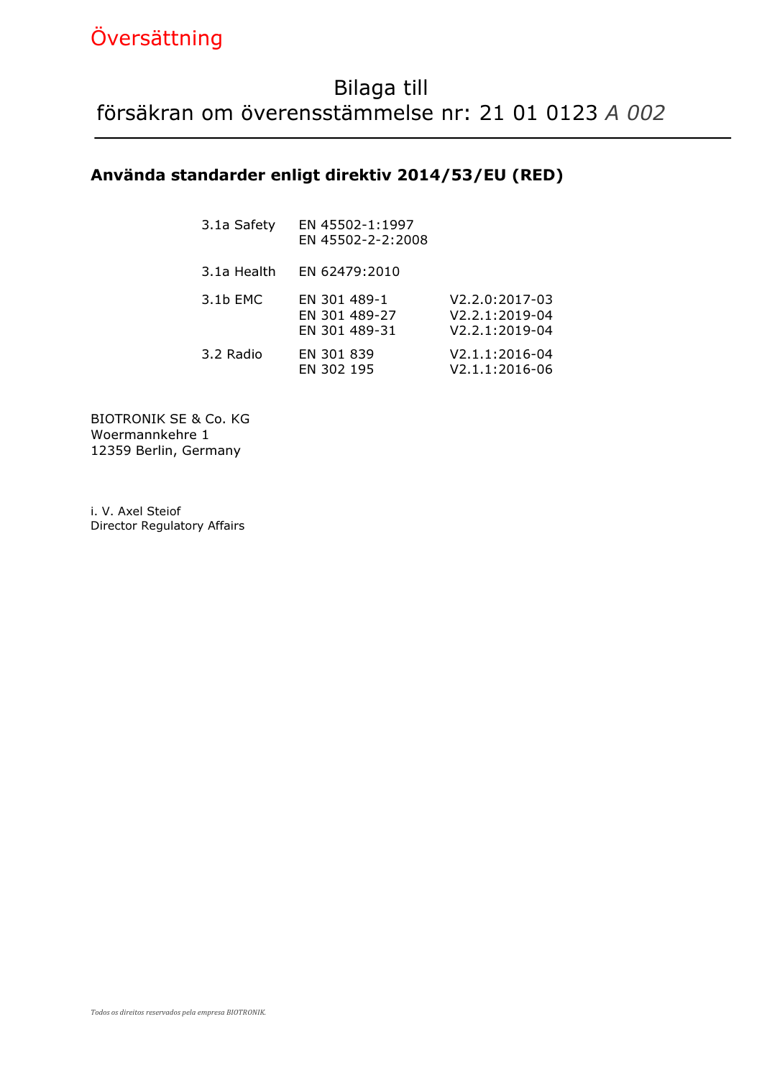# Översättning

## Bilaga till försäkran om överensstämmelse nr: 21 01 0123 A 002

### Använda standarder enligt direktiv 2014/53/EU (RED)

| 3.1a Safety | EN 45502-1:1997<br>EN 45502-2-2:2008           |                                                                 |
|-------------|------------------------------------------------|-----------------------------------------------------------------|
| 3.1a Health | EN 62479:2010                                  |                                                                 |
| 3.1b EMC    | EN 301 489-1<br>EN 301 489-27<br>EN 301 489-31 | V2.2.0:2017-03<br>V2.2.1:2019-04<br>V <sub>2</sub> .2.1:2019-04 |
| 3.2 Radio   | EN 301 839<br>EN 302 195                       | V2.1.1:2016-04<br>V2.1.1:2016-06                                |

BIOTRONIK SE & Co. KG Woermannkehre 1 12359 Berlin, Germany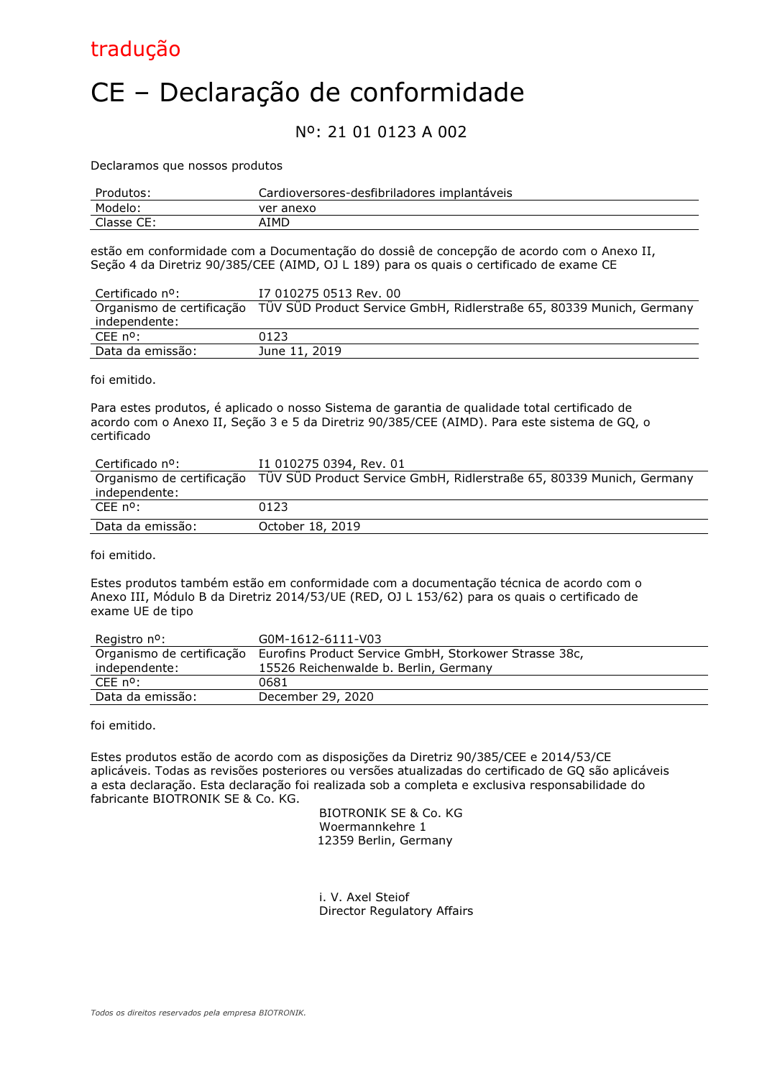

# CE – Declaração de conformidade

#### Nº: 21 01 0123 A 002

Declaramos que nossos produtos

| Produtos:  | Cardioversores-desfibriladores implantáveis |
|------------|---------------------------------------------|
| Modelo:    | ver anexo                                   |
| Classe CE: | AIMD                                        |

estão em conformidade com a Documentação do dossiê de concepção de acordo com o Anexo II, Seção 4 da Diretriz 90/385/CEE (AIMD, OJ L 189) para os quais o certificado de exame CE

| Certificado nº:        | I7 010275 0513 Rev. 00                                                                         |
|------------------------|------------------------------------------------------------------------------------------------|
|                        | Organismo de certificação TUV SUD Product Service GmbH, Ridlerstraße 65, 80339 Munich, Germany |
| independente:          |                                                                                                |
| $CEE$ n <sup>o</sup> : | 0123                                                                                           |
| Data da emissão:       | June 11, 2019                                                                                  |

foi emitido.

Para estes produtos, é aplicado o nosso Sistema de garantia de qualidade total certificado de acordo com o Anexo II, Seção 3 e 5 da Diretriz 90/385/CEE (AIMD). Para este sistema de GQ, o certificado

| Certificado nº:  | I1 010275 0394, Rev. 01                                                                        |
|------------------|------------------------------------------------------------------------------------------------|
|                  | Organismo de certificação TÜV SÜD Product Service GmbH, Ridlerstraße 65, 80339 Munich, Germany |
| independente:    |                                                                                                |
| $CFF \n  0$      | 0123                                                                                           |
| Data da emissão: | October 18, 2019                                                                               |

foi emitido.

Estes produtos também estão em conformidade com a documentação técnica de acordo com o Anexo III, Módulo B da Diretriz 2014/53/UE (RED, OJ L 153/62) para os quais o certificado de exame UE de tipo

| Registro n <sup>o</sup> : | G0M-1612-6111-V03                                     |
|---------------------------|-------------------------------------------------------|
| Organismo de certificação | Eurofins Product Service GmbH, Storkower Strasse 38c, |
| independente:             | 15526 Reichenwalde b. Berlin, Germany                 |
| $CEE$ n <sup>o</sup> :    | 0681                                                  |
| Data da emissão:          | December 29, 2020                                     |

foi emitido.

Estes produtos estão de acordo com as disposições da Diretriz 90/385/CEE e 2014/53/CE aplicáveis. Todas as revisões posteriores ou versões atualizadas do certificado de GQ são aplicáveis a esta declaração. Esta declaração foi realizada sob a completa e exclusiva responsabilidade do fabricante BIOTRONIK SE & Co. KG.

BIOTRONIK SE & Co. KG Woermannkehre 1 12359 Berlin, Germany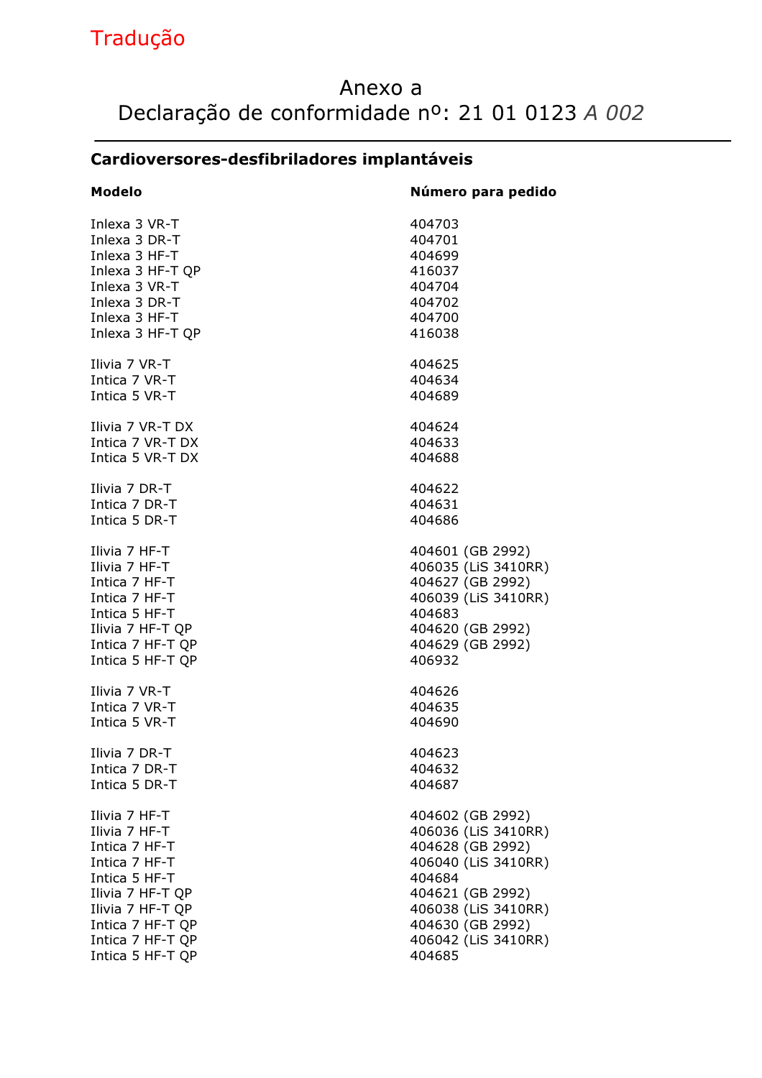## Anexo a Declaração de conformidade nº: 21 01 0123 A 002

### Cardioversores-desfibriladores implantáveis

| Modelo           | Número para pedido  |
|------------------|---------------------|
| Inlexa 3 VR-T    | 404703              |
| Inlexa 3 DR-T    | 404701              |
| Inlexa 3 HF-T    | 404699              |
| Inlexa 3 HF-T QP | 416037              |
| Inlexa 3 VR-T    | 404704              |
| Inlexa 3 DR-T    | 404702              |
| Inlexa 3 HF-T    | 404700              |
| Inlexa 3 HF-T QP | 416038              |
| Ilivia 7 VR-T    | 404625              |
| Intica 7 VR-T    | 404634              |
| Intica 5 VR-T    | 404689              |
| Ilivia 7 VR-T DX | 404624              |
| Intica 7 VR-T DX | 404633              |
| Intica 5 VR-T DX | 404688              |
| Ilivia 7 DR-T    | 404622              |
| Intica 7 DR-T    | 404631              |
| Intica 5 DR-T    | 404686              |
| Ilivia 7 HF-T    | 404601 (GB 2992)    |
| Ilivia 7 HF-T    | 406035 (LiS 3410RR) |
| Intica 7 HF-T    | 404627 (GB 2992)    |
| Intica 7 HF-T    | 406039 (LiS 3410RR) |
| Intica 5 HF-T    | 404683              |
| Ilivia 7 HF-T QP | 404620 (GB 2992)    |
| Intica 7 HF-T QP | 404629 (GB 2992)    |
| Intica 5 HF-T QP | 406932              |
| Ilivia 7 VR-T    | 404626              |
| Intica 7 VR-T    | 404635              |
| Intica 5 VR-T    | 404690              |
| Ilivia 7 DR-T    | 404623              |
| Intica 7 DR-T    | 404632              |
| Intica 5 DR-T    | 404687              |
| Ilivia 7 HF-T    | 404602 (GB 2992)    |
| Ilivia 7 HF-T    | 406036 (LiS 3410RR) |
| Intica 7 HF-T    | 404628 (GB 2992)    |
| Intica 7 HF-T    | 406040 (LiS 3410RR) |
| Intica 5 HF-T    | 404684              |
| Ilivia 7 HF-T QP | 404621 (GB 2992)    |
| Ilivia 7 HF-T QP | 406038 (LiS 3410RR) |
| Intica 7 HF-T QP | 404630 (GB 2992)    |
| Intica 7 HF-T QP | 406042 (LiS 3410RR) |
| Intica 5 HF-T QP | 404685              |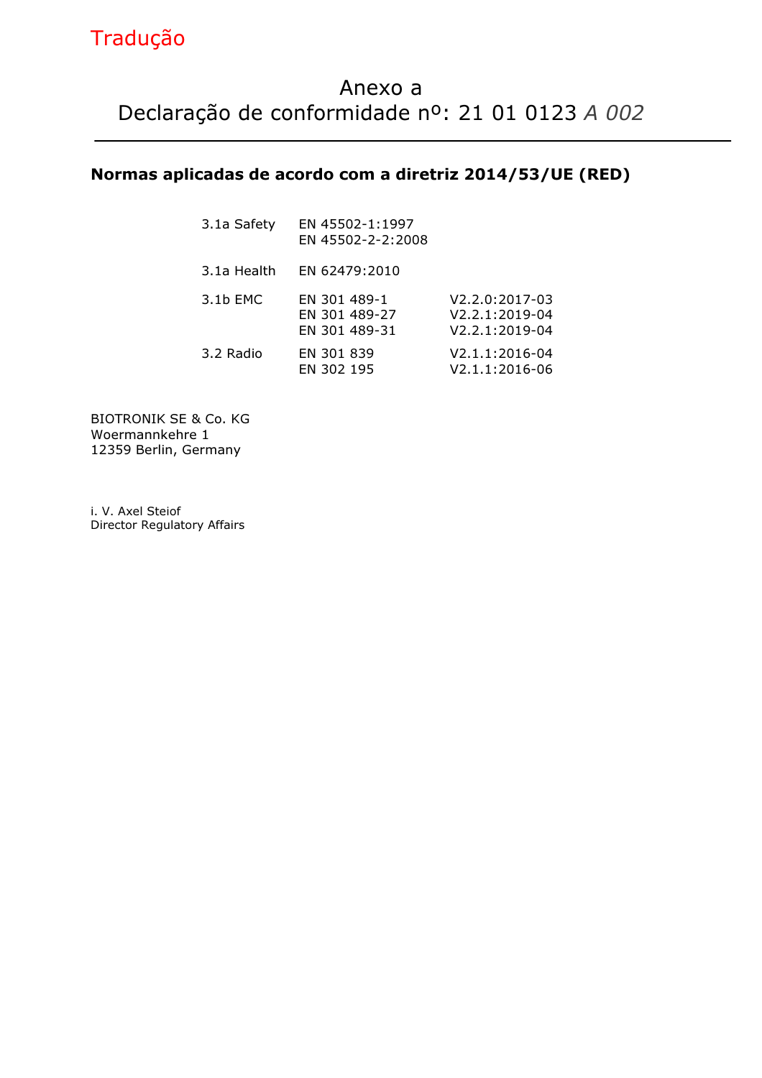### Anexo a Declaração de conformidade nº: 21 01 0123 A 002

#### Normas aplicadas de acordo com a diretriz 2014/53/UE (RED)

| 3.1a Safety | EN 45502-1:1997<br>EN 45502-2-2:2008           |                                                                              |
|-------------|------------------------------------------------|------------------------------------------------------------------------------|
| 3.1a Health | EN 62479:2010                                  |                                                                              |
| 3.1b EMC    | EN 301 489-1<br>EN 301 489-27<br>EN 301 489-31 | V2.2.0:2017-03<br>V <sub>2</sub> .2.1:2019-04<br>V <sub>2</sub> .2.1:2019-04 |
| 3.2 Radio   | EN 301 839<br>EN 302 195                       | V2.1.1:2016-04<br>V2.1.1:2016-06                                             |

BIOTRONIK SE & Co. KG Woermannkehre 1 12359 Berlin, Germany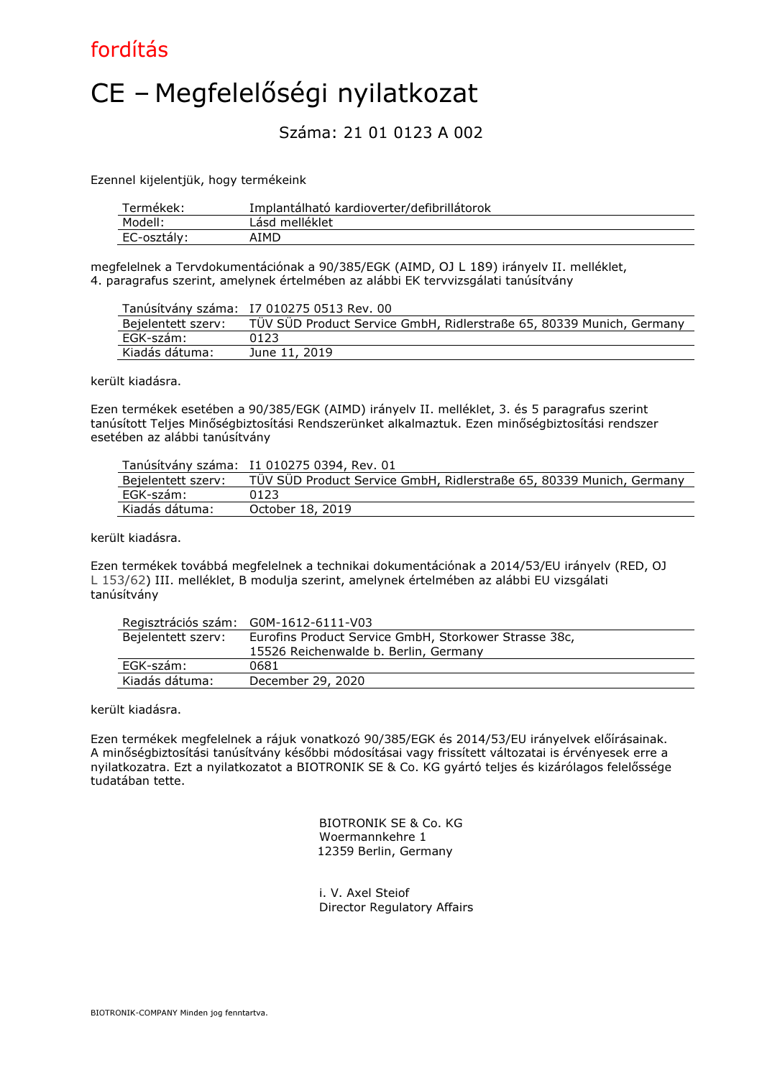

# CE – Megfelelőségi nyilatkozat

#### Száma: 21 01 0123 A 002

Ezennel kijelentjük, hogy termékeink

| Termékek:   | Implantálható kardioverter/defibrillátorok |
|-------------|--------------------------------------------|
| Modell:     | Lásd melléklet                             |
| EC-osztály: | AIMD                                       |

megfelelnek a Tervdokumentációnak a 90/385/EGK (AIMD, OJ L 189) irányelv II. melléklet, 4. paragrafus szerint, amelynek értelmében az alábbi EK tervvizsgálati tanúsítvány

|                    | Tanúsítvány száma: I7 010275 0513 Rev. 00                            |
|--------------------|----------------------------------------------------------------------|
| Bejelentett szerv: | TUV SUD Product Service GmbH, Ridlerstraße 65, 80339 Munich, Germany |
| EGK-szám:          | 0123                                                                 |
| Kiadás dátuma:     | June 11, 2019                                                        |

került kiadásra.

Ezen termékek esetében a 90/385/EGK (AIMD) irányelv II. melléklet, 3. és 5 paragrafus szerint tanúsított Teljes Minőségbiztosítási Rendszerünket alkalmaztuk. Ezen minőségbiztosítási rendszer esetében az alábbi tanúsítvány

|                    | Tanúsítvány száma: I1 010275 0394, Rev. 01                           |
|--------------------|----------------------------------------------------------------------|
| Bejelentett szerv: | TUV SUD Product Service GmbH, Ridlerstraße 65, 80339 Munich, Germany |
| EGK-szám:          | 0123                                                                 |
| Kiadás dátuma:     | October 18, 2019                                                     |

került kiadásra.

Ezen termékek továbbá megfelelnek a technikai dokumentációnak a 2014/53/EU irányelv (RED, OJ L 153/62) III. melléklet, B modulja szerint, amelynek értelmében az alábbi EU vizsgálati tanúsítvány

|                    | Regisztrációs szám: G0M-1612-6111-V03                 |
|--------------------|-------------------------------------------------------|
| Bejelentett szerv: | Eurofins Product Service GmbH, Storkower Strasse 38c, |
|                    | 15526 Reichenwalde b. Berlin, Germany                 |
| EGK-szám:          | 0681                                                  |
| Kiadás dátuma:     | December 29, 2020                                     |

került kiadásra.

Ezen termékek megfelelnek a rájuk vonatkozó 90/385/EGK és 2014/53/EU irányelvek előírásainak. A minőségbiztosítási tanúsítvány későbbi módosításai vagy frissített változatai is érvényesek erre a nyilatkozatra. Ezt a nyilatkozatot a BIOTRONIK SE & Co. KG gyártó teljes és kizárólagos felelőssége tudatában tette.

> BIOTRONIK SE & Co. KG Woermannkehre 1 12359 Berlin, Germany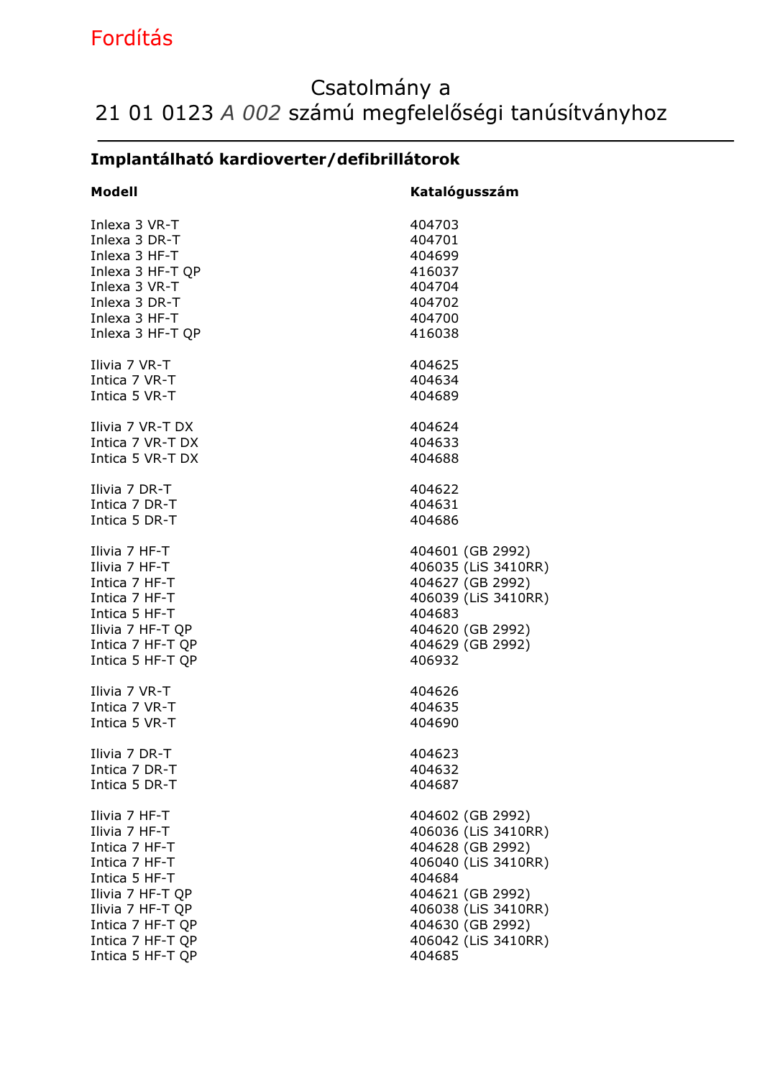## Fordítás

## Csatolmány a 21 01 0123 A 002 számú megfelelőségi tanúsítványhoz

### Implantálható kardioverter/defibrillátorok

| <b>Modell</b>    | Katalógusszám       |
|------------------|---------------------|
| Inlexa 3 VR-T    | 404703              |
| Inlexa 3 DR-T    | 404701              |
| Inlexa 3 HF-T    | 404699              |
| Inlexa 3 HF-T QP | 416037              |
| Inlexa 3 VR-T    | 404704              |
| Inlexa 3 DR-T    | 404702              |
| Inlexa 3 HF-T    | 404700              |
| Inlexa 3 HF-T QP | 416038              |
| Ilivia 7 VR-T    | 404625              |
| Intica 7 VR-T    | 404634              |
| Intica 5 VR-T    | 404689              |
| Ilivia 7 VR-T DX | 404624              |
| Intica 7 VR-T DX | 404633              |
| Intica 5 VR-T DX | 404688              |
| Ilivia 7 DR-T    | 404622              |
| Intica 7 DR-T    | 404631              |
| Intica 5 DR-T    | 404686              |
| Ilivia 7 HF-T    | 404601 (GB 2992)    |
| Ilivia 7 HF-T    | 406035 (LiS 3410RR) |
| Intica 7 HF-T    | 404627 (GB 2992)    |
| Intica 7 HF-T    | 406039 (LiS 3410RR) |
| Intica 5 HF-T    | 404683              |
| Ilivia 7 HF-T QP | 404620 (GB 2992)    |
| Intica 7 HF-T QP | 404629 (GB 2992)    |
| Intica 5 HF-T QP | 406932              |
| Ilivia 7 VR-T    | 404626              |
| Intica 7 VR-T    | 404635              |
| Intica 5 VR-T    | 404690              |
| Ilivia 7 DR-T    | 404623              |
| Intica 7 DR-T    | 404632              |
| Intica 5 DR-T    | 404687              |
| Ilivia 7 HF-T    | 404602 (GB 2992)    |
| Ilivia 7 HF-T    | 406036 (LiS 3410RR) |
| Intica 7 HF-T    | 404628 (GB 2992)    |
| Intica 7 HF-T    | 406040 (LiS 3410RR) |
| Intica 5 HF-T    | 404684              |
| Ilivia 7 HF-T QP | 404621 (GB 2992)    |
| Ilivia 7 HF-T QP | 406038 (LiS 3410RR) |
| Intica 7 HF-T QP | 404630 (GB 2992)    |
| Intica 7 HF-T QP | 406042 (LiS 3410RR) |
| Intica 5 HF-T QP | 404685              |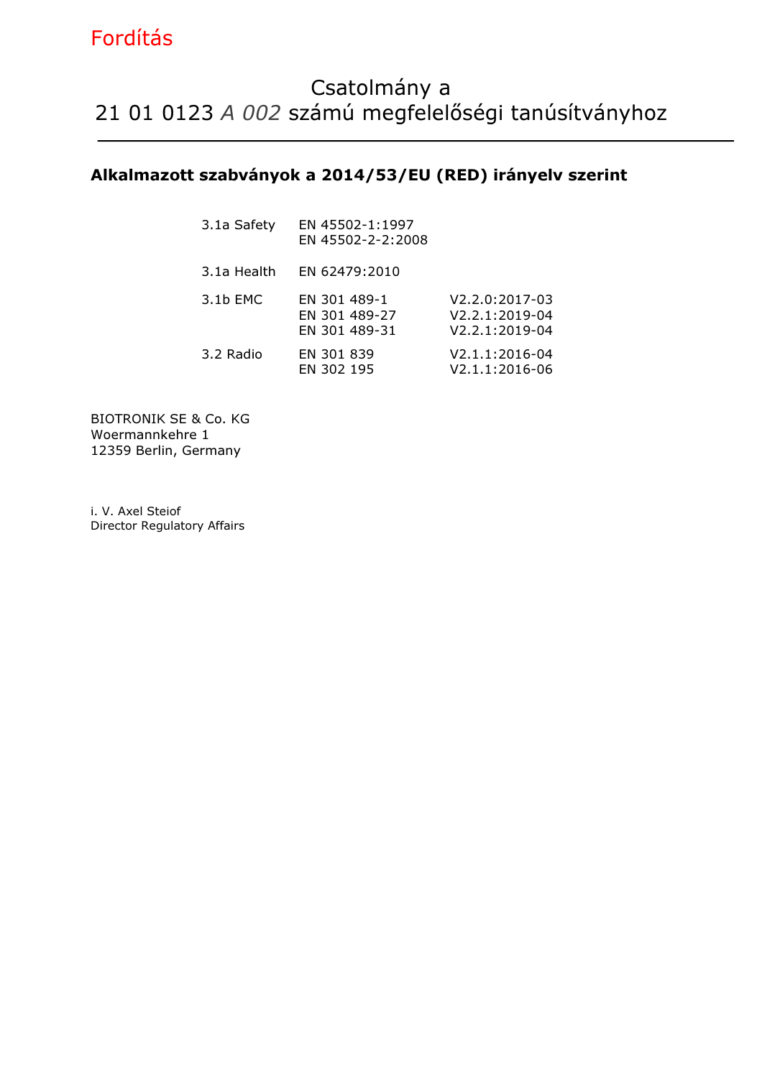#### Alkalmazott szabványok a 2014/53/EU (RED) irányelv szerint

| 3.1a Safety | EN 45502-1:1997<br>EN 45502-2-2:2008           |                                                                   |
|-------------|------------------------------------------------|-------------------------------------------------------------------|
| 3.1a Health | EN 62479:2010                                  |                                                                   |
| 3.1b EMC    | EN 301 489-1<br>EN 301 489-27<br>EN 301 489-31 | V2.2.0:2017-03<br>$V2.2.1:2019-04$<br>V <sub>2</sub> .2.1:2019-04 |
| 3.2 Radio   | EN 301 839<br>EN 302 195                       | V2.1.1:2016-04<br>V2.1.1:2016-06                                  |

BIOTRONIK SE & Co. KG Woermannkehre 1 12359 Berlin, Germany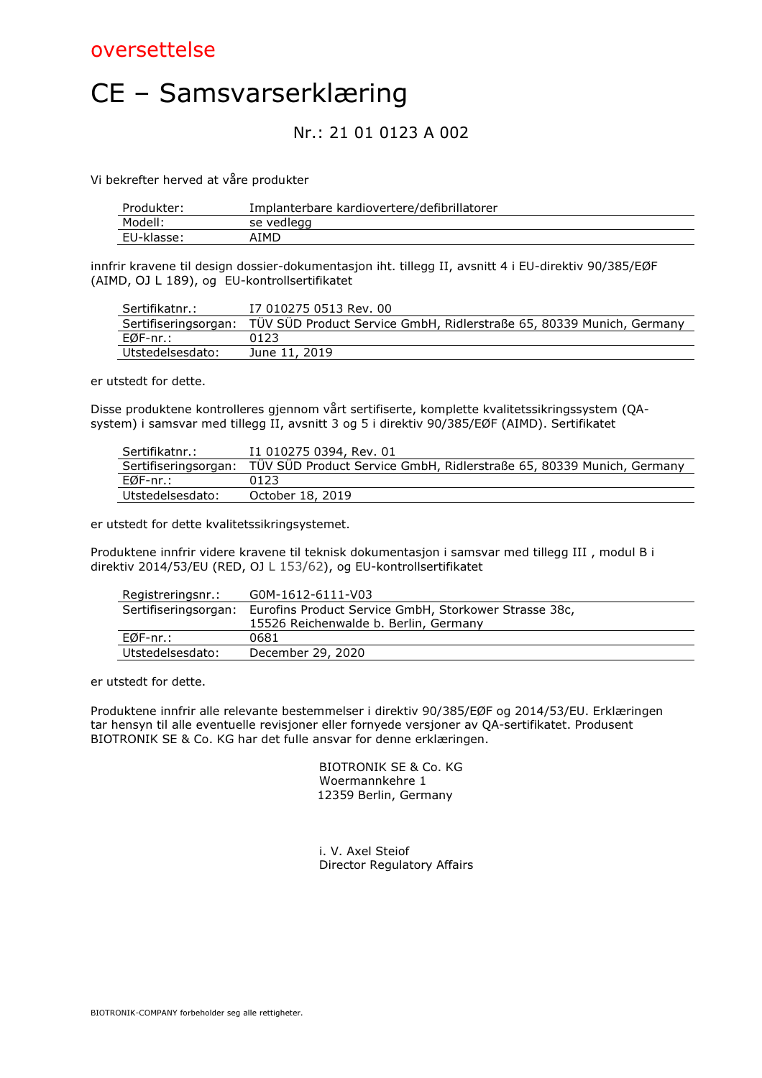# CE – Samsvarserklæring

### Nr.: 21 01 0123 A 002

Vi bekrefter herved at våre produkter

| Produkter: | Implanterbare kardiovertere/defibrillatorer |
|------------|---------------------------------------------|
| Modell:    | se vedlegg                                  |
| EU-klasse: | AIMD                                        |

innfrir kravene til design dossier-dokumentasjon iht. tillegg II, avsnitt 4 i EU-direktiv 90/385/EØF (AIMD, OJ L 189), og EU-kontrollsertifikatet

| Sertifikatnr.:   | I7 010275 0513 Rev. 00                                                                    |
|------------------|-------------------------------------------------------------------------------------------|
|                  | Sertifiseringsorgan: TUV SUD Product Service GmbH, Ridlerstraße 65, 80339 Munich, Germany |
| EØF-nr.:         | 0123                                                                                      |
| Utstedelsesdato: | June 11, 2019                                                                             |

er utstedt for dette.

Disse produktene kontrolleres gjennom vårt sertifiserte, komplette kvalitetssikringssystem (QAsystem) i samsvar med tillegg II, avsnitt 3 og 5 i direktiv 90/385/EØF (AIMD). Sertifikatet

| Sertifikatnr.:   | I1 010275 0394, Rev. 01                                                                   |
|------------------|-------------------------------------------------------------------------------------------|
|                  | Sertifiseringsorgan: TUV SUD Product Service GmbH, Ridlerstraße 65, 80339 Munich, Germany |
| EØF-nr.:         | 0123                                                                                      |
| Utstedelsesdato: | October 18, 2019                                                                          |

er utstedt for dette kvalitetssikringsystemet.

Produktene innfrir videre kravene til teknisk dokumentasjon i samsvar med tillegg III , modul B i direktiv 2014/53/EU (RED, OJ L 153/62), og EU-kontrollsertifikatet

| Registreringsnr.:    | G0M-1612-6111-V03                                     |
|----------------------|-------------------------------------------------------|
| Sertifiseringsorgan: | Eurofins Product Service GmbH, Storkower Strasse 38c, |
|                      | 15526 Reichenwalde b. Berlin, Germany                 |
| EØF-nr.:             | 0681                                                  |
| Utstedelsesdato:     | December 29, 2020                                     |

er utstedt for dette.

Produktene innfrir alle relevante bestemmelser i direktiv 90/385/EØF og 2014/53/EU. Erklæringen tar hensyn til alle eventuelle revisjoner eller fornyede versjoner av QA-sertifikatet. Produsent BIOTRONIK SE & Co. KG har det fulle ansvar for denne erklæringen.

> BIOTRONIK SE & Co. KG Woermannkehre 1 12359 Berlin, Germany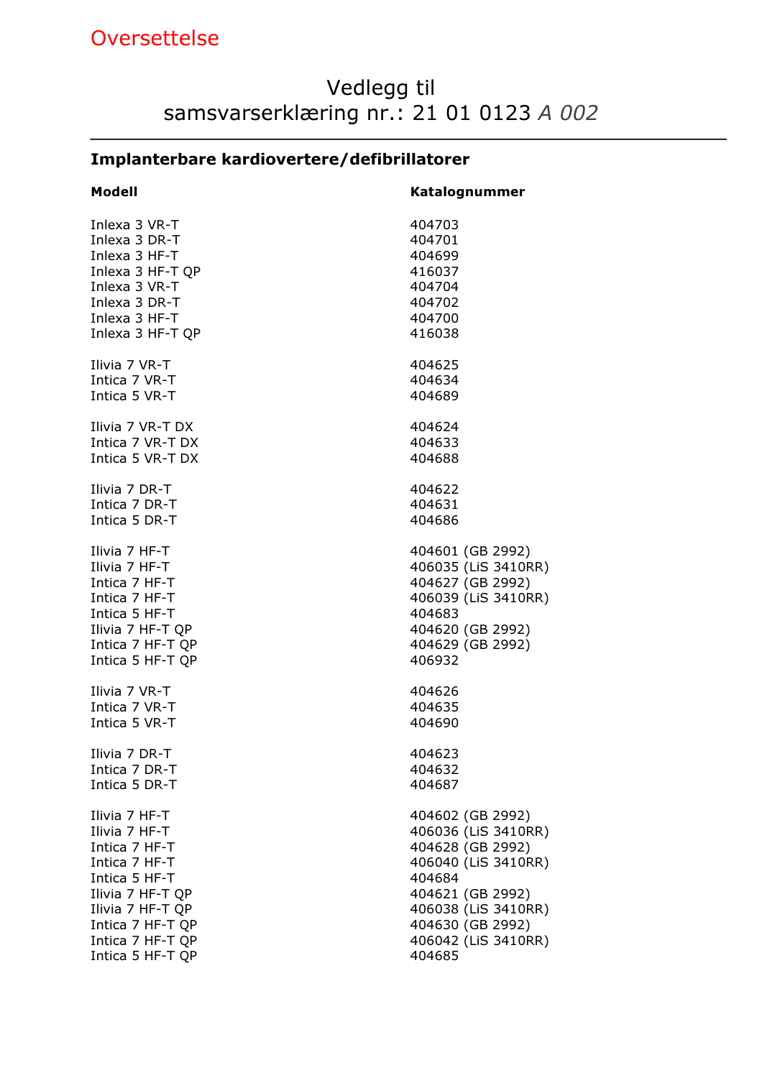## Oversettelse

### Vedlegg til samsvarserklæring nr.: 21 01 0123 A 002

### Implanterbare kardiovertere/defibrillatorer

| <b>Modell</b>    | Katalognummer       |
|------------------|---------------------|
| Inlexa 3 VR-T    | 404703              |
| Inlexa 3 DR-T    | 404701              |
| Inlexa 3 HF-T    | 404699              |
| Inlexa 3 HF-T QP | 416037              |
| Inlexa 3 VR-T    | 404704              |
| Inlexa 3 DR-T    | 404702              |
| Inlexa 3 HF-T    | 404700              |
| Inlexa 3 HF-T QP | 416038              |
| Ilivia 7 VR-T    | 404625              |
| Intica 7 VR-T    | 404634              |
| Intica 5 VR-T    | 404689              |
| Ilivia 7 VR-T DX | 404624              |
| Intica 7 VR-T DX | 404633              |
| Intica 5 VR-T DX | 404688              |
| Ilivia 7 DR-T    | 404622              |
| Intica 7 DR-T    | 404631              |
| Intica 5 DR-T    | 404686              |
| Ilivia 7 HF-T    | 404601 (GB 2992)    |
| Ilivia 7 HF-T    | 406035 (LiS 3410RR) |
| Intica 7 HF-T    | 404627 (GB 2992)    |
| Intica 7 HF-T    | 406039 (LiS 3410RR) |
| Intica 5 HF-T    | 404683              |
| Ilivia 7 HF-T QP | 404620 (GB 2992)    |
| Intica 7 HF-T QP | 404629 (GB 2992)    |
| Intica 5 HF-T QP | 406932              |
| Ilivia 7 VR-T    | 404626              |
| Intica 7 VR-T    | 404635              |
| Intica 5 VR-T    | 404690              |
| Ilivia 7 DR-T    | 404623              |
| Intica 7 DR-T    | 404632              |
| Intica 5 DR-T    | 404687              |
| Ilivia 7 HF-T    | 404602 (GB 2992)    |
| Ilivia 7 HF-T    | 406036 (LiS 3410RR) |
| Intica 7 HF-T    | 404628 (GB 2992)    |
| Intica 7 HF-T    | 406040 (LiS 3410RR) |
| Intica 5 HF-T    | 404684              |
| Ilivia 7 HF-T QP | 404621 (GB 2992)    |
| Ilivia 7 HF-T QP | 406038 (LiS 3410RR) |
| Intica 7 HF-T QP | 404630 (GB 2992)    |
| Intica 7 HF-T QP | 406042 (LiS 3410RR) |
| Intica 5 HF-T QP | 404685              |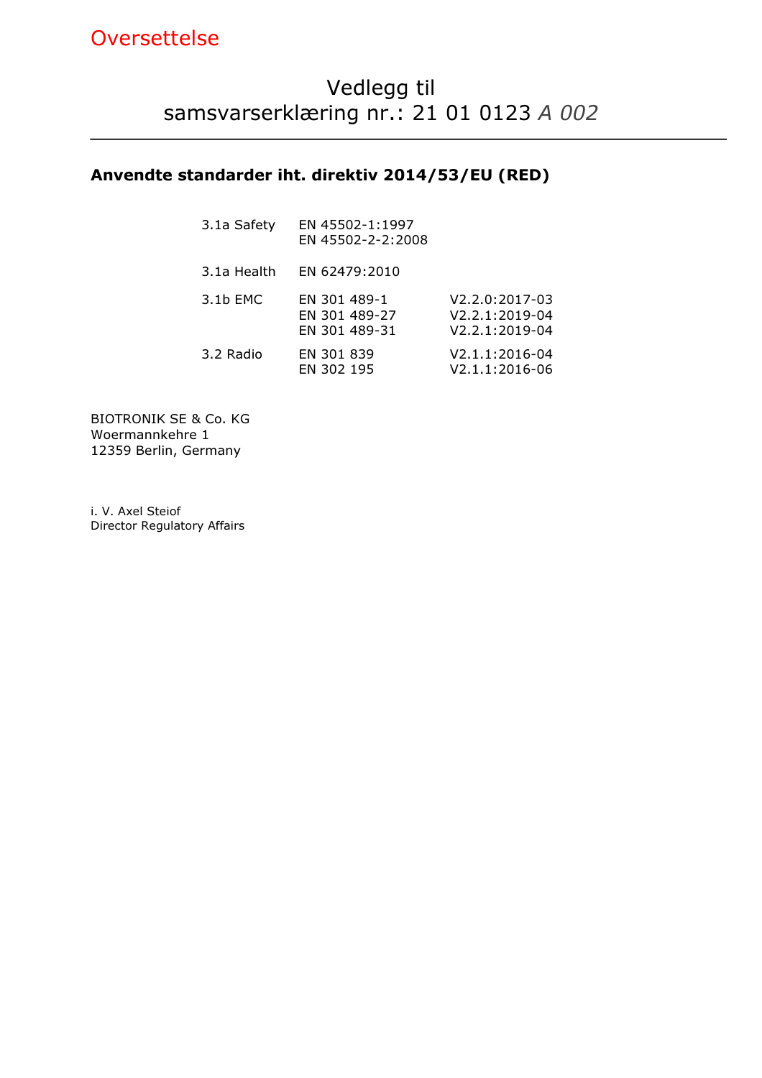#### Anvendte standarder iht. direktiv 2014/53/EU (RED)

| 3.1a Safety | EN 45502-1:1997<br>EN 45502-2-2:2008           |                                                      |
|-------------|------------------------------------------------|------------------------------------------------------|
| 3.1a Health | EN 62479:2010                                  |                                                      |
| 3.1b EMC    | EN 301 489-1<br>EN 301 489-27<br>EN 301 489-31 | V2.2.0:2017-03<br>V2.2.1:2019-04<br>$V2.2.1:2019-04$ |
| 3.2 Radio   | EN 301 839<br>EN 302 195                       | V2.1.1:2016-04<br>V2.1.1:2016-06                     |

BIOTRONIK SE & Co. KG Woermannkehre 1 12359 Berlin, Germany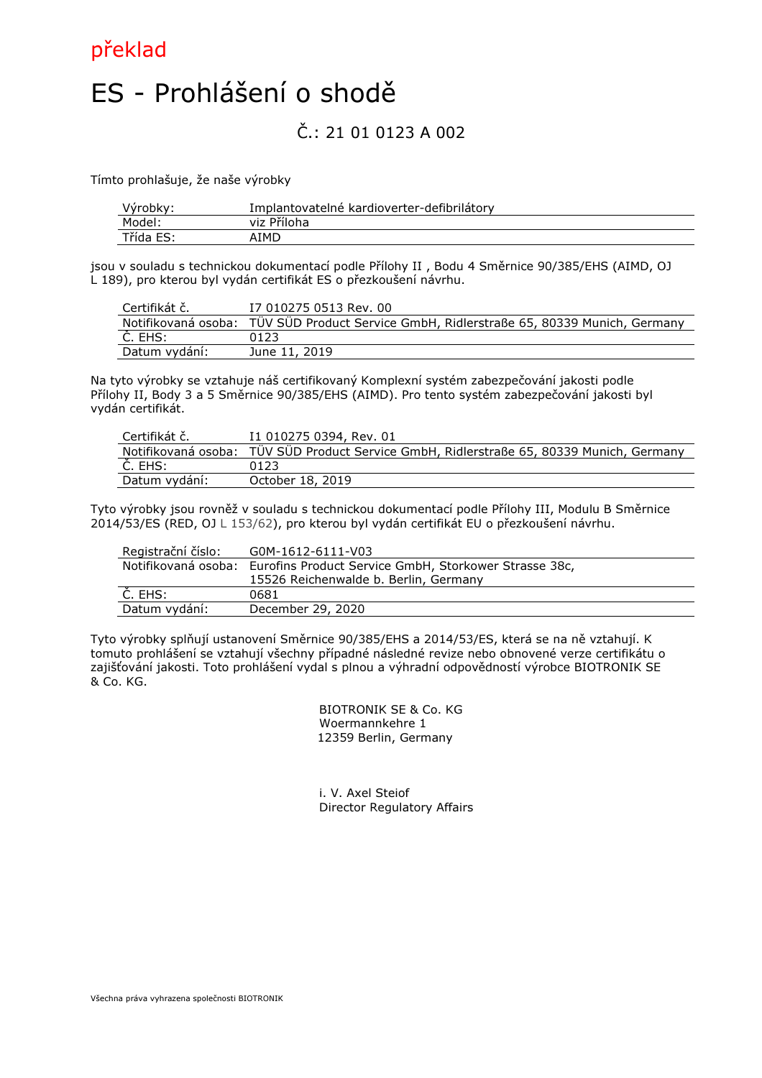

# ES - Prohlášení o shodě

### Č.: 21 01 0123 A 002

Tímto prohlašuje, že naše výrobky

| Výrobky:  | Implantovatelné kardioverter-defibrilátory |
|-----------|--------------------------------------------|
| Model:    | viz Příloha                                |
| Třída ES: | AIMD                                       |

jsou v souladu s technickou dokumentací podle Přílohy II , Bodu 4 Směrnice 90/385/EHS (AIMD, OJ L 189), pro kterou byl vydán certifikát ES o přezkoušení návrhu.

| Certifikát č. | I7 010275 0513 Rev. 00                                                                   |
|---------------|------------------------------------------------------------------------------------------|
|               | Notifikovaná osoba: TÜV SÜD Product Service GmbH, Ridlerstraße 65, 80339 Munich, Germany |
| C. EHS:       | 0123                                                                                     |
| Datum vydání: | June 11, 2019                                                                            |

Na tyto výrobky se vztahuje náš certifikovaný Komplexní systém zabezpečování jakosti podle Přílohy II, Body 3 a 5 Směrnice 90/385/EHS (AIMD). Pro tento systém zabezpečování jakosti byl vydán certifikát.

| Certifikát č.       | I1 010275 0394, Rev. 01                                              |
|---------------------|----------------------------------------------------------------------|
| Notifikovaná osoba: | TUV SUD Product Service GmbH, Ridlerstraße 65, 80339 Munich, Germany |
| C. EHS:             | 0123                                                                 |
| Datum vydání:       | October 18, 2019                                                     |

Tyto výrobky jsou rovněž v souladu s technickou dokumentací podle Přílohy III, Modulu B Směrnice 2014/53/ES (RED, OJ L 153/62), pro kterou byl vydán certifikát EU o přezkoušení návrhu.

| Registrační číslo: | G0M-1612-6111-V03                                                         |
|--------------------|---------------------------------------------------------------------------|
|                    | Notifikovaná osoba: Eurofins Product Service GmbH, Storkower Strasse 38c, |
|                    | 15526 Reichenwalde b. Berlin, Germany                                     |
| Č. EHS:            | 0681                                                                      |
| Datum vydání:      | December 29, 2020                                                         |

Tyto výrobky splňují ustanovení Směrnice 90/385/EHS a 2014/53/ES, která se na ně vztahují. K tomuto prohlášení se vztahují všechny případné následné revize nebo obnovené verze certifikátu o zajišťování jakosti. Toto prohlášení vydal s plnou a výhradní odpovědností výrobce BIOTRONIK SE & Co. KG.

> BIOTRONIK SE & Co. KG Woermannkehre 1 12359 Berlin, Germany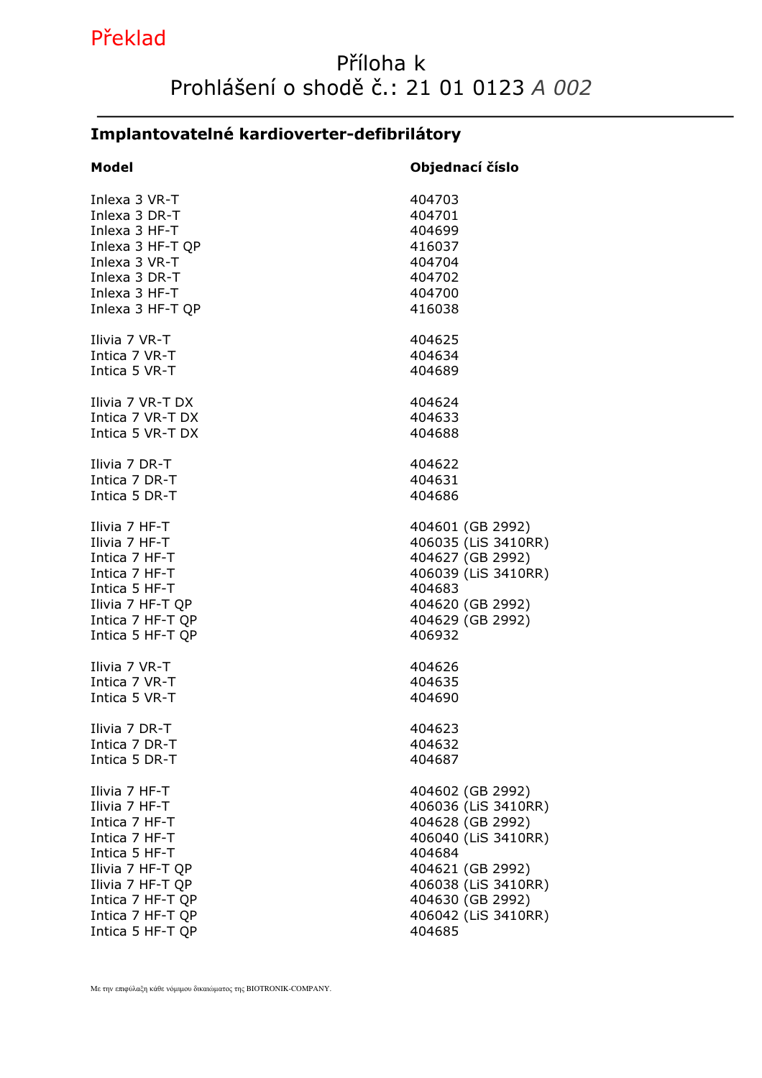## Překlad

## Příloha k Prohlášení o shodě č.: 21 01 0123 A 002

### Implantovatelné kardioverter-defibrilátory

| Model            | Objednací číslo     |
|------------------|---------------------|
| Inlexa 3 VR-T    | 404703              |
| Inlexa 3 DR-T    | 404701              |
| Inlexa 3 HF-T    | 404699              |
| Inlexa 3 HF-T QP | 416037              |
| Inlexa 3 VR-T    | 404704              |
| Inlexa 3 DR-T    | 404702              |
| Inlexa 3 HF-T    | 404700              |
| Inlexa 3 HF-T QP | 416038              |
| Ilivia 7 VR-T    | 404625              |
| Intica 7 VR-T    | 404634              |
| Intica 5 VR-T    | 404689              |
| Ilivia 7 VR-T DX | 404624              |
| Intica 7 VR-T DX | 404633              |
| Intica 5 VR-T DX | 404688              |
| Ilivia 7 DR-T    | 404622              |
| Intica 7 DR-T    | 404631              |
| Intica 5 DR-T    | 404686              |
| Ilivia 7 HF-T    | 404601 (GB 2992)    |
| Ilivia 7 HF-T    | 406035 (LiS 3410RR) |
| Intica 7 HF-T    | 404627 (GB 2992)    |
| Intica 7 HF-T    | 406039 (LiS 3410RR) |
| Intica 5 HF-T    | 404683              |
| Ilivia 7 HF-T QP | 404620 (GB 2992)    |
| Intica 7 HF-T QP | 404629 (GB 2992)    |
| Intica 5 HF-T QP | 406932              |
| Ilivia 7 VR-T    | 404626              |
| Intica 7 VR-T    | 404635              |
| Intica 5 VR-T    | 404690              |
| Ilivia 7 DR-T    | 404623              |
| Intica 7 DR-T    | 404632              |
| Intica 5 DR-T    | 404687              |
| Ilivia 7 HF-T    | 404602 (GB 2992)    |
| Ilivia 7 HF-T    | 406036 (LiS 3410RR) |
| Intica 7 HF-T    | 404628 (GB 2992)    |
| Intica 7 HF-T    | 406040 (LiS 3410RR) |
| Intica 5 HF-T    | 404684              |
| Ilivia 7 HF-T QP | 404621 (GB 2992)    |
| Ilivia 7 HF-T QP | 406038 (LiS 3410RR) |
| Intica 7 HF-T QP | 404630 (GB 2992)    |
| Intica 7 HF-T QP | 406042 (LiS 3410RR) |
| Intica 5 HF-T QP | 404685              |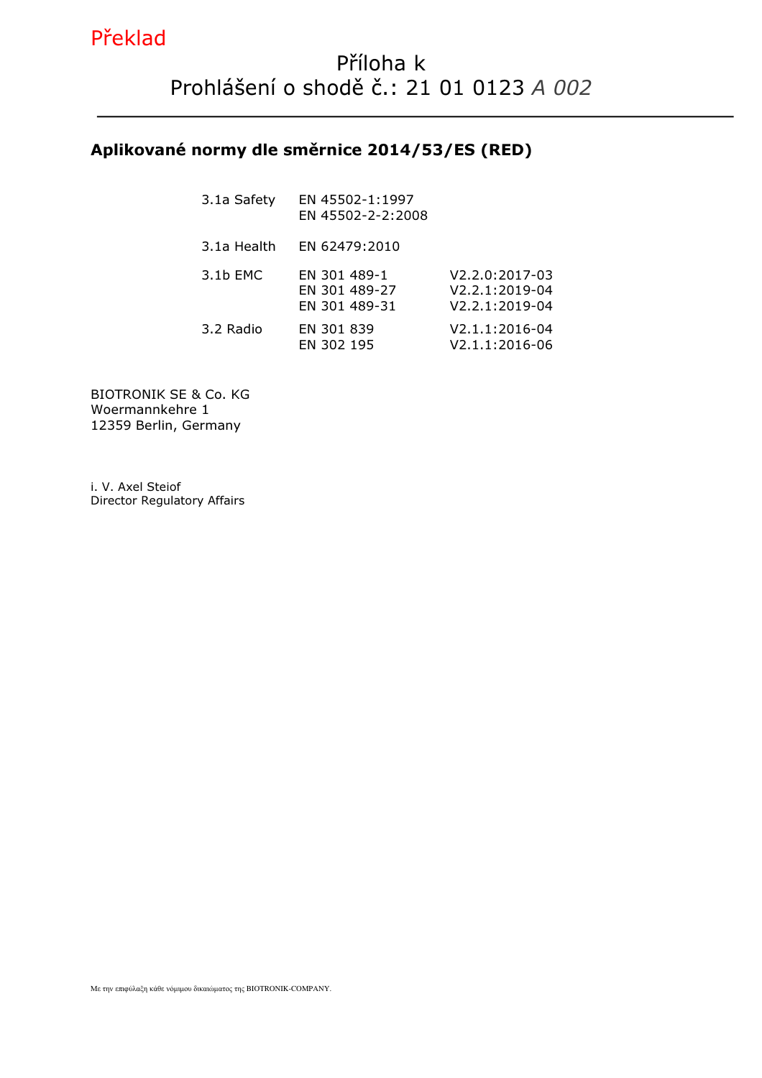### Aplikované normy dle směrnice 2014/53/ES (RED)

| 3.1a Safety | EN 45502-1:1997<br>EN 45502-2-2:2008           |                                                        |
|-------------|------------------------------------------------|--------------------------------------------------------|
| 3.1a Health | EN 62479:2010                                  |                                                        |
| $3.1b$ EMC  | EN 301 489-1<br>EN 301 489-27<br>EN 301 489-31 | $V2.2.0:2017-03$<br>$V2.2.1:2019-04$<br>V2.2.1:2019-04 |
| 3.2 Radio   | EN 301 839<br>EN 302 195                       | V2.1.1:2016-04<br>V2.1.1:2016-06                       |

BIOTRONIK SE & Co. KG Woermannkehre 1 12359 Berlin, Germany

i. V. Axel Steiof Director Regulatory Affairs

Με την επιφύλαξη κάθε νόμιμου δικαιώματος της BIOTRONIK-COMPANY.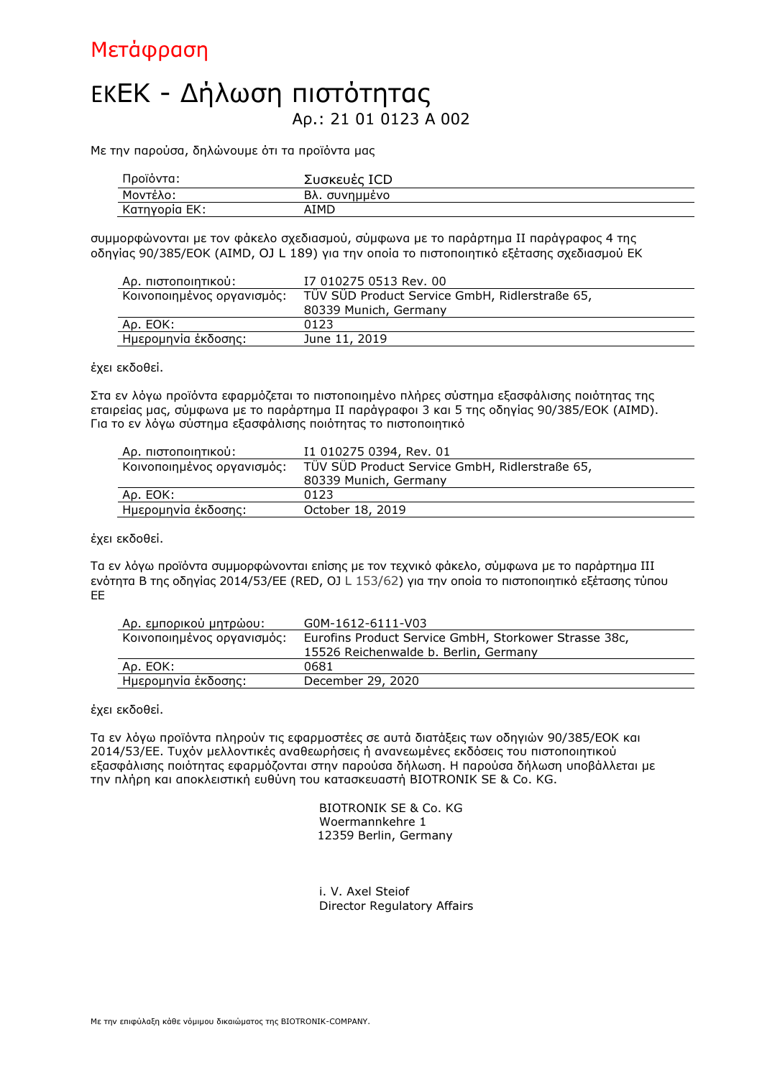## Μετάφραση

## ΕΚEK - Δήλωση πιστότητας Αρ.: 21 01 0123 A 002

Με την παρούσα, δηλώνουμε ότι τα προϊόντα μας

| Προϊόντα:     | Συσκευές ICD  |
|---------------|---------------|
| Μοντέλο:      | Βλ. συνημμένο |
| Κατηγορία ΕΚ: | AIMD          |

συμμορφώνονται με τον φάκελο σχεδιασμού, σύμφωνα με το παράρτημα ΙΙ παράγραφος 4 της οδηγίας 90/385/ΕΟΚ (AIMD, OJ L 189) για την οποία το πιστοποιητικό εξέτασης σχεδιασμού ΕΚ

| Αρ. πιστοποιητικού:        | I7 010275 0513 Rev. 00                         |  |
|----------------------------|------------------------------------------------|--|
| Κοινοποιημένος οργανισμός: | TÜV SÜD Product Service GmbH, Ridlerstraße 65, |  |
|                            | 80339 Munich, Germany                          |  |
| Ap. EOK:                   | 0123                                           |  |
| Ημερομηνία ἐκδοσης:        | June 11, 2019                                  |  |

έχει εκδοθεί.

Στα εν λόγω προϊόντα εφαρμόζεται το πιστοποιημένο πλήρες σύστημα εξασφάλισης ποιότητας της εταιρείας μας, σύμφωνα με το παράρτημα ΙΙ παράγραφοι 3 και 5 της οδηγίας 90/385/ΕΟΚ (AIMD). Για το εν λόγω σύστημα εξασφάλισης ποιότητας το πιστοποιητικό

| Αρ. πιστοποιητικού:        | I1 010275 0394, Rev. 01                        |
|----------------------------|------------------------------------------------|
| Κοινοποιημένος οργανισμός: | TÜV SÜD Product Service GmbH, Ridlerstraße 65, |
|                            | 80339 Munich, Germany                          |
| Ap. EOK:                   | 0123                                           |
| Ημερομηνία ἐκδοσης:        | October 18, 2019                               |

έχει εκδοθεί.

Τα εν λόγω προϊόντα συμμορφώνονται επίσης με τον τεχνικό φάκελο, σύμφωνα με το παράρτημα ΙΙΙ ενότητα Β της οδηγίας 2014/53/ΕE (RED, OJ L 153/62) για την οποία το πιστοποιητικό εξέτασης τύπου ΕΕ

| Αρ. εμπορικού μητρώου:     | G0M-1612-6111-V03                                     |
|----------------------------|-------------------------------------------------------|
| Κοινοποιημένος οργανισμός: | Eurofins Product Service GmbH, Storkower Strasse 38c, |
|                            | 15526 Reichenwalde b. Berlin, Germany                 |
| Ap. EOK:                   | 0681                                                  |
| Ημερομηνία ἐκδοσης:        | December 29, 2020                                     |

έχει εκδοθεί.

Τα εν λόγω προϊόντα πληρούν τις εφαρμοστέες σε αυτά διατάξεις των οδηγιών 90/385/ΕΟΚ και 2014/53/ΕE. Τυχόν μελλοντικές αναθεωρήσεις ή ανανεωμένες εκδόσεις του πιστοποιητικού εξασφάλισης ποιότητας εφαρμόζονται στην παρούσα δήλωση. Η παρούσα δήλωση υποβάλλεται με την πλήρη και αποκλειστική ευθύνη του κατασκευαστή BIOTRONIK SE & Co. KG.

> BIOTRONIK SE & Co. KG Woermannkehre 1 12359 Berlin, Germany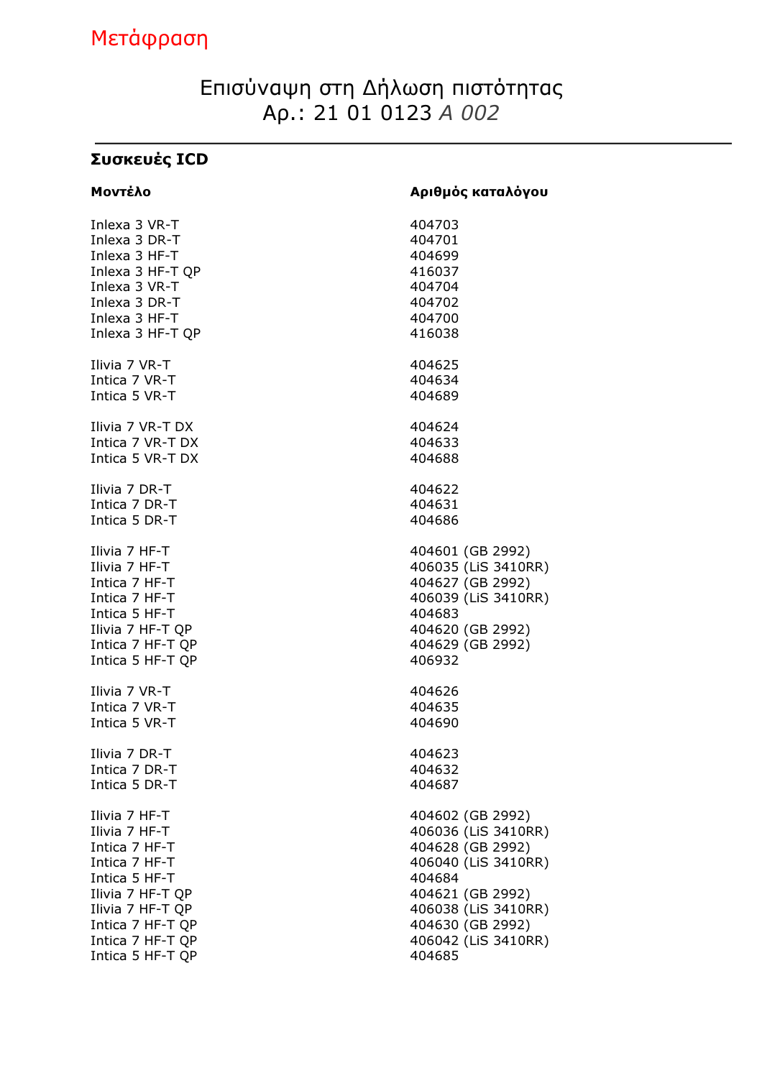# Μετάφραση

### Επισύναψη στη Δήλωση πιστότητας Αρ.: 21 01 0123 A 002

## Συσκευές ICD

| Μοντέλο          | Αριθμός καταλόγου   |
|------------------|---------------------|
| Inlexa 3 VR-T    | 404703              |
| Inlexa 3 DR-T    | 404701              |
| Inlexa 3 HF-T    | 404699              |
| Inlexa 3 HF-T QP | 416037              |
| Inlexa 3 VR-T    | 404704              |
| Inlexa 3 DR-T    | 404702              |
| Inlexa 3 HF-T    | 404700              |
| Inlexa 3 HF-T QP | 416038              |
| Ilivia 7 VR-T    | 404625              |
| Intica 7 VR-T    | 404634              |
| Intica 5 VR-T    | 404689              |
| Ilivia 7 VR-T DX | 404624              |
| Intica 7 VR-T DX | 404633              |
| Intica 5 VR-T DX | 404688              |
| Ilivia 7 DR-T    | 404622              |
| Intica 7 DR-T    | 404631              |
| Intica 5 DR-T    | 404686              |
| Ilivia 7 HF-T    | 404601 (GB 2992)    |
| Ilivia 7 HF-T    | 406035 (LiS 3410RR) |
| Intica 7 HF-T    | 404627 (GB 2992)    |
| Intica 7 HF-T    | 406039 (LiS 3410RR) |
| Intica 5 HF-T    | 404683              |
| Ilivia 7 HF-T QP | 404620 (GB 2992)    |
| Intica 7 HF-T QP | 404629 (GB 2992)    |
| Intica 5 HF-T QP | 406932              |
| Ilivia 7 VR-T    | 404626              |
| Intica 7 VR-T    | 404635              |
| Intica 5 VR-T    | 404690              |
| Ilivia 7 DR-T    | 404623              |
| Intica 7 DR-T    | 404632              |
| Intica 5 DR-T    | 404687              |
| Ilivia 7 HF-T    | 404602 (GB 2992)    |
| Ilivia 7 HF-T    | 406036 (LiS 3410RR) |
| Intica 7 HF-T    | 404628 (GB 2992)    |
| Intica 7 HF-T    | 406040 (LiS 3410RR) |
| Intica 5 HF-T    | 404684              |
| Ilivia 7 HF-T QP | 404621 (GB 2992)    |
| Ilivia 7 HF-T QP | 406038 (LiS 3410RR) |
| Intica 7 HF-T QP | 404630 (GB 2992)    |
| Intica 7 HF-T QP | 406042 (LiS 3410RR) |
| Intica 5 HF-T QP | 404685              |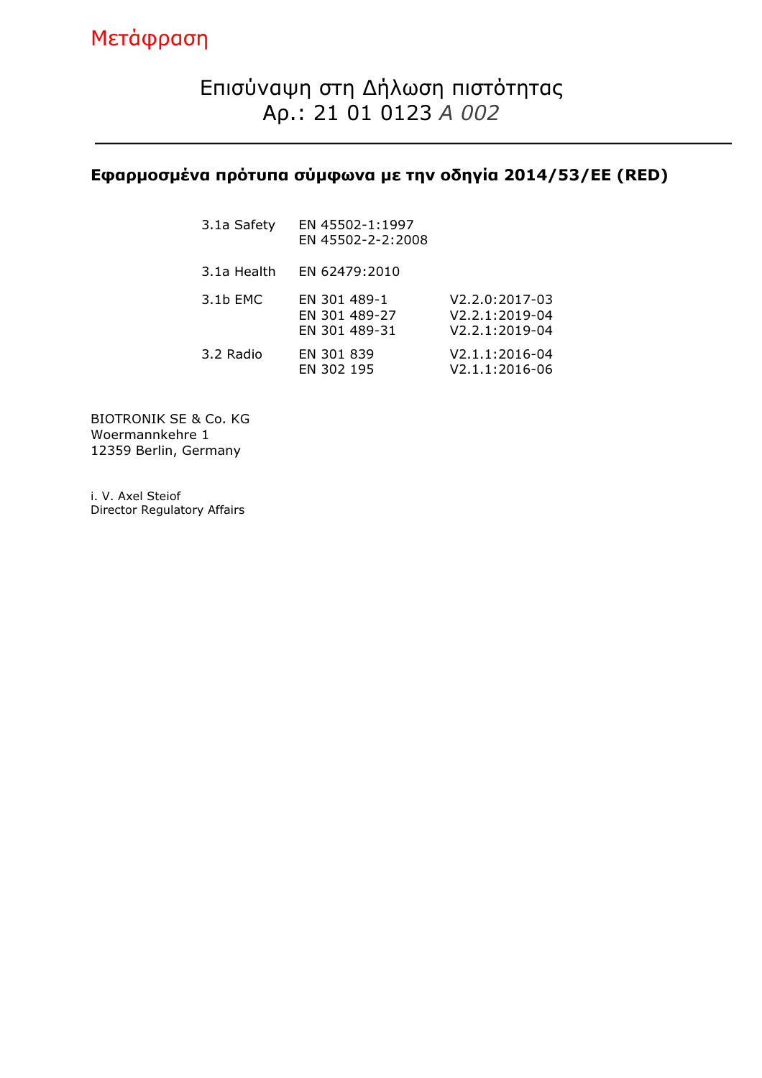### Εφαρμοσμένα πρότυπα σύμφωνα με την οδηγία 2014/53/ΕΕ (RED)

| 3.1a Safety | EN 45502-1:1997<br>EN 45502-2-2:2008           |                                                      |
|-------------|------------------------------------------------|------------------------------------------------------|
| 3.1a Health | EN 62479:2010                                  |                                                      |
| 3.1b EMC    | EN 301 489-1<br>EN 301 489-27<br>EN 301 489-31 | V2.2.0:2017-03<br>$V2.2.1:2019-04$<br>V2.2.1:2019-04 |
| 3.2 Radio   | EN 301 839<br>EN 302 195                       | V2.1.1:2016-04<br>V2.1.1:2016-06                     |

BIOTRONIK SE & Co. KG Woermannkehre 1 12359 Berlin, Germany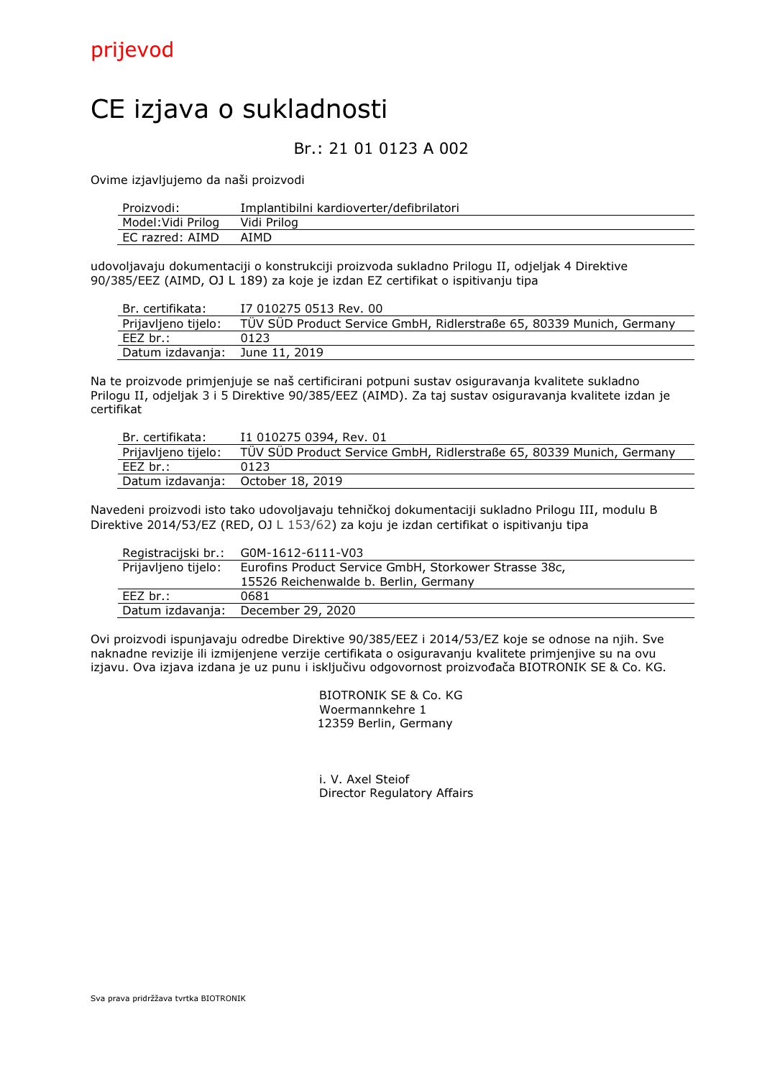# CE izjava o sukladnosti

#### Br.: 21 01 0123 A 002

Ovime izjavljujemo da naši proizvodi

| Proizvodi:        | Implantibilni kardioverter/defibrilatori |
|-------------------|------------------------------------------|
| Model:Vidi Prilog | Vidi Prilog                              |
| EC razred: AIMD   | AIMD                                     |

udovoljavaju dokumentaciji o konstrukciji proizvoda sukladno Prilogu II, odjeljak 4 Direktive 90/385/EEZ (AIMD, OJ L 189) za koje je izdan EZ certifikat o ispitivanju tipa

| Br. certifikata:               | I7 010275 0513 Rev. 00                                               |
|--------------------------------|----------------------------------------------------------------------|
| Prijavljeno tijelo:            | TÜV SÜD Product Service GmbH, Ridlerstraße 65, 80339 Munich, Germany |
| EEZ br.:                       | 0123                                                                 |
| Datum izdavanja: June 11, 2019 |                                                                      |

Na te proizvode primjenjuje se naš certificirani potpuni sustav osiguravanja kvalitete sukladno Prilogu II, odjeljak 3 i 5 Direktive 90/385/EEZ (AIMD). Za taj sustav osiguravanja kvalitete izdan je certifikat

| Br. certifikata:                  | I1 010275 0394, Rev. 01                                              |
|-----------------------------------|----------------------------------------------------------------------|
| Prijavljeno tijelo:               | TÜV SÜD Product Service GmbH, Ridlerstraße 65, 80339 Munich, Germany |
| EEZ br.:                          | 0123                                                                 |
| Datum izdavanja: October 18, 2019 |                                                                      |

Navedeni proizvodi isto tako udovoljavaju tehničkoj dokumentaciji sukladno Prilogu III, modulu B Direktive 2014/53/EZ (RED, OJ L 153/62) za koju je izdan certifikat o ispitivanju tipa

|                     | Registracijski br.: G0M-1612-6111-V03                 |
|---------------------|-------------------------------------------------------|
| Prijavljeno tijelo: | Eurofins Product Service GmbH, Storkower Strasse 38c, |
|                     | 15526 Reichenwalde b. Berlin, Germany                 |
| $EEZ$ br.:          | 0681                                                  |
|                     | Datum izdavanja: December 29, 2020                    |

Ovi proizvodi ispunjavaju odredbe Direktive 90/385/EEZ i 2014/53/EZ koje se odnose na njih. Sve naknadne revizije ili izmijenjene verzije certifikata o osiguravanju kvalitete primjenjive su na ovu izjavu. Ova izjava izdana je uz punu i isključivu odgovornost proizvođača BIOTRONIK SE & Co. KG.

> BIOTRONIK SE & Co. KG Woermannkehre 1 12359 Berlin, Germany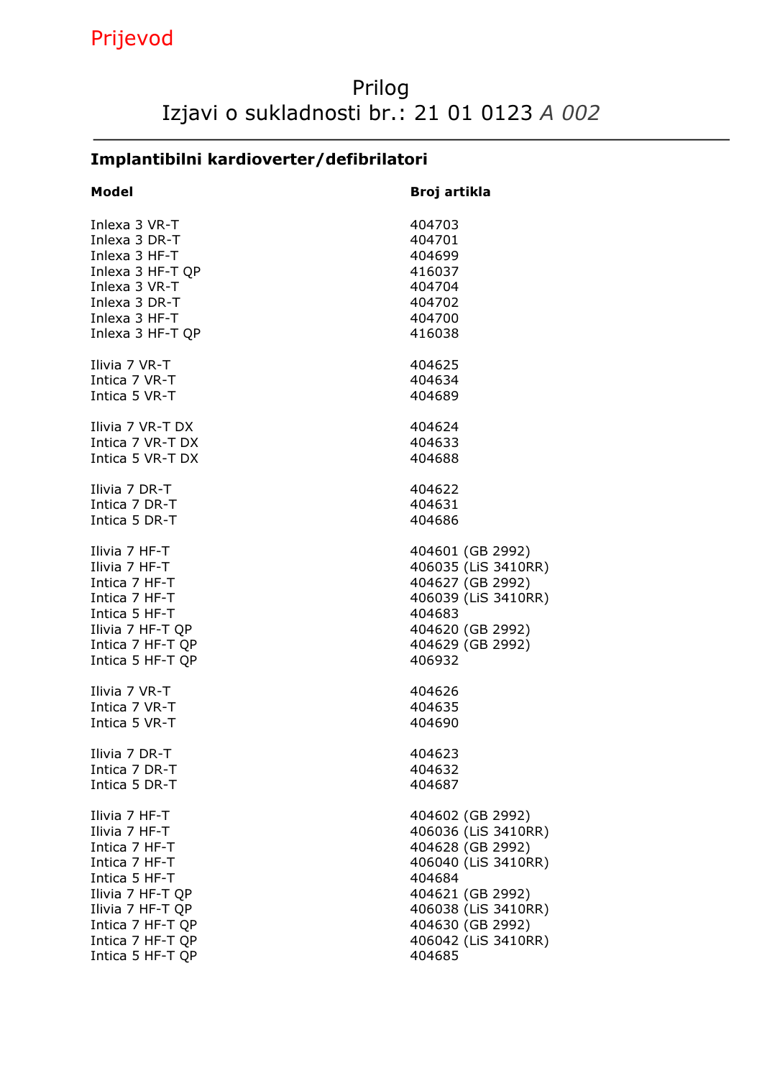## Prijevod

### Prilog Izjavi o sukladnosti br.: 21 01 0123 A 002

### Implantibilni kardioverter/defibrilatori

| <b>Model</b>     | Broj artikla        |
|------------------|---------------------|
| Inlexa 3 VR-T    | 404703              |
| Inlexa 3 DR-T    | 404701              |
| Inlexa 3 HF-T    | 404699              |
| Inlexa 3 HF-T QP | 416037              |
| Inlexa 3 VR-T    | 404704              |
| Inlexa 3 DR-T    | 404702              |
| Inlexa 3 HF-T    | 404700              |
| Inlexa 3 HF-T QP | 416038              |
| Ilivia 7 VR-T    | 404625              |
| Intica 7 VR-T    | 404634              |
| Intica 5 VR-T    | 404689              |
| Ilivia 7 VR-T DX | 404624              |
| Intica 7 VR-T DX | 404633              |
| Intica 5 VR-T DX | 404688              |
| Ilivia 7 DR-T    | 404622              |
| Intica 7 DR-T    | 404631              |
| Intica 5 DR-T    | 404686              |
| Ilivia 7 HF-T    | 404601 (GB 2992)    |
| Ilivia 7 HF-T    | 406035 (LiS 3410RR) |
| Intica 7 HF-T    | 404627 (GB 2992)    |
| Intica 7 HF-T    | 406039 (LiS 3410RR) |
| Intica 5 HF-T    | 404683              |
| Ilivia 7 HF-T QP | 404620 (GB 2992)    |
| Intica 7 HF-T QP | 404629 (GB 2992)    |
| Intica 5 HF-T QP | 406932              |
| Ilivia 7 VR-T    | 404626              |
| Intica 7 VR-T    | 404635              |
| Intica 5 VR-T    | 404690              |
| Ilivia 7 DR-T    | 404623              |
| Intica 7 DR-T    | 404632              |
| Intica 5 DR-T    | 404687              |
| Ilivia 7 HF-T    | 404602 (GB 2992)    |
| Ilivia 7 HF-T    | 406036 (LiS 3410RR) |
| Intica 7 HF-T    | 404628 (GB 2992)    |
| Intica 7 HF-T    | 406040 (LiS 3410RR) |
| Intica 5 HF-T    | 404684              |
| Ilivia 7 HF-T QP | 404621 (GB 2992)    |
| Ilivia 7 HF-T QP | 406038 (LiS 3410RR) |
| Intica 7 HF-T QP | 404630 (GB 2992)    |
| Intica 7 HF-T QP | 406042 (LiS 3410RR) |
| Intica 5 HF-T QP | 404685              |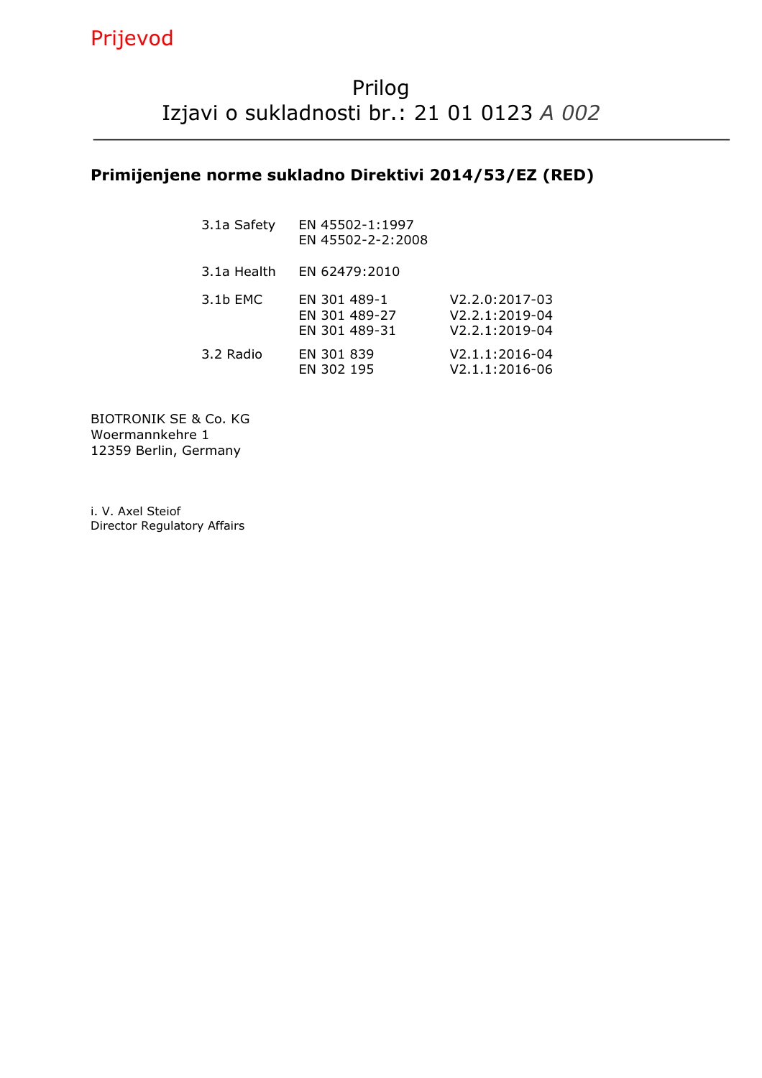#### Primijenjene norme sukladno Direktivi 2014/53/EZ (RED)

| 3.1a Safety | EN 45502-1:1997<br>EN 45502-2-2:2008           |                                                      |
|-------------|------------------------------------------------|------------------------------------------------------|
| 3.1a Health | EN 62479:2010                                  |                                                      |
| 3.1b EMC    | EN 301 489-1<br>EN 301 489-27<br>EN 301 489-31 | V2.2.0:2017-03<br>V2.2.1:2019-04<br>$V2.2.1:2019-04$ |
| 3.2 Radio   | EN 301 839<br>EN 302 195                       | V2.1.1:2016-04<br>V2.1.1:2016-06                     |

BIOTRONIK SE & Co. KG Woermannkehre 1 12359 Berlin, Germany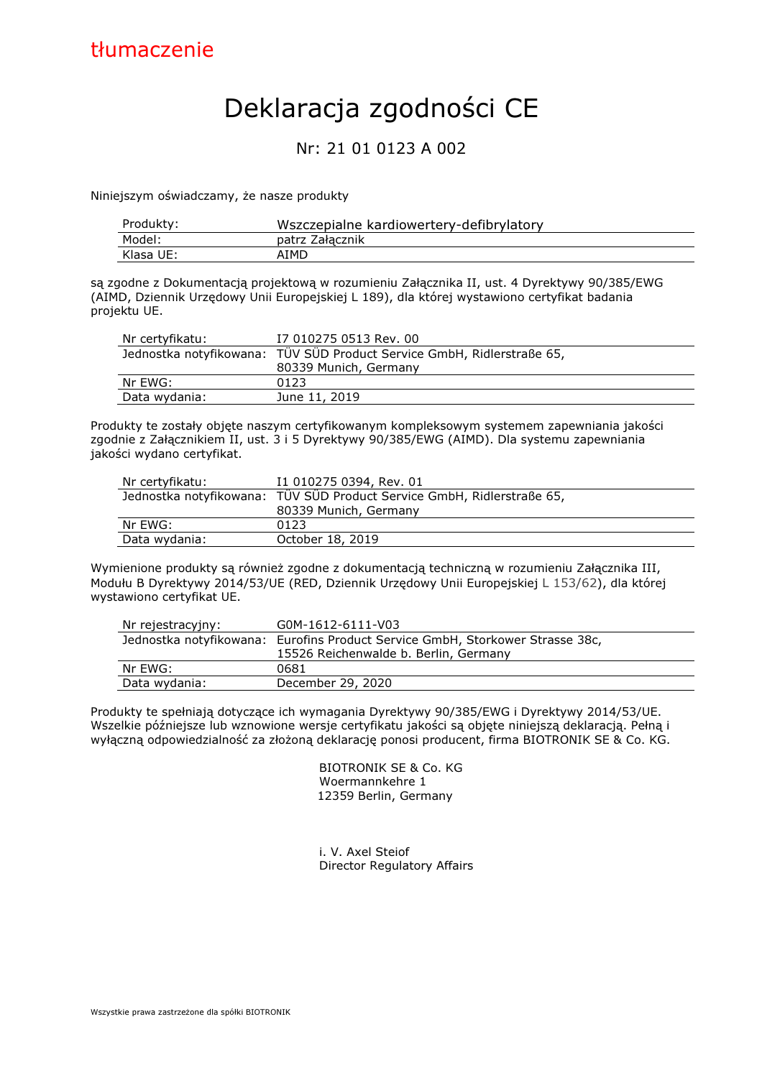# Deklaracja zgodności CE

#### Nr: 21 01 0123 A 002

Niniejszym oświadczamy, że nasze produkty

| Produkty: | Wszczepialne kardiowertery-defibrylatory |
|-----------|------------------------------------------|
| Model:    | patrz Załacznik                          |
| Klasa UE: | AIMD                                     |

są zgodne z Dokumentacją projektową w rozumieniu Załącznika II, ust. 4 Dyrektywy 90/385/EWG (AIMD, Dziennik Urzędowy Unii Europejskiej L 189), dla której wystawiono certyfikat badania projektu UE.

| Nr certyfikatu: | I7 010275 0513 Rev. 00                                                 |
|-----------------|------------------------------------------------------------------------|
|                 | Jednostka notyfikowana: TÜV SÜD Product Service GmbH, Ridlerstraße 65, |
|                 | 80339 Munich, Germany                                                  |
| Nr EWG:         | 0123                                                                   |
| Data wydania:   | June 11, 2019                                                          |

Produkty te zostały objęte naszym certyfikowanym kompleksowym systemem zapewniania jakości zgodnie z Załącznikiem II, ust. 3 i 5 Dyrektywy 90/385/EWG (AIMD). Dla systemu zapewniania jakości wydano certyfikat.

| Nr certyfikatu: | I1 010275 0394, Rev. 01                                                |
|-----------------|------------------------------------------------------------------------|
|                 | Jednostka notyfikowana: TÜV SÜD Product Service GmbH, Ridlerstraße 65, |
|                 | 80339 Munich, Germany                                                  |
| Nr EWG:         | 0123                                                                   |
| Data wydania:   | October 18, 2019                                                       |

Wymienione produkty są również zgodne z dokumentacją techniczną w rozumieniu Załącznika III, Modułu B Dyrektywy 2014/53/UE (RED, Dziennik Urzędowy Unii Europejskiej L 153/62), dla której wystawiono certyfikat UE.

| Nr rejestracyjny: | G0M-1612-6111-V03                                                             |
|-------------------|-------------------------------------------------------------------------------|
|                   | Jednostka notyfikowana: Eurofins Product Service GmbH, Storkower Strasse 38c, |
|                   | 15526 Reichenwalde b. Berlin, Germany                                         |
| Nr EWG:           | 0681                                                                          |
| Data wydania:     | December 29, 2020                                                             |

Produkty te spełniają dotyczące ich wymagania Dyrektywy 90/385/EWG i Dyrektywy 2014/53/UE. Wszelkie późniejsze lub wznowione wersje certyfikatu jakości są objęte niniejszą deklaracją. Pełną i wyłączną odpowiedzialność za złożoną deklarację ponosi producent, firma BIOTRONIK SE & Co. KG.

> BIOTRONIK SE & Co. KG Woermannkehre 1 12359 Berlin, Germany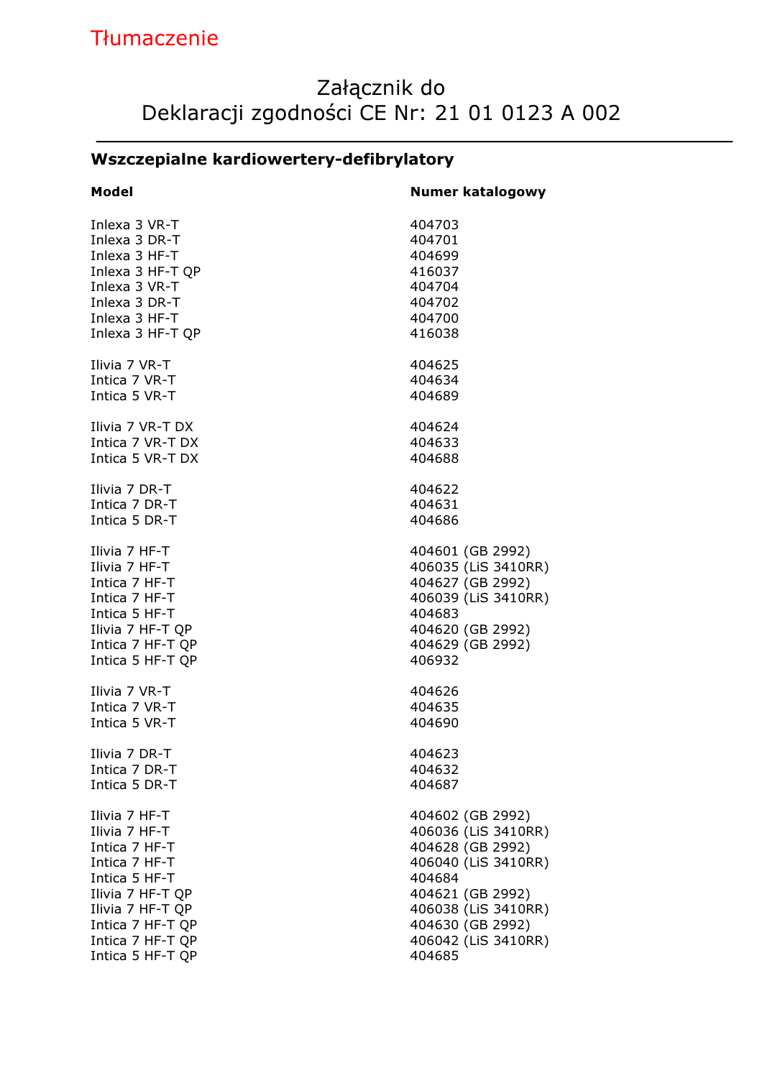## Tłumaczenie

### Załącznik do Deklaracji zgodności CE Nr: 21 01 0123 A 002

### Wszczepialne kardiowertery-defibrylatory

| Model                                | <b>Numer katalogowy</b>       |
|--------------------------------------|-------------------------------|
| Inlexa 3 VR-T<br>Inlexa 3 DR-T       | 404703<br>404701              |
| Inlexa 3 HF-T                        | 404699                        |
| Inlexa 3 HF-T QP                     | 416037                        |
| Inlexa 3 VR-T                        | 404704                        |
| Inlexa 3 DR-T                        | 404702                        |
| Inlexa 3 HF-T                        | 404700                        |
| Inlexa 3 HF-T QP                     | 416038                        |
| Ilivia 7 VR-T                        | 404625                        |
| Intica 7 VR-T                        | 404634                        |
| Intica 5 VR-T                        | 404689                        |
| Ilivia 7 VR-T DX                     | 404624                        |
| Intica 7 VR-T DX                     | 404633                        |
| Intica 5 VR-T DX                     | 404688                        |
| Ilivia 7 DR-T                        | 404622                        |
| Intica 7 DR-T                        | 404631                        |
| Intica 5 DR-T                        | 404686                        |
| Ilivia 7 HF-T                        | 404601 (GB 2992)              |
| Ilivia 7 HF-T                        | 406035 (LiS 3410RR)           |
| Intica 7 HF-T                        | 404627 (GB 2992)              |
| Intica 7 HF-T                        | 406039 (LiS 3410RR)           |
| Intica 5 HF-T                        | 404683                        |
| Ilivia 7 HF-T QP                     | 404620 (GB 2992)              |
| Intica 7 HF-T QP                     | 404629 (GB 2992)              |
| Intica 5 HF-T QP                     | 406932                        |
| Ilivia 7 VR-T                        | 404626                        |
| Intica 7 VR-T                        | 404635                        |
| Intica 5 VR-T                        | 404690                        |
| Tlivia 7 DR-T                        | 404623                        |
| Intica 7 DR-T                        | 404632                        |
| Intica 5 DR-T                        | 404687                        |
| Ilivia 7 HF-T                        | 404602 (GB 2992)              |
| Ilivia 7 HF-T                        | 406036 (LiS 3410RR)           |
| Intica 7 HF-T                        | 404628 (GB 2992)              |
| Intica 7 HF-T                        | 406040 (LiS 3410RR)           |
| Intica 5 HF-T                        | 404684                        |
| Ilivia 7 HF-T QP                     | 404621 (GB 2992)              |
| Ilivia 7 HF-T QP                     | 406038 (LiS 3410RR)           |
| Intica 7 HF-T QP                     | 404630 (GB 2992)              |
| Intica 7 HF-T QP<br>Intica 5 HF-T QP | 406042 (LiS 3410RR)<br>404685 |
|                                      |                               |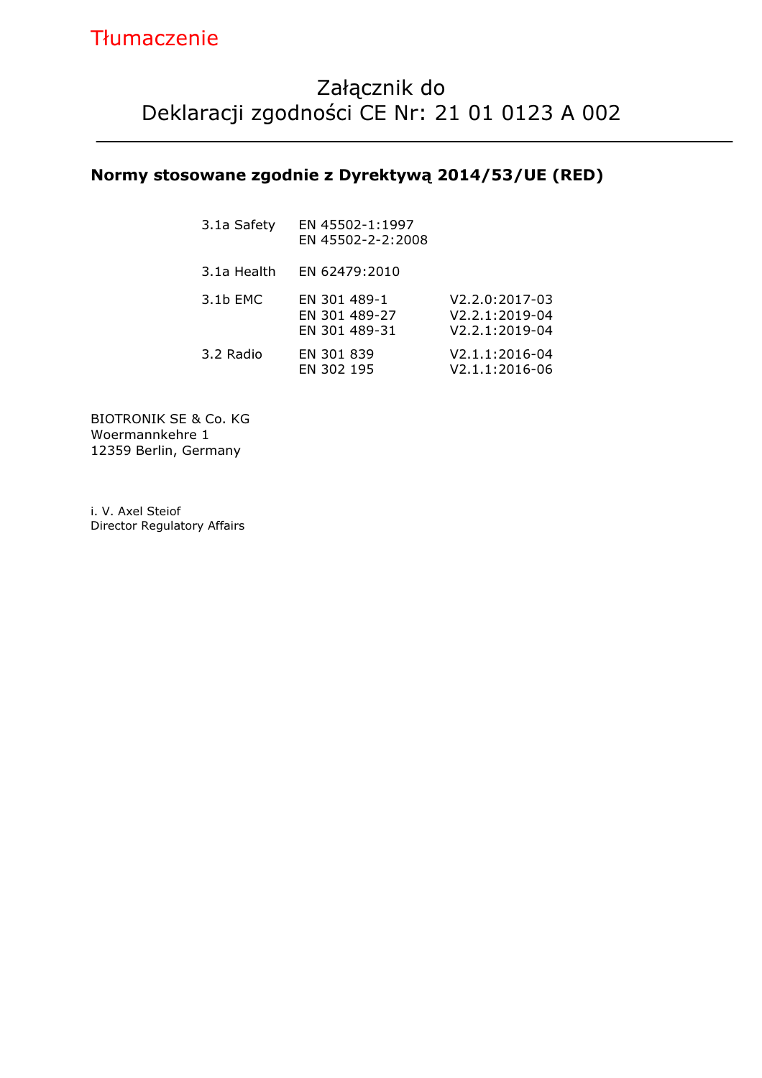## Załącznik do Deklaracji zgodności CE Nr: 21 01 0123 A 002

#### Normy stosowane zgodnie z Dyrektywą 2014/53/UE (RED)

| 3.1a Safety | EN 45502-1:1997<br>EN 45502-2-2:2008           |                                                      |
|-------------|------------------------------------------------|------------------------------------------------------|
| 3.1a Health | EN 62479:2010                                  |                                                      |
| 3.1b EMC    | EN 301 489-1<br>EN 301 489-27<br>EN 301 489-31 | V2.2.0:2017-03<br>V2.2.1:2019-04<br>$V2.2.1:2019-04$ |
| 3.2 Radio   | EN 301 839<br>EN 302 195                       | V2.1.1:2016-04<br>V2.1.1:2016-06                     |

BIOTRONIK SE & Co. KG Woermannkehre 1 12359 Berlin, Germany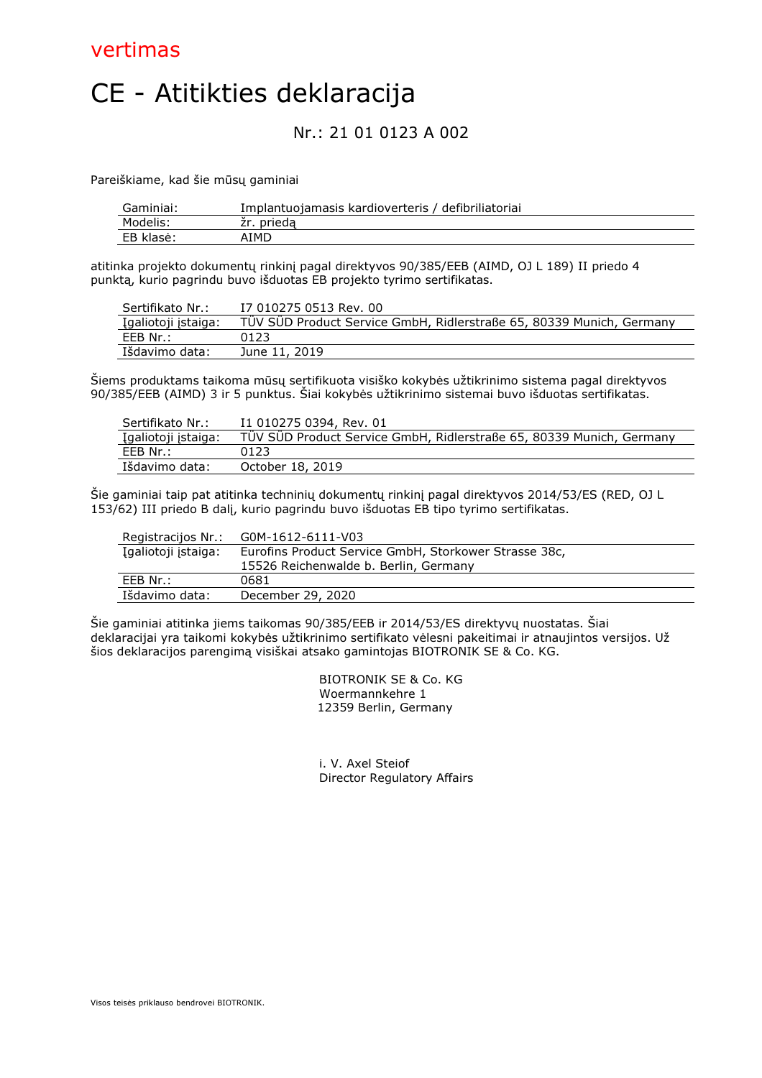# CE - Atitikties deklaracija

### Nr.: 21 01 0123 A 002

Pareiškiame, kad šie mūsų gaminiai

| Gaminiai: | Implantuojamasis kardioverteris / defibriliatoriai |
|-----------|----------------------------------------------------|
| Modelis:  | prieda<br>zr.                                      |
| EB klasė: | AIMD                                               |

atitinka projekto dokumentų rinkinį pagal direktyvos 90/385/EEB (AIMD, OJ L 189) II priedo 4 punktą, kurio pagrindu buvo išduotas EB projekto tyrimo sertifikatas.

| Sertifikato Nr.:    | I7 010275 0513 Rev. 00                                               |
|---------------------|----------------------------------------------------------------------|
| Įgaliotoji įstaiga: | TUV SUD Product Service GmbH, Ridlerstraße 65, 80339 Munich, Germany |
| EEB Nr. :           | 0123                                                                 |
| Išdavimo data:      | June 11, 2019                                                        |

Šiems produktams taikoma mūsų sertifikuota visiško kokybės užtikrinimo sistema pagal direktyvos 90/385/EEB (AIMD) 3 ir 5 punktus. Šiai kokybės užtikrinimo sistemai buvo išduotas sertifikatas.

| Sertifikato Nr.:    | I1 010275 0394, Rev. 01                                              |
|---------------------|----------------------------------------------------------------------|
| Įgaliotoji įstaiga: | TUV SUD Product Service GmbH, Ridlerstraße 65, 80339 Munich, Germany |
| EEB Nr. :           | 0123                                                                 |
| Išdavimo data:      | October 18, 2019                                                     |

Šie gaminiai taip pat atitinka techninių dokumentų rinkinį pagal direktyvos 2014/53/ES (RED, OJ L 153/62) III priedo B dalį, kurio pagrindu buvo išduotas EB tipo tyrimo sertifikatas.

| Registracijos Nr.:  | G0M-1612-6111-V03                                     |
|---------------------|-------------------------------------------------------|
| Įgaliotoji įstaiga: | Eurofins Product Service GmbH, Storkower Strasse 38c, |
|                     | 15526 Reichenwalde b. Berlin, Germany                 |
| EEB Nr.:            | 0681                                                  |
| Išdavimo data:      | December 29, 2020                                     |

Šie gaminiai atitinka jiems taikomas 90/385/EEB ir 2014/53/ES direktyvų nuostatas. Šiai deklaracijai yra taikomi kokybės užtikrinimo sertifikato vėlesni pakeitimai ir atnaujintos versijos. Už šios deklaracijos parengimą visiškai atsako gamintojas BIOTRONIK SE & Co. KG.

> BIOTRONIK SE & Co. KG Woermannkehre 1 12359 Berlin, Germany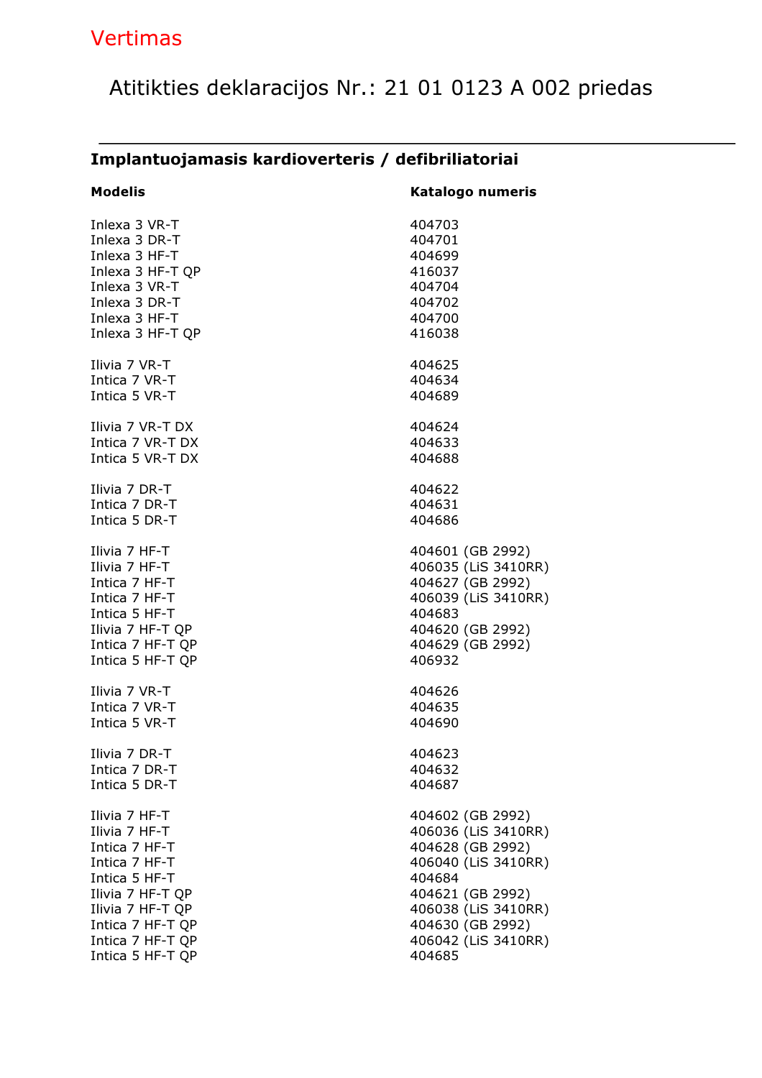## Vertimas

# Atitikties deklaracijos Nr.: 21 01 0123 A 002 priedas

| Implantuojamasis kardioverteris / defibriliatoriai |                         |  |  |
|----------------------------------------------------|-------------------------|--|--|
| <b>Modelis</b>                                     | <b>Katalogo numeris</b> |  |  |
| Inlexa 3 VR-T                                      | 404703                  |  |  |
| Inlexa 3 DR-T                                      | 404701                  |  |  |
| Inlexa 3 HF-T                                      | 404699                  |  |  |
| Inlexa 3 HF-T QP                                   | 416037                  |  |  |
| Inlexa 3 VR-T                                      | 404704                  |  |  |
| Inlexa 3 DR-T                                      | 404702                  |  |  |
| Inlexa 3 HF-T                                      | 404700                  |  |  |
| Inlexa 3 HF-T QP                                   | 416038                  |  |  |
| Ilivia 7 VR-T                                      | 404625                  |  |  |
| Intica 7 VR-T                                      | 404634                  |  |  |
| Intica 5 VR-T                                      | 404689                  |  |  |
| Ilivia 7 VR-T DX                                   | 404624                  |  |  |
| Intica 7 VR-T DX                                   | 404633                  |  |  |
| Intica 5 VR-T DX                                   | 404688                  |  |  |
| Ilivia 7 DR-T                                      | 404622                  |  |  |
| Intica 7 DR-T                                      | 404631                  |  |  |
| Intica 5 DR-T                                      | 404686                  |  |  |
| Ilivia 7 HF-T                                      | 404601 (GB 2992)        |  |  |
| Ilivia 7 HF-T                                      | 406035 (LiS 3410RR)     |  |  |
| Intica 7 HF-T                                      | 404627 (GB 2992)        |  |  |
| Intica 7 HF-T                                      | 406039 (LiS 3410RR)     |  |  |
| Intica 5 HF-T                                      | 404683                  |  |  |
| Ilivia 7 HF-T QP                                   | 404620 (GB 2992)        |  |  |
| Intica 7 HF-T QP                                   | 404629 (GB 2992)        |  |  |
| Intica 5 HF-T QP                                   | 406932                  |  |  |
| Ilivia 7 VR-T                                      | 404626                  |  |  |
| Intica 7 VR-T                                      | 404635                  |  |  |
| Intica 5 VR-T                                      | 404690                  |  |  |
| Ilivia 7 DR-T                                      | 404623                  |  |  |
| Intica 7 DR-T                                      | 404632                  |  |  |
| Intica 5 DR-T                                      | 404687                  |  |  |
| Ilivia 7 HF-T                                      | 404602 (GB 2992)        |  |  |
| Ilivia 7 HF-T                                      | 406036 (LiS 3410RR)     |  |  |
| Intica 7 HF-T                                      | 404628 (GB 2992)        |  |  |
| Intica 7 HF-T                                      | 406040 (LiS 3410RR)     |  |  |
| Intica 5 HF-T                                      | 404684                  |  |  |
| Ilivia 7 HF-T QP                                   | 404621 (GB 2992)        |  |  |
| Ilivia 7 HF-T QP                                   | 406038 (LiS 3410RR)     |  |  |
| Intica 7 HF-T QP                                   | 404630 (GB 2992)        |  |  |
| Intica 7 HF-T QP                                   | 406042 (LiS 3410RR)     |  |  |
| Intica 5 HF-T QP                                   | 404685                  |  |  |

# Implantuojamasis kardioverteris / defibriliatoriai